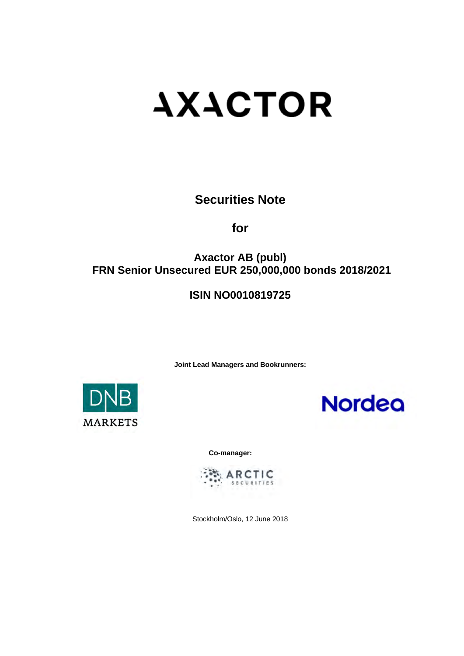# **AXACTOR**

**Securities Note** 

**for** 

# **Axactor AB (publ) FRN Senior Unsecured EUR 250,000,000 bonds 2018/2021**

# **ISIN NO0010819725**

**Joint Lead Managers and Bookrunners:** 





**Co-manager:** 



Stockholm/Oslo, 12 June 2018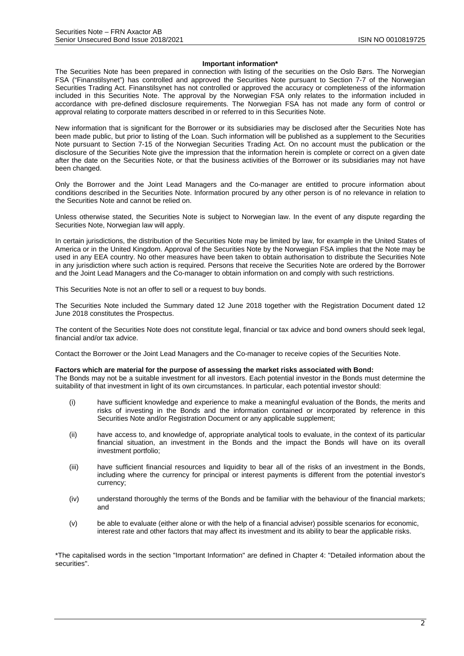#### **Important information\***

The Securities Note has been prepared in connection with listing of the securities on the Oslo Børs. The Norwegian FSA ("Finanstilsynet") has controlled and approved the Securities Note pursuant to Section 7-7 of the Norwegian Securities Trading Act. Finanstilsynet has not controlled or approved the accuracy or completeness of the information included in this Securities Note. The approval by the Norwegian FSA only relates to the information included in accordance with pre-defined disclosure requirements. The Norwegian FSA has not made any form of control or approval relating to corporate matters described in or referred to in this Securities Note.

New information that is significant for the Borrower or its subsidiaries may be disclosed after the Securities Note has been made public, but prior to listing of the Loan. Such information will be published as a supplement to the Securities Note pursuant to Section 7-15 of the Norwegian Securities Trading Act. On no account must the publication or the disclosure of the Securities Note give the impression that the information herein is complete or correct on a given date after the date on the Securities Note, or that the business activities of the Borrower or its subsidiaries may not have been changed.

Only the Borrower and the Joint Lead Managers and the Co-manager are entitled to procure information about conditions described in the Securities Note. Information procured by any other person is of no relevance in relation to the Securities Note and cannot be relied on.

Unless otherwise stated, the Securities Note is subject to Norwegian law. In the event of any dispute regarding the Securities Note, Norwegian law will apply.

In certain jurisdictions, the distribution of the Securities Note may be limited by law, for example in the United States of America or in the United Kingdom. Approval of the Securities Note by the Norwegian FSA implies that the Note may be used in any EEA country. No other measures have been taken to obtain authorisation to distribute the Securities Note in any jurisdiction where such action is required. Persons that receive the Securities Note are ordered by the Borrower and the Joint Lead Managers and the Co-manager to obtain information on and comply with such restrictions.

This Securities Note is not an offer to sell or a request to buy bonds.

The Securities Note included the Summary dated 12 June 2018 together with the Registration Document dated 12 June 2018 constitutes the Prospectus.

The content of the Securities Note does not constitute legal, financial or tax advice and bond owners should seek legal, financial and/or tax advice.

Contact the Borrower or the Joint Lead Managers and the Co-manager to receive copies of the Securities Note.

#### **Factors which are material for the purpose of assessing the market risks associated with Bond:**

The Bonds may not be a suitable investment for all investors. Each potential investor in the Bonds must determine the suitability of that investment in light of its own circumstances. In particular, each potential investor should:

- (i) have sufficient knowledge and experience to make a meaningful evaluation of the Bonds, the merits and risks of investing in the Bonds and the information contained or incorporated by reference in this Securities Note and/or Registration Document or any applicable supplement;
- (ii) have access to, and knowledge of, appropriate analytical tools to evaluate, in the context of its particular financial situation, an investment in the Bonds and the impact the Bonds will have on its overall investment portfolio;
- (iii) have sufficient financial resources and liquidity to bear all of the risks of an investment in the Bonds, including where the currency for principal or interest payments is different from the potential investor's currency;
- (iv) understand thoroughly the terms of the Bonds and be familiar with the behaviour of the financial markets; and
- (v) be able to evaluate (either alone or with the help of a financial adviser) possible scenarios for economic, interest rate and other factors that may affect its investment and its ability to bear the applicable risks.

\*The capitalised words in the section "Important Information" are defined in Chapter 4: "Detailed information about the securities".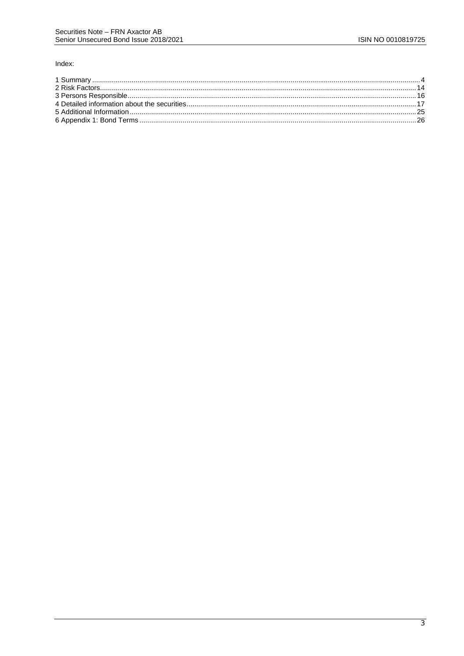#### Index: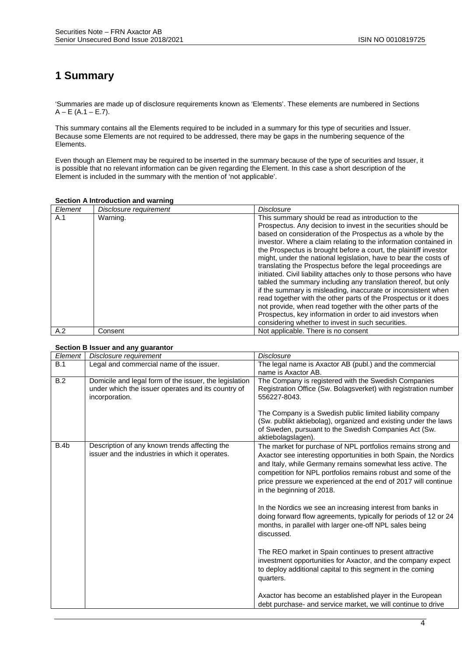# **1 Summary**

'Summaries are made up of disclosure requirements known as 'Elements'. These elements are numbered in Sections  $A - E (A.1 - E.7)$ .

This summary contains all the Elements required to be included in a summary for this type of securities and Issuer. Because some Elements are not required to be addressed, there may be gaps in the numbering sequence of the Elements.

Even though an Element may be required to be inserted in the summary because of the type of securities and Issuer, it is possible that no relevant information can be given regarding the Element. In this case a short description of the Element is included in the summary with the mention of 'not applicable'.

| Element | Disclosure requirement | <b>Disclosure</b>                                                                                                                                                                                                                                                                                                                                                                                                                                                                                                                                                                                                                                                                                                                                                                                                                                                                                                           |
|---------|------------------------|-----------------------------------------------------------------------------------------------------------------------------------------------------------------------------------------------------------------------------------------------------------------------------------------------------------------------------------------------------------------------------------------------------------------------------------------------------------------------------------------------------------------------------------------------------------------------------------------------------------------------------------------------------------------------------------------------------------------------------------------------------------------------------------------------------------------------------------------------------------------------------------------------------------------------------|
| A.1     | Warning.               | This summary should be read as introduction to the<br>Prospectus. Any decision to invest in the securities should be<br>based on consideration of the Prospectus as a whole by the<br>investor. Where a claim relating to the information contained in<br>the Prospectus is brought before a court, the plaintiff investor<br>might, under the national legislation, have to bear the costs of<br>translating the Prospectus before the legal proceedings are<br>initiated. Civil liability attaches only to those persons who have<br>tabled the summary including any translation thereof, but only<br>if the summary is misleading, inaccurate or inconsistent when<br>read together with the other parts of the Prospectus or it does<br>not provide, when read together with the other parts of the<br>Prospectus, key information in order to aid investors when<br>considering whether to invest in such securities. |
| A.2     | Consent                | Not applicable. There is no consent                                                                                                                                                                                                                                                                                                                                                                                                                                                                                                                                                                                                                                                                                                                                                                                                                                                                                         |

#### **Section A Introduction and warning**

#### **Section B Issuer and any guarantor**

| Element | Disclosure requirement                                 | <b>Disclosure</b>                                                                                                           |
|---------|--------------------------------------------------------|-----------------------------------------------------------------------------------------------------------------------------|
| B.1     | Legal and commercial name of the issuer.               | The legal name is Axactor AB (publ.) and the commercial                                                                     |
|         |                                                        | name is Axactor AB.                                                                                                         |
| B.2     | Domicile and legal form of the issuer, the legislation | The Company is registered with the Swedish Companies                                                                        |
|         | under which the issuer operates and its country of     | Registration Office (Sw. Bolagsverket) with registration number                                                             |
|         | incorporation.                                         | 556227-8043.                                                                                                                |
|         |                                                        | The Company is a Swedish public limited liability company                                                                   |
|         |                                                        | (Sw. publikt aktiebolag), organized and existing under the laws                                                             |
|         |                                                        | of Sweden, pursuant to the Swedish Companies Act (Sw.                                                                       |
|         |                                                        | aktiebolagslagen).                                                                                                          |
| B.4b    | Description of any known trends affecting the          | The market for purchase of NPL portfolios remains strong and                                                                |
|         | issuer and the industries in which it operates.        | Axactor see interesting opportunities in both Spain, the Nordics                                                            |
|         |                                                        | and Italy, while Germany remains somewhat less active. The                                                                  |
|         |                                                        | competition for NPL portfolios remains robust and some of the                                                               |
|         |                                                        | price pressure we experienced at the end of 2017 will continue                                                              |
|         |                                                        | in the beginning of 2018.                                                                                                   |
|         |                                                        |                                                                                                                             |
|         |                                                        | In the Nordics we see an increasing interest from banks in                                                                  |
|         |                                                        | doing forward flow agreements, typically for periods of 12 or 24<br>months, in parallel with larger one-off NPL sales being |
|         |                                                        | discussed.                                                                                                                  |
|         |                                                        |                                                                                                                             |
|         |                                                        | The REO market in Spain continues to present attractive                                                                     |
|         |                                                        | investment opportunities for Axactor, and the company expect                                                                |
|         |                                                        | to deploy additional capital to this segment in the coming                                                                  |
|         |                                                        | quarters.                                                                                                                   |
|         |                                                        |                                                                                                                             |
|         |                                                        | Axactor has become an established player in the European                                                                    |
|         |                                                        | debt purchase- and service market, we will continue to drive                                                                |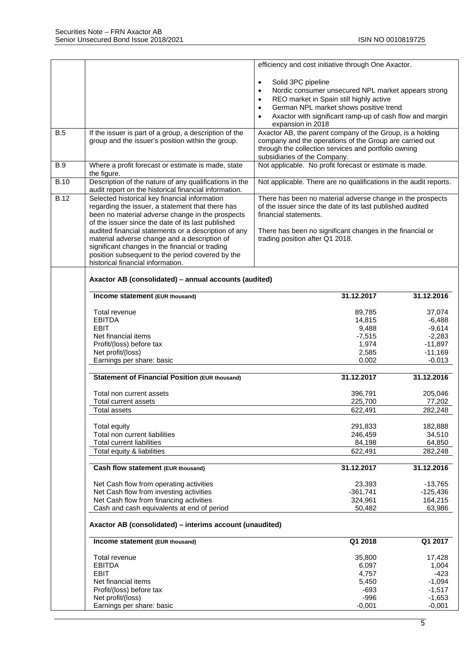|             |                                                                                       | efficiency and cost initiative through One Axactor.                                                             |                 |
|-------------|---------------------------------------------------------------------------------------|-----------------------------------------------------------------------------------------------------------------|-----------------|
|             |                                                                                       |                                                                                                                 |                 |
|             |                                                                                       | Solid 3PC pipeline<br>$\bullet$                                                                                 |                 |
|             |                                                                                       | Nordic consumer unsecured NPL market appears strong<br>$\bullet$                                                |                 |
|             |                                                                                       | REO market in Spain still highly active                                                                         |                 |
|             |                                                                                       | German NPL market shows positive trend<br>$\bullet$                                                             |                 |
|             |                                                                                       | Axactor with significant ramp-up of cash flow and margin<br>$\bullet$                                           |                 |
|             |                                                                                       | expansion in 2018                                                                                               |                 |
| <b>B.5</b>  | If the issuer is part of a group, a description of the                                | Axactor AB, the parent company of the Group, is a holding                                                       |                 |
|             | group and the issuer's position within the group.                                     | company and the operations of the Group are carried out<br>through the collection services and portfolio owning |                 |
|             |                                                                                       | subsidiaries of the Company.                                                                                    |                 |
| <b>B.9</b>  | Where a profit forecast or estimate is made, state                                    | Not applicable. No profit forecast or estimate is made.                                                         |                 |
|             | the figure.                                                                           |                                                                                                                 |                 |
| <b>B.10</b> | Description of the nature of any qualifications in the                                | Not applicable. There are no qualifications in the audit reports.                                               |                 |
|             | audit report on the historical financial information.                                 |                                                                                                                 |                 |
| <b>B.12</b> | Selected historical key financial information                                         | There has been no material adverse change in the prospects                                                      |                 |
|             | regarding the issuer, a statement that there has                                      | of the issuer since the date of its last published audited                                                      |                 |
|             | been no material adverse change in the prospects                                      | financial statements.                                                                                           |                 |
|             | of the issuer since the date of its last published                                    |                                                                                                                 |                 |
|             | audited financial statements or a description of any                                  | There has been no significant changes in the financial or                                                       |                 |
|             | material adverse change and a description of                                          | trading position after Q1 2018.                                                                                 |                 |
|             | significant changes in the financial or trading                                       |                                                                                                                 |                 |
|             | position subsequent to the period covered by the<br>historical financial information. |                                                                                                                 |                 |
|             |                                                                                       |                                                                                                                 |                 |
|             | Axactor AB (consolidated) - annual accounts (audited)                                 |                                                                                                                 |                 |
|             |                                                                                       |                                                                                                                 |                 |
|             | Income statement (EUR thousand)                                                       | 31.12.2017                                                                                                      | 31.12.2016      |
|             | Total revenue                                                                         | 89,785                                                                                                          | 37,074          |
|             | <b>EBITDA</b>                                                                         | 14,815                                                                                                          | $-6,488$        |
|             | <b>EBIT</b>                                                                           | 9,488                                                                                                           | $-9,614$        |
|             | Net financial items                                                                   | $-7,515$                                                                                                        | $-2,283$        |
|             | Profit/(loss) before tax                                                              | 1,974                                                                                                           | $-11,897$       |
|             | Net profit/(loss)                                                                     | 2,585                                                                                                           | $-11,169$       |
|             | Earnings per share: basic                                                             | 0.002                                                                                                           | $-0.013$        |
|             |                                                                                       |                                                                                                                 |                 |
|             | <b>Statement of Financial Position (EUR thousand)</b>                                 | 31.12.2017                                                                                                      | 31.12.2016      |
|             | Total non current assets                                                              | 396,791                                                                                                         | 205,046         |
|             | Total current assets                                                                  | 225,700                                                                                                         | 77,202          |
|             | Total assets                                                                          | 622,491                                                                                                         | 282,248         |
|             |                                                                                       |                                                                                                                 |                 |
|             | Total equity                                                                          | 291,833                                                                                                         | 182,888         |
|             | Total non current liabilities                                                         | 246,459                                                                                                         | 34,510          |
|             | <b>Total current liabilities</b>                                                      | 84,198                                                                                                          | 64,850          |
|             | Total equity & liabilities                                                            | 622,491                                                                                                         | 282,248         |
|             |                                                                                       |                                                                                                                 |                 |
|             | Cash flow statement (EUR thousand)                                                    | 31.12.2017                                                                                                      | 31.12.2016      |
|             | Net Cash flow from operating activities                                               | 23,393                                                                                                          | $-13,765$       |
|             | Net Cash flow from investing activities                                               | $-361,741$                                                                                                      | $-125,436$      |
|             | Net Cash flow from financing activities                                               | 324,961                                                                                                         | 164,215         |
|             | Cash and cash equivalents at end of period                                            | 50,482                                                                                                          | 63,986          |
|             |                                                                                       |                                                                                                                 |                 |
|             | Axactor AB (consolidated) - interims account (unaudited)                              |                                                                                                                 |                 |
|             | Income statement (EUR thousand)                                                       | Q1 2018                                                                                                         | Q1 2017         |
|             |                                                                                       |                                                                                                                 |                 |
|             | Total revenue<br><b>EBITDA</b>                                                        | 35,800<br>6,097                                                                                                 | 17,428<br>1,004 |
|             | <b>EBIT</b>                                                                           | 4,757                                                                                                           | $-423$          |
|             | Net financial items                                                                   | 5,450                                                                                                           | $-1,094$        |
|             | Profit/(loss) before tax                                                              | $-693$                                                                                                          | $-1,517$        |
|             | Net profit/(loss)                                                                     | $-996$                                                                                                          | $-1,653$        |
|             | Earnings per share: basic                                                             | $-0,001$                                                                                                        | $-0,001$        |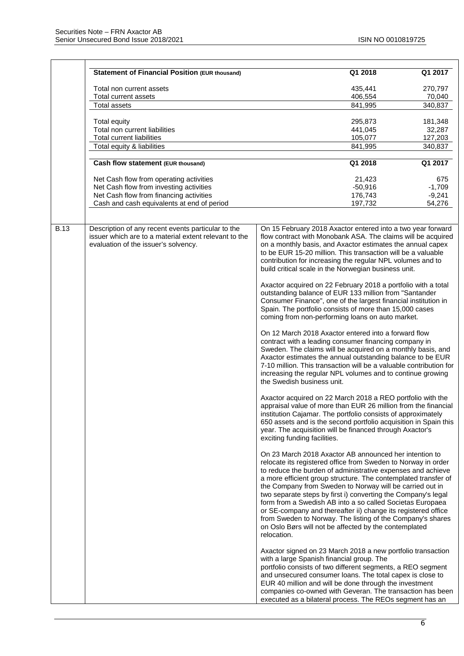|             | <b>Statement of Financial Position (EUR thousand)</b>                                                                                               | Q1 2018                                                                                                                                                                                                                                                                                                                                                                                                                                                                                                                                                                                                                                                   | Q1 2017            |
|-------------|-----------------------------------------------------------------------------------------------------------------------------------------------------|-----------------------------------------------------------------------------------------------------------------------------------------------------------------------------------------------------------------------------------------------------------------------------------------------------------------------------------------------------------------------------------------------------------------------------------------------------------------------------------------------------------------------------------------------------------------------------------------------------------------------------------------------------------|--------------------|
|             | Total non current assets                                                                                                                            | 435,441                                                                                                                                                                                                                                                                                                                                                                                                                                                                                                                                                                                                                                                   | 270,797            |
|             | Total current assets                                                                                                                                | 406,554                                                                                                                                                                                                                                                                                                                                                                                                                                                                                                                                                                                                                                                   | 70,040             |
|             | Total assets                                                                                                                                        | 841,995                                                                                                                                                                                                                                                                                                                                                                                                                                                                                                                                                                                                                                                   | 340,837            |
|             |                                                                                                                                                     |                                                                                                                                                                                                                                                                                                                                                                                                                                                                                                                                                                                                                                                           |                    |
|             | Total equity                                                                                                                                        | 295,873                                                                                                                                                                                                                                                                                                                                                                                                                                                                                                                                                                                                                                                   | 181,348            |
|             | Total non current liabilities<br><b>Total current liabilities</b>                                                                                   | 441,045                                                                                                                                                                                                                                                                                                                                                                                                                                                                                                                                                                                                                                                   | 32,287             |
|             | Total equity & liabilities                                                                                                                          | 105,077<br>841,995                                                                                                                                                                                                                                                                                                                                                                                                                                                                                                                                                                                                                                        | 127,203<br>340,837 |
|             |                                                                                                                                                     |                                                                                                                                                                                                                                                                                                                                                                                                                                                                                                                                                                                                                                                           |                    |
|             | Cash flow statement (EUR thousand)                                                                                                                  | Q1 2018                                                                                                                                                                                                                                                                                                                                                                                                                                                                                                                                                                                                                                                   | Q1 2017            |
|             | Net Cash flow from operating activities                                                                                                             | 21,423                                                                                                                                                                                                                                                                                                                                                                                                                                                                                                                                                                                                                                                    | 675                |
|             | Net Cash flow from investing activities                                                                                                             | $-50,916$                                                                                                                                                                                                                                                                                                                                                                                                                                                                                                                                                                                                                                                 | $-1,709$           |
|             | Net Cash flow from financing activities                                                                                                             | 176,743                                                                                                                                                                                                                                                                                                                                                                                                                                                                                                                                                                                                                                                   | $-9,241$           |
|             | Cash and cash equivalents at end of period                                                                                                          | 197,732                                                                                                                                                                                                                                                                                                                                                                                                                                                                                                                                                                                                                                                   | 54,276             |
|             |                                                                                                                                                     |                                                                                                                                                                                                                                                                                                                                                                                                                                                                                                                                                                                                                                                           |                    |
| <b>B.13</b> | Description of any recent events particular to the<br>issuer which are to a material extent relevant to the<br>evaluation of the issuer's solvency. | On 15 February 2018 Axactor entered into a two year forward<br>flow contract with Monobank ASA. The claims will be acquired<br>on a monthly basis, and Axactor estimates the annual capex<br>to be EUR 15-20 million. This transaction will be a valuable<br>contribution for increasing the regular NPL volumes and to<br>build critical scale in the Norwegian business unit.                                                                                                                                                                                                                                                                           |                    |
|             |                                                                                                                                                     | Axactor acquired on 22 February 2018 a portfolio with a total<br>outstanding balance of EUR 133 million from "Santander<br>Consumer Finance", one of the largest financial institution in<br>Spain. The portfolio consists of more than 15,000 cases<br>coming from non-performing loans on auto market.                                                                                                                                                                                                                                                                                                                                                  |                    |
|             |                                                                                                                                                     | On 12 March 2018 Axactor entered into a forward flow<br>contract with a leading consumer financing company in<br>Sweden. The claims will be acquired on a monthly basis, and<br>Axactor estimates the annual outstanding balance to be EUR<br>7-10 million. This transaction will be a valuable contribution for<br>increasing the regular NPL volumes and to continue growing<br>the Swedish business unit.                                                                                                                                                                                                                                              |                    |
|             |                                                                                                                                                     | Axactor acquired on 22 March 2018 a REO portfolio with the<br>appraisal value of more than EUR 26 million from the financial<br>institution Cajamar. The portfolio consists of approximately<br>650 assets and is the second portfolio acquisition in Spain this<br>year. The acquisition will be financed through Axactor's<br>exciting funding facilities.                                                                                                                                                                                                                                                                                              |                    |
|             |                                                                                                                                                     | On 23 March 2018 Axactor AB announced her intention to<br>relocate its registered office from Sweden to Norway in order<br>to reduce the burden of administrative expenses and achieve<br>a more efficient group structure. The contemplated transfer of<br>the Company from Sweden to Norway will be carried out in<br>two separate steps by first i) converting the Company's legal<br>form from a Swedish AB into a so called Societas Europaea<br>or SE-company and thereafter ii) change its registered office<br>from Sweden to Norway. The listing of the Company's shares<br>on Oslo Børs will not be affected by the contemplated<br>relocation. |                    |
|             |                                                                                                                                                     | Axactor signed on 23 March 2018 a new portfolio transaction<br>with a large Spanish financial group. The<br>portfolio consists of two different segments, a REO segment<br>and unsecured consumer loans. The total capex is close to<br>EUR 40 million and will be done through the investment<br>companies co-owned with Geveran. The transaction has been<br>executed as a bilateral process. The REOs segment has an                                                                                                                                                                                                                                   |                    |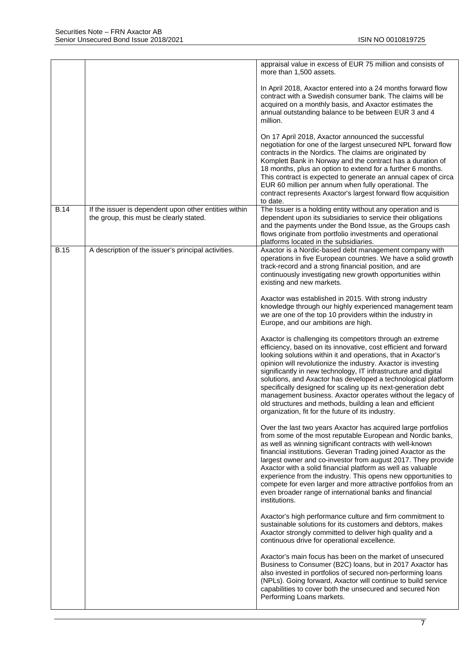|             |                                                                                                  | appraisal value in excess of EUR 75 million and consists of<br>more than 1,500 assets.                                                                                                                                                                                                                                                                                                                                                                                                                                                                                                                                                              |
|-------------|--------------------------------------------------------------------------------------------------|-----------------------------------------------------------------------------------------------------------------------------------------------------------------------------------------------------------------------------------------------------------------------------------------------------------------------------------------------------------------------------------------------------------------------------------------------------------------------------------------------------------------------------------------------------------------------------------------------------------------------------------------------------|
|             |                                                                                                  | In April 2018, Axactor entered into a 24 months forward flow<br>contract with a Swedish consumer bank. The claims will be<br>acquired on a monthly basis, and Axactor estimates the<br>annual outstanding balance to be between EUR 3 and 4<br>million.                                                                                                                                                                                                                                                                                                                                                                                             |
|             |                                                                                                  | On 17 April 2018, Axactor announced the successful<br>negotiation for one of the largest unsecured NPL forward flow<br>contracts in the Nordics. The claims are originated by<br>Komplett Bank in Norway and the contract has a duration of<br>18 months, plus an option to extend for a further 6 months.<br>This contract is expected to generate an annual capex of circa<br>EUR 60 million per annum when fully operational. The<br>contract represents Axactor's largest forward flow acquisition<br>to date.                                                                                                                                  |
| <b>B.14</b> | If the issuer is dependent upon other entities within<br>the group, this must be clearly stated. | The Issuer is a holding entity without any operation and is<br>dependent upon its subsidiaries to service their obligations<br>and the payments under the Bond Issue, as the Groups cash<br>flows originate from portfolio investments and operational<br>platforms located in the subsidiaries.                                                                                                                                                                                                                                                                                                                                                    |
| <b>B.15</b> | A description of the issuer's principal activities.                                              | Axactor is a Nordic-based debt management company with<br>operations in five European countries. We have a solid growth<br>track-record and a strong financial position, and are<br>continuously investigating new growth opportunities within<br>existing and new markets.                                                                                                                                                                                                                                                                                                                                                                         |
|             |                                                                                                  | Axactor was established in 2015. With strong industry<br>knowledge through our highly experienced management team<br>we are one of the top 10 providers within the industry in<br>Europe, and our ambitions are high.                                                                                                                                                                                                                                                                                                                                                                                                                               |
|             |                                                                                                  | Axactor is challenging its competitors through an extreme<br>efficiency, based on its innovative, cost efficient and forward<br>looking solutions within it and operations, that in Axactor's<br>opinion will revolutionize the industry. Axactor is investing<br>significantly in new technology, IT infrastructure and digital<br>solutions, and Axactor has developed a technological platform<br>specifically designed for scaling up its next-generation debt<br>management business. Axactor operates without the legacy of<br>old structures and methods, building a lean and efficient<br>organization, fit for the future of its industry. |
|             |                                                                                                  | Over the last two years Axactor has acquired large portfolios<br>from some of the most reputable European and Nordic banks,<br>as well as winning significant contracts with well-known<br>financial institutions. Geveran Trading joined Axactor as the<br>largest owner and co-investor from august 2017. They provide<br>Axactor with a solid financial platform as well as valuable<br>experience from the industry. This opens new opportunities to<br>compete for even larger and more attractive portfolios from an<br>even broader range of international banks and financial<br>institutions.                                              |
|             |                                                                                                  | Axactor's high performance culture and firm commitment to<br>sustainable solutions for its customers and debtors, makes<br>Axactor strongly committed to deliver high quality and a<br>continuous drive for operational excellence.                                                                                                                                                                                                                                                                                                                                                                                                                 |
|             |                                                                                                  | Axactor's main focus has been on the market of unsecured<br>Business to Consumer (B2C) loans, but in 2017 Axactor has<br>also invested in portfolios of secured non-performing loans<br>(NPLs). Going forward, Axactor will continue to build service<br>capabilities to cover both the unsecured and secured Non<br>Performing Loans markets.                                                                                                                                                                                                                                                                                                      |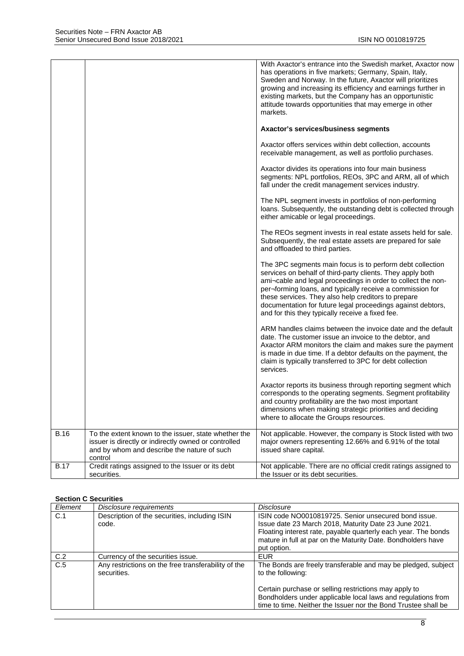|             |                                                                                                                                                                        | With Axactor's entrance into the Swedish market, Axactor now<br>has operations in five markets; Germany, Spain, Italy,<br>Sweden and Norway. In the future, Axactor will prioritizes<br>growing and increasing its efficiency and earnings further in<br>existing markets, but the Company has an opportunistic<br>attitude towards opportunities that may emerge in other<br>markets.                                         |
|-------------|------------------------------------------------------------------------------------------------------------------------------------------------------------------------|--------------------------------------------------------------------------------------------------------------------------------------------------------------------------------------------------------------------------------------------------------------------------------------------------------------------------------------------------------------------------------------------------------------------------------|
|             |                                                                                                                                                                        | Axactor's services/business segments                                                                                                                                                                                                                                                                                                                                                                                           |
|             |                                                                                                                                                                        | Axactor offers services within debt collection, accounts<br>receivable management, as well as portfolio purchases.                                                                                                                                                                                                                                                                                                             |
|             |                                                                                                                                                                        | Axactor divides its operations into four main business<br>segments: NPL portfolios, REOs, 3PC and ARM, all of which<br>fall under the credit management services industry.                                                                                                                                                                                                                                                     |
|             |                                                                                                                                                                        | The NPL segment invests in portfolios of non-performing<br>loans. Subsequently, the outstanding debt is collected through<br>either amicable or legal proceedings.                                                                                                                                                                                                                                                             |
|             |                                                                                                                                                                        | The REOs segment invests in real estate assets held for sale.<br>Subsequently, the real estate assets are prepared for sale<br>and offloaded to third parties.                                                                                                                                                                                                                                                                 |
|             |                                                                                                                                                                        | The 3PC segments main focus is to perform debt collection<br>services on behalf of third-party clients. They apply both<br>ami-cable and legal proceedings in order to collect the non-<br>per-forming loans, and typically receive a commission for<br>these services. They also help creditors to prepare<br>documentation for future legal proceedings against debtors,<br>and for this they typically receive a fixed fee. |
|             |                                                                                                                                                                        | ARM handles claims between the invoice date and the default<br>date. The customer issue an invoice to the debtor, and<br>Axactor ARM monitors the claim and makes sure the payment<br>is made in due time. If a debtor defaults on the payment, the<br>claim is typically transferred to 3PC for debt collection<br>services.                                                                                                  |
|             |                                                                                                                                                                        | Axactor reports its business through reporting segment which<br>corresponds to the operating segments. Segment profitability<br>and country profitability are the two most important<br>dimensions when making strategic priorities and deciding<br>where to allocate the Groups resources.                                                                                                                                    |
| <b>B.16</b> | To the extent known to the issuer, state whether the<br>issuer is directly or indirectly owned or controlled<br>and by whom and describe the nature of such<br>control | Not applicable. However, the company is Stock listed with two<br>major owners representing 12.66% and 6.91% of the total<br>issued share capital.                                                                                                                                                                                                                                                                              |
| <b>B.17</b> | Credit ratings assigned to the Issuer or its debt<br>securities.                                                                                                       | Not applicable. There are no official credit ratings assigned to<br>the Issuer or its debt securities.                                                                                                                                                                                                                                                                                                                         |

#### **Section C Securities**

| Element | Disclosure requirements                                            | Disclosure                                                                                                                                                                              |
|---------|--------------------------------------------------------------------|-----------------------------------------------------------------------------------------------------------------------------------------------------------------------------------------|
| C.1     | Description of the securities, including ISIN                      | ISIN code NO0010819725. Senior unsecured bond issue.                                                                                                                                    |
|         | code.                                                              | Issue date 23 March 2018, Maturity Date 23 June 2021.                                                                                                                                   |
|         |                                                                    | Floating interest rate, payable quarterly each year. The bonds<br>mature in full at par on the Maturity Date. Bondholders have                                                          |
|         |                                                                    | put option.                                                                                                                                                                             |
| C.2     | Currency of the securities issue.                                  | <b>EUR</b>                                                                                                                                                                              |
| C.5     | Any restrictions on the free transferability of the<br>securities. | The Bonds are freely transferable and may be pledged, subject<br>to the following:                                                                                                      |
|         |                                                                    | Certain purchase or selling restrictions may apply to<br>Bondholders under applicable local laws and regulations from<br>time to time. Neither the Issuer nor the Bond Trustee shall be |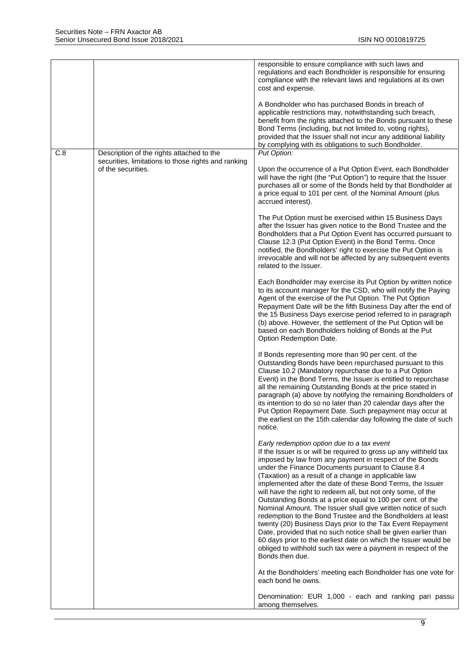|     |                                                                           | responsible to ensure compliance with such laws and<br>regulations and each Bondholder is responsible for ensuring<br>compliance with the relevant laws and regulations at its own<br>cost and expense.<br>A Bondholder who has purchased Bonds in breach of<br>applicable restrictions may, notwithstanding such breach,<br>benefit from the rights attached to the Bonds pursuant to these<br>Bond Terms (including, but not limited to, voting rights),<br>provided that the Issuer shall not incur any additional liability<br>by complying with its obligations to such Bondholder.                                                                                                                                                                                                                                                                                                                   |
|-----|---------------------------------------------------------------------------|------------------------------------------------------------------------------------------------------------------------------------------------------------------------------------------------------------------------------------------------------------------------------------------------------------------------------------------------------------------------------------------------------------------------------------------------------------------------------------------------------------------------------------------------------------------------------------------------------------------------------------------------------------------------------------------------------------------------------------------------------------------------------------------------------------------------------------------------------------------------------------------------------------|
| C.8 | Description of the rights attached to the                                 | Put Option:                                                                                                                                                                                                                                                                                                                                                                                                                                                                                                                                                                                                                                                                                                                                                                                                                                                                                                |
|     | securities, limitations to those rights and ranking<br>of the securities. | Upon the occurrence of a Put Option Event, each Bondholder<br>will have the right (the "Put Option") to require that the Issuer<br>purchases all or some of the Bonds held by that Bondholder at<br>a price equal to 101 per cent. of the Nominal Amount (plus<br>accrued interest).                                                                                                                                                                                                                                                                                                                                                                                                                                                                                                                                                                                                                       |
|     |                                                                           | The Put Option must be exercised within 15 Business Days<br>after the Issuer has given notice to the Bond Trustee and the<br>Bondholders that a Put Option Event has occurred pursuant to<br>Clause 12.3 (Put Option Event) in the Bond Terms. Once<br>notified, the Bondholders' right to exercise the Put Option is<br>irrevocable and will not be affected by any subsequent events<br>related to the Issuer.                                                                                                                                                                                                                                                                                                                                                                                                                                                                                           |
|     |                                                                           | Each Bondholder may exercise its Put Option by written notice<br>to its account manager for the CSD, who will notify the Paying<br>Agent of the exercise of the Put Option. The Put Option<br>Repayment Date will be the fifth Business Day after the end of<br>the 15 Business Days exercise period referred to in paragraph<br>(b) above. However, the settlement of the Put Option will be<br>based on each Bondholders holding of Bonds at the Put<br>Option Redemption Date.                                                                                                                                                                                                                                                                                                                                                                                                                          |
|     |                                                                           | If Bonds representing more than 90 per cent. of the<br>Outstanding Bonds have been repurchased pursuant to this<br>Clause 10.2 (Mandatory repurchase due to a Put Option<br>Event) in the Bond Terms, the Issuer is entitled to repurchase<br>all the remaining Outstanding Bonds at the price stated in<br>paragraph (a) above by notifying the remaining Bondholders of<br>its intention to do so no later than 20 calendar days after the<br>Put Option Repayment Date. Such prepayment may occur at<br>the earliest on the 15th calendar day following the date of such<br>notice.                                                                                                                                                                                                                                                                                                                     |
|     |                                                                           | Early redemption option due to a tax event<br>If the Issuer is or will be required to gross up any withheld tax<br>imposed by law from any payment in respect of the Bonds<br>under the Finance Documents pursuant to Clause 8.4<br>(Taxation) as a result of a change in applicable law<br>implemented after the date of these Bond Terms, the Issuer<br>will have the right to redeem all, but not only some, of the<br>Outstanding Bonds at a price equal to 100 per cent. of the<br>Nominal Amount. The Issuer shall give written notice of such<br>redemption to the Bond Trustee and the Bondholders at least<br>twenty (20) Business Days prior to the Tax Event Repayment<br>Date, provided that no such notice shall be given earlier than<br>60 days prior to the earliest date on which the Issuer would be<br>obliged to withhold such tax were a payment in respect of the<br>Bonds then due. |
|     |                                                                           | At the Bondholders' meeting each Bondholder has one vote for<br>each bond he owns.                                                                                                                                                                                                                                                                                                                                                                                                                                                                                                                                                                                                                                                                                                                                                                                                                         |
|     |                                                                           | Denomination: EUR 1,000 - each and ranking pari passu<br>among themselves.                                                                                                                                                                                                                                                                                                                                                                                                                                                                                                                                                                                                                                                                                                                                                                                                                                 |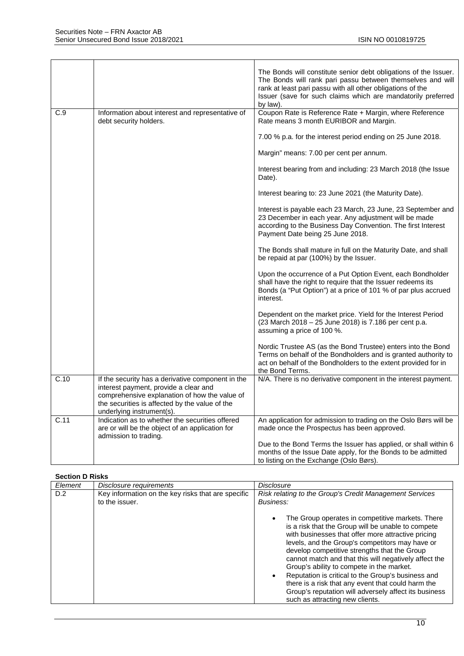|      |                                                                                                                                                                                                                            | The Bonds will constitute senior debt obligations of the Issuer.<br>The Bonds will rank pari passu between themselves and will<br>rank at least pari passu with all other obligations of the<br>Issuer (save for such claims which are mandatorily preferred<br>by law). |
|------|----------------------------------------------------------------------------------------------------------------------------------------------------------------------------------------------------------------------------|--------------------------------------------------------------------------------------------------------------------------------------------------------------------------------------------------------------------------------------------------------------------------|
| C.9  | Information about interest and representative of<br>debt security holders.                                                                                                                                                 | Coupon Rate is Reference Rate + Margin, where Reference<br>Rate means 3 month EURIBOR and Margin.                                                                                                                                                                        |
|      |                                                                                                                                                                                                                            | 7.00 % p.a. for the interest period ending on 25 June 2018.                                                                                                                                                                                                              |
|      |                                                                                                                                                                                                                            | Margin" means: 7.00 per cent per annum.                                                                                                                                                                                                                                  |
|      |                                                                                                                                                                                                                            | Interest bearing from and including: 23 March 2018 (the Issue<br>Date).                                                                                                                                                                                                  |
|      |                                                                                                                                                                                                                            | Interest bearing to: 23 June 2021 (the Maturity Date).                                                                                                                                                                                                                   |
|      |                                                                                                                                                                                                                            | Interest is payable each 23 March, 23 June, 23 September and<br>23 December in each year. Any adjustment will be made<br>according to the Business Day Convention. The first Interest<br>Payment Date being 25 June 2018.                                                |
|      |                                                                                                                                                                                                                            | The Bonds shall mature in full on the Maturity Date, and shall<br>be repaid at par (100%) by the Issuer.                                                                                                                                                                 |
|      |                                                                                                                                                                                                                            | Upon the occurrence of a Put Option Event, each Bondholder<br>shall have the right to require that the Issuer redeems its<br>Bonds (a "Put Option") at a price of 101 % of par plus accrued<br>interest.                                                                 |
|      |                                                                                                                                                                                                                            | Dependent on the market price. Yield for the Interest Period<br>(23 March 2018 - 25 June 2018) is 7.186 per cent p.a.<br>assuming a price of 100 %.                                                                                                                      |
|      |                                                                                                                                                                                                                            | Nordic Trustee AS (as the Bond Trustee) enters into the Bond<br>Terms on behalf of the Bondholders and is granted authority to<br>act on behalf of the Bondholders to the extent provided for in<br>the Bond Terms.                                                      |
| C.10 | If the security has a derivative component in the<br>interest payment, provide a clear and<br>comprehensive explanation of how the value of<br>the securities is affected by the value of the<br>underlying instrument(s). | N/A. There is no derivative component in the interest payment.                                                                                                                                                                                                           |
| C.11 | Indication as to whether the securities offered<br>are or will be the object of an application for<br>admission to trading.                                                                                                | An application for admission to trading on the Oslo Børs will be<br>made once the Prospectus has been approved.                                                                                                                                                          |
|      |                                                                                                                                                                                                                            | Due to the Bond Terms the Issuer has applied, or shall within 6<br>months of the Issue Date apply, for the Bonds to be admitted<br>to listing on the Exchange (Oslo Børs).                                                                                               |

#### **Section D Risks**

| Element | Disclosure requirements                                              | Disclosure                                                                                                                                                                                                                                                                                                                                                                                                                                                                                                                                                                                                         |
|---------|----------------------------------------------------------------------|--------------------------------------------------------------------------------------------------------------------------------------------------------------------------------------------------------------------------------------------------------------------------------------------------------------------------------------------------------------------------------------------------------------------------------------------------------------------------------------------------------------------------------------------------------------------------------------------------------------------|
| D.2     | Key information on the key risks that are specific<br>to the issuer. | Risk relating to the Group's Credit Management Services<br>Business:<br>The Group operates in competitive markets. There<br>is a risk that the Group will be unable to compete<br>with businesses that offer more attractive pricing<br>levels, and the Group's competitors may have or<br>develop competitive strengths that the Group<br>cannot match and that this will negatively affect the<br>Group's ability to compete in the market.<br>Reputation is critical to the Group's business and<br>there is a risk that any event that could harm the<br>Group's reputation will adversely affect its business |
|         |                                                                      | such as attracting new clients.                                                                                                                                                                                                                                                                                                                                                                                                                                                                                                                                                                                    |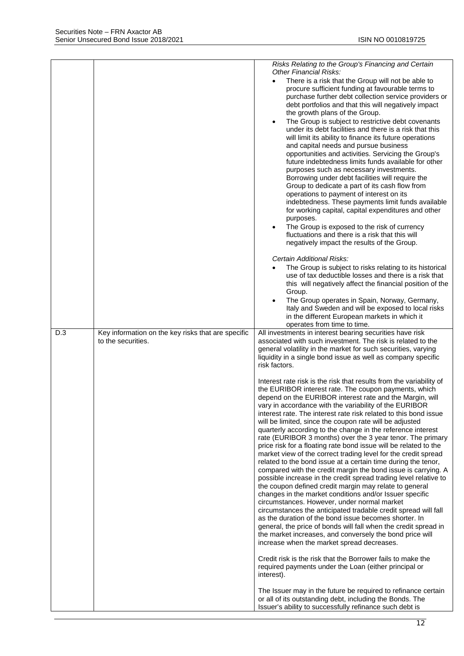|     |                                                                          | Risks Relating to the Group's Financing and Certain<br><b>Other Financial Risks:</b><br>There is a risk that the Group will not be able to<br>procure sufficient funding at favourable terms to<br>purchase further debt collection service providers or<br>debt portfolios and that this will negatively impact<br>the growth plans of the Group.<br>The Group is subject to restrictive debt covenants<br>$\bullet$<br>under its debt facilities and there is a risk that this<br>will limit its ability to finance its future operations<br>and capital needs and pursue business<br>opportunities and activities. Servicing the Group's<br>future indebtedness limits funds available for other<br>purposes such as necessary investments.<br>Borrowing under debt facilities will require the<br>Group to dedicate a part of its cash flow from<br>operations to payment of interest on its<br>indebtedness. These payments limit funds available<br>for working capital, capital expenditures and other<br>purposes.<br>The Group is exposed to the risk of currency<br>$\bullet$<br>fluctuations and there is a risk that this will<br>negatively impact the results of the Group.<br>Certain Additional Risks:<br>The Group is subject to risks relating to its historical<br>use of tax deductible losses and there is a risk that<br>this will negatively affect the financial position of the<br>Group.<br>The Group operates in Spain, Norway, Germany,<br>Italy and Sweden and will be exposed to local risks<br>in the different European markets in which it<br>operates from time to time.                                                                                                                                                                                                                                                                                                                                        |
|-----|--------------------------------------------------------------------------|---------------------------------------------------------------------------------------------------------------------------------------------------------------------------------------------------------------------------------------------------------------------------------------------------------------------------------------------------------------------------------------------------------------------------------------------------------------------------------------------------------------------------------------------------------------------------------------------------------------------------------------------------------------------------------------------------------------------------------------------------------------------------------------------------------------------------------------------------------------------------------------------------------------------------------------------------------------------------------------------------------------------------------------------------------------------------------------------------------------------------------------------------------------------------------------------------------------------------------------------------------------------------------------------------------------------------------------------------------------------------------------------------------------------------------------------------------------------------------------------------------------------------------------------------------------------------------------------------------------------------------------------------------------------------------------------------------------------------------------------------------------------------------------------------------------------------------------------------------------------------------------------------------------------------------------------------|
| D.3 | Key information on the key risks that are specific<br>to the securities. | All investments in interest bearing securities have risk<br>associated with such investment. The risk is related to the<br>general volatility in the market for such securities, varying<br>liquidity in a single bond issue as well as company specific<br>risk factors.<br>Interest rate risk is the risk that results from the variability of<br>the EURIBOR interest rate. The coupon payments, which<br>depend on the EURIBOR interest rate and the Margin, will<br>vary in accordance with the variability of the EURIBOR<br>interest rate. The interest rate risk related to this bond issue<br>will be limited, since the coupon rate will be adjusted<br>quarterly according to the change in the reference interest<br>rate (EURIBOR 3 months) over the 3 year tenor. The primary<br>price risk for a floating rate bond issue will be related to the<br>market view of the correct trading level for the credit spread<br>related to the bond issue at a certain time during the tenor,<br>compared with the credit margin the bond issue is carrying. A<br>possible increase in the credit spread trading level relative to<br>the coupon defined credit margin may relate to general<br>changes in the market conditions and/or Issuer specific<br>circumstances. However, under normal market<br>circumstances the anticipated tradable credit spread will fall<br>as the duration of the bond issue becomes shorter. In<br>general, the price of bonds will fall when the credit spread in<br>the market increases, and conversely the bond price will<br>increase when the market spread decreases.<br>Credit risk is the risk that the Borrower fails to make the<br>required payments under the Loan (either principal or<br>interest).<br>The Issuer may in the future be required to refinance certain<br>or all of its outstanding debt, including the Bonds. The<br>Issuer's ability to successfully refinance such debt is |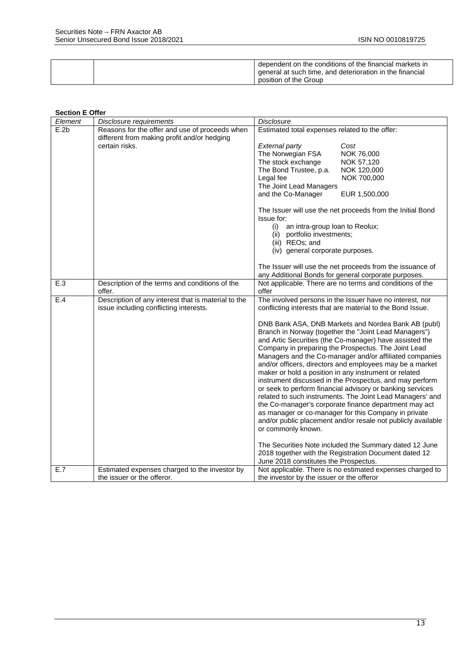|  | dependent on the conditions of the financial markets in  |
|--|----------------------------------------------------------|
|  | general at such time, and deterioration in the financial |
|  | position of the Group                                    |

#### **Section E Offer**

| Element | Disclosure requirements                             | <b>Disclosure</b>                                                                                                                                                                                                                                                                                                                                                                                                                                                                                                                                                                                                                                                                                                                                                                                                                                                                                                                                                      |
|---------|-----------------------------------------------------|------------------------------------------------------------------------------------------------------------------------------------------------------------------------------------------------------------------------------------------------------------------------------------------------------------------------------------------------------------------------------------------------------------------------------------------------------------------------------------------------------------------------------------------------------------------------------------------------------------------------------------------------------------------------------------------------------------------------------------------------------------------------------------------------------------------------------------------------------------------------------------------------------------------------------------------------------------------------|
| E.2b    | Reasons for the offer and use of proceeds when      | Estimated total expenses related to the offer:                                                                                                                                                                                                                                                                                                                                                                                                                                                                                                                                                                                                                                                                                                                                                                                                                                                                                                                         |
|         | different from making profit and/or hedging         |                                                                                                                                                                                                                                                                                                                                                                                                                                                                                                                                                                                                                                                                                                                                                                                                                                                                                                                                                                        |
|         | certain risks.                                      | <b>External party</b><br>Cost                                                                                                                                                                                                                                                                                                                                                                                                                                                                                                                                                                                                                                                                                                                                                                                                                                                                                                                                          |
|         |                                                     | The Norwegian FSA<br>NOK 76,000                                                                                                                                                                                                                                                                                                                                                                                                                                                                                                                                                                                                                                                                                                                                                                                                                                                                                                                                        |
|         |                                                     | The stock exchange<br>NOK 57,120                                                                                                                                                                                                                                                                                                                                                                                                                                                                                                                                                                                                                                                                                                                                                                                                                                                                                                                                       |
|         |                                                     | The Bond Trustee, p.a.<br>NOK 120,000                                                                                                                                                                                                                                                                                                                                                                                                                                                                                                                                                                                                                                                                                                                                                                                                                                                                                                                                  |
|         |                                                     | NOK 700,000<br>Legal fee                                                                                                                                                                                                                                                                                                                                                                                                                                                                                                                                                                                                                                                                                                                                                                                                                                                                                                                                               |
|         |                                                     | The Joint Lead Managers                                                                                                                                                                                                                                                                                                                                                                                                                                                                                                                                                                                                                                                                                                                                                                                                                                                                                                                                                |
|         |                                                     | and the Co-Manager<br>EUR 1,500,000                                                                                                                                                                                                                                                                                                                                                                                                                                                                                                                                                                                                                                                                                                                                                                                                                                                                                                                                    |
|         |                                                     | The Issuer will use the net proceeds from the Initial Bond<br>Issue for:                                                                                                                                                                                                                                                                                                                                                                                                                                                                                                                                                                                                                                                                                                                                                                                                                                                                                               |
|         |                                                     | an intra-group loan to Reolux;<br>(i)                                                                                                                                                                                                                                                                                                                                                                                                                                                                                                                                                                                                                                                                                                                                                                                                                                                                                                                                  |
|         |                                                     | (ii) portfolio investments;                                                                                                                                                                                                                                                                                                                                                                                                                                                                                                                                                                                                                                                                                                                                                                                                                                                                                                                                            |
|         |                                                     | (iii) REOs; and                                                                                                                                                                                                                                                                                                                                                                                                                                                                                                                                                                                                                                                                                                                                                                                                                                                                                                                                                        |
|         |                                                     | (iv) general corporate purposes.                                                                                                                                                                                                                                                                                                                                                                                                                                                                                                                                                                                                                                                                                                                                                                                                                                                                                                                                       |
|         |                                                     | The Issuer will use the net proceeds from the issuance of                                                                                                                                                                                                                                                                                                                                                                                                                                                                                                                                                                                                                                                                                                                                                                                                                                                                                                              |
|         |                                                     | any Additional Bonds for general corporate purposes.                                                                                                                                                                                                                                                                                                                                                                                                                                                                                                                                                                                                                                                                                                                                                                                                                                                                                                                   |
| E.3     | Description of the terms and conditions of the      | Not applicable. There are no terms and conditions of the                                                                                                                                                                                                                                                                                                                                                                                                                                                                                                                                                                                                                                                                                                                                                                                                                                                                                                               |
|         | offer.                                              | offer                                                                                                                                                                                                                                                                                                                                                                                                                                                                                                                                                                                                                                                                                                                                                                                                                                                                                                                                                                  |
| E.4     | Description of any interest that is material to the | The involved persons in the Issuer have no interest, nor                                                                                                                                                                                                                                                                                                                                                                                                                                                                                                                                                                                                                                                                                                                                                                                                                                                                                                               |
|         | issue including conflicting interests.              | conflicting interests that are material to the Bond Issue.                                                                                                                                                                                                                                                                                                                                                                                                                                                                                                                                                                                                                                                                                                                                                                                                                                                                                                             |
|         |                                                     | DNB Bank ASA, DNB Markets and Nordea Bank AB (publ)<br>Branch in Norway (together the "Joint Lead Managers")<br>and Artic Securities (the Co-manager) have assisted the<br>Company in preparing the Prospectus. The Joint Lead<br>Managers and the Co-manager and/or affiliated companies<br>and/or officers, directors and employees may be a market<br>maker or hold a position in any instrument or related<br>instrument discussed in the Prospectus, and may perform<br>or seek to perform financial advisory or banking services<br>related to such instruments. The Joint Lead Managers' and<br>the Co-manager's corporate finance department may act<br>as manager or co-manager for this Company in private<br>and/or public placement and/or resale not publicly available<br>or commonly known.<br>The Securities Note included the Summary dated 12 June<br>2018 together with the Registration Document dated 12<br>June 2018 constitutes the Prospectus. |
| E.7     | Estimated expenses charged to the investor by       | Not applicable. There is no estimated expenses charged to                                                                                                                                                                                                                                                                                                                                                                                                                                                                                                                                                                                                                                                                                                                                                                                                                                                                                                              |
|         | the issuer or the offeror.                          | the investor by the issuer or the offeror                                                                                                                                                                                                                                                                                                                                                                                                                                                                                                                                                                                                                                                                                                                                                                                                                                                                                                                              |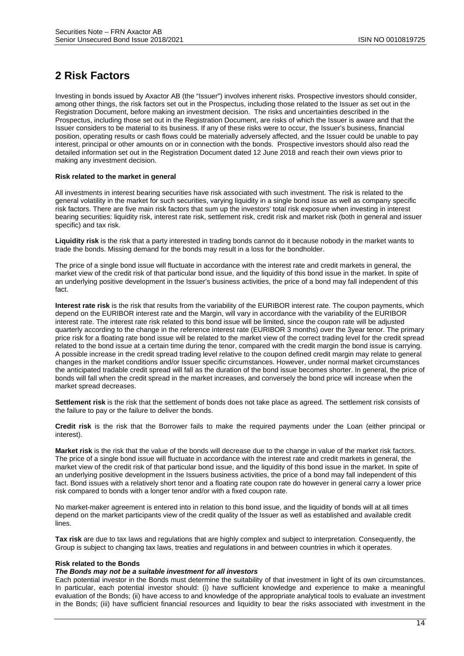# **2 Risk Factors**

Investing in bonds issued by Axactor AB (the "Issuer") involves inherent risks. Prospective investors should consider, among other things, the risk factors set out in the Prospectus, including those related to the Issuer as set out in the Registration Document, before making an investment decision. The risks and uncertainties described in the Prospectus, including those set out in the Registration Document, are risks of which the Issuer is aware and that the Issuer considers to be material to its business. If any of these risks were to occur, the Issuer's business, financial position, operating results or cash flows could be materially adversely affected, and the Issuer could be unable to pay interest, principal or other amounts on or in connection with the bonds. Prospective investors should also read the detailed information set out in the Registration Document dated 12 June 2018 and reach their own views prior to making any investment decision.

#### **Risk related to the market in general**

All investments in interest bearing securities have risk associated with such investment. The risk is related to the general volatility in the market for such securities, varying liquidity in a single bond issue as well as company specific risk factors. There are five main risk factors that sum up the investors' total risk exposure when investing in interest bearing securities: liquidity risk, interest rate risk, settlement risk, credit risk and market risk (both in general and issuer specific) and tax risk.

**Liquidity risk** is the risk that a party interested in trading bonds cannot do it because nobody in the market wants to trade the bonds. Missing demand for the bonds may result in a loss for the bondholder.

The price of a single bond issue will fluctuate in accordance with the interest rate and credit markets in general, the market view of the credit risk of that particular bond issue, and the liquidity of this bond issue in the market. In spite of an underlying positive development in the Issuer's business activities, the price of a bond may fall independent of this fact.

**Interest rate risk** is the risk that results from the variability of the EURIBOR interest rate. The coupon payments, which depend on the EURIBOR interest rate and the Margin, will vary in accordance with the variability of the EURIBOR interest rate. The interest rate risk related to this bond issue will be limited, since the coupon rate will be adjusted quarterly according to the change in the reference interest rate (EURIBOR 3 months) over the 3year tenor. The primary price risk for a floating rate bond issue will be related to the market view of the correct trading level for the credit spread related to the bond issue at a certain time during the tenor, compared with the credit margin the bond issue is carrying. A possible increase in the credit spread trading level relative to the coupon defined credit margin may relate to general changes in the market conditions and/or Issuer specific circumstances. However, under normal market circumstances the anticipated tradable credit spread will fall as the duration of the bond issue becomes shorter. In general, the price of bonds will fall when the credit spread in the market increases, and conversely the bond price will increase when the market spread decreases.

**Settlement risk** is the risk that the settlement of bonds does not take place as agreed. The settlement risk consists of the failure to pay or the failure to deliver the bonds.

**Credit risk** is the risk that the Borrower fails to make the required payments under the Loan (either principal or interest).

**Market risk** is the risk that the value of the bonds will decrease due to the change in value of the market risk factors. The price of a single bond issue will fluctuate in accordance with the interest rate and credit markets in general, the market view of the credit risk of that particular bond issue, and the liquidity of this bond issue in the market. In spite of an underlying positive development in the Issuers business activities, the price of a bond may fall independent of this fact. Bond issues with a relatively short tenor and a floating rate coupon rate do however in general carry a lower price risk compared to bonds with a longer tenor and/or with a fixed coupon rate.

No market-maker agreement is entered into in relation to this bond issue, and the liquidity of bonds will at all times depend on the market participants view of the credit quality of the Issuer as well as established and available credit lines.

**Tax risk** are due to tax laws and regulations that are highly complex and subject to interpretation. Consequently, the Group is subject to changing tax laws, treaties and regulations in and between countries in which it operates.

#### **Risk related to the Bonds**

#### *The Bonds may not be a suitable investment for all investors*

Each potential investor in the Bonds must determine the suitability of that investment in light of its own circumstances. In particular, each potential investor should: (i) have sufficient knowledge and experience to make a meaningful evaluation of the Bonds; (ii) have access to and knowledge of the appropriate analytical tools to evaluate an investment in the Bonds; (iii) have sufficient financial resources and liquidity to bear the risks associated with investment in the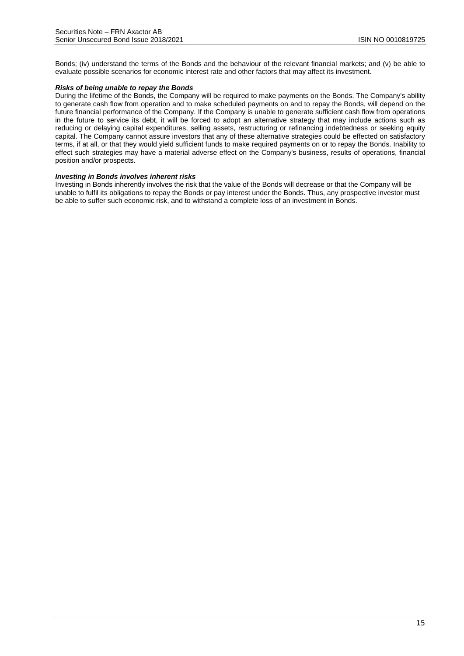Bonds; (iv) understand the terms of the Bonds and the behaviour of the relevant financial markets; and (v) be able to evaluate possible scenarios for economic interest rate and other factors that may affect its investment.

#### *Risks of being unable to repay the Bonds*

During the lifetime of the Bonds, the Company will be required to make payments on the Bonds. The Company's ability to generate cash flow from operation and to make scheduled payments on and to repay the Bonds, will depend on the future financial performance of the Company. If the Company is unable to generate sufficient cash flow from operations in the future to service its debt, it will be forced to adopt an alternative strategy that may include actions such as reducing or delaying capital expenditures, selling assets, restructuring or refinancing indebtedness or seeking equity capital. The Company cannot assure investors that any of these alternative strategies could be effected on satisfactory terms, if at all, or that they would yield sufficient funds to make required payments on or to repay the Bonds. Inability to effect such strategies may have a material adverse effect on the Company's business, results of operations, financial position and/or prospects.

#### *Investing in Bonds involves inherent risks*

Investing in Bonds inherently involves the risk that the value of the Bonds will decrease or that the Company will be unable to fulfil its obligations to repay the Bonds or pay interest under the Bonds. Thus, any prospective investor must be able to suffer such economic risk, and to withstand a complete loss of an investment in Bonds.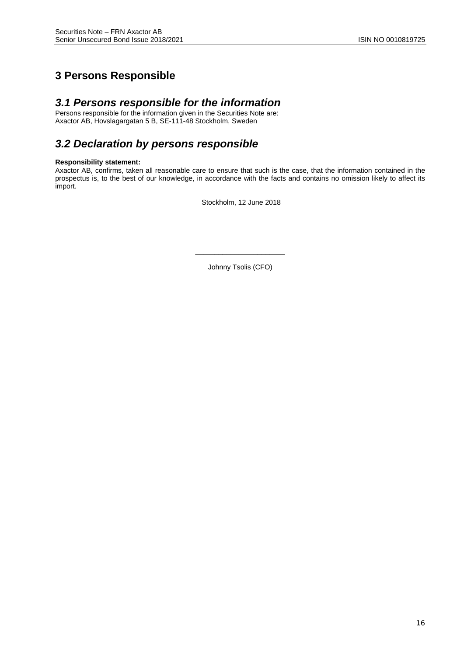# **3 Persons Responsible**

# *3.1 Persons responsible for the information*

Persons responsible for the information given in the Securities Note are: Axactor AB, Hovslagargatan 5 B, SE-111-48 Stockholm, Sweden

# *3.2 Declaration by persons responsible*

#### **Responsibility statement:**

Axactor AB, confirms, taken all reasonable care to ensure that such is the case, that the information contained in the prospectus is, to the best of our knowledge, in accordance with the facts and contains no omission likely to affect its import.

Stockholm, 12 June 2018

\_\_\_\_\_\_\_\_\_\_\_\_\_\_\_\_\_\_\_\_\_\_\_ Johnny Tsolis (CFO)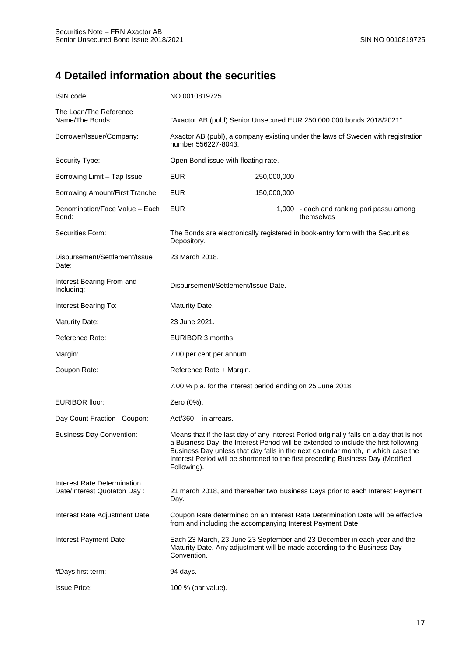# **4 Detailed information about the securities**

| ISIN code:                                                 | NO 0010819725                                               |             |                                                                                                                                                                                                                                                                                                                                                       |
|------------------------------------------------------------|-------------------------------------------------------------|-------------|-------------------------------------------------------------------------------------------------------------------------------------------------------------------------------------------------------------------------------------------------------------------------------------------------------------------------------------------------------|
| The Loan/The Reference<br>Name/The Bonds:                  |                                                             |             | "Axactor AB (publ) Senior Unsecured EUR 250,000,000 bonds 2018/2021".                                                                                                                                                                                                                                                                                 |
| Borrower/Issuer/Company:                                   | number 556227-8043.                                         |             | Axactor AB (publ), a company existing under the laws of Sweden with registration                                                                                                                                                                                                                                                                      |
| Security Type:                                             | Open Bond issue with floating rate.                         |             |                                                                                                                                                                                                                                                                                                                                                       |
| Borrowing Limit - Tap Issue:                               | <b>EUR</b>                                                  | 250,000,000 |                                                                                                                                                                                                                                                                                                                                                       |
| Borrowing Amount/First Tranche:                            | <b>EUR</b>                                                  | 150,000,000 |                                                                                                                                                                                                                                                                                                                                                       |
| Denomination/Face Value - Each<br>Bond:                    | <b>EUR</b>                                                  |             | 1,000 - each and ranking pari passu among<br>themselves                                                                                                                                                                                                                                                                                               |
| Securities Form:                                           | Depository.                                                 |             | The Bonds are electronically registered in book-entry form with the Securities                                                                                                                                                                                                                                                                        |
| Disbursement/Settlement/Issue<br>Date:                     | 23 March 2018.                                              |             |                                                                                                                                                                                                                                                                                                                                                       |
| Interest Bearing From and<br>Including:                    | Disbursement/Settlement/Issue Date.                         |             |                                                                                                                                                                                                                                                                                                                                                       |
| Interest Bearing To:                                       | Maturity Date.                                              |             |                                                                                                                                                                                                                                                                                                                                                       |
| <b>Maturity Date:</b>                                      | 23 June 2021.                                               |             |                                                                                                                                                                                                                                                                                                                                                       |
| Reference Rate:                                            | EURIBOR 3 months                                            |             |                                                                                                                                                                                                                                                                                                                                                       |
| Margin:                                                    | 7.00 per cent per annum                                     |             |                                                                                                                                                                                                                                                                                                                                                       |
| Coupon Rate:                                               | Reference Rate + Margin.                                    |             |                                                                                                                                                                                                                                                                                                                                                       |
|                                                            | 7.00 % p.a. for the interest period ending on 25 June 2018. |             |                                                                                                                                                                                                                                                                                                                                                       |
| <b>EURIBOR floor:</b>                                      | Zero (0%).                                                  |             |                                                                                                                                                                                                                                                                                                                                                       |
| Day Count Fraction - Coupon:                               | $Act/360 - in arrears.$                                     |             |                                                                                                                                                                                                                                                                                                                                                       |
| <b>Business Day Convention:</b>                            | Following).                                                 |             | Means that if the last day of any Interest Period originally falls on a day that is not<br>a Business Day, the Interest Period will be extended to include the first following<br>Business Day unless that day falls in the next calendar month, in which case the<br>Interest Period will be shortened to the first preceding Business Day (Modified |
| Interest Rate Determination<br>Date/Interest Quotaton Day: | Day.                                                        |             | 21 march 2018, and thereafter two Business Days prior to each Interest Payment                                                                                                                                                                                                                                                                        |
| Interest Rate Adjustment Date:                             | from and including the accompanying Interest Payment Date.  |             | Coupon Rate determined on an Interest Rate Determination Date will be effective                                                                                                                                                                                                                                                                       |
| Interest Payment Date:                                     | Convention.                                                 |             | Each 23 March, 23 June 23 September and 23 December in each year and the<br>Maturity Date. Any adjustment will be made according to the Business Day                                                                                                                                                                                                  |
| #Days first term:                                          | 94 days.                                                    |             |                                                                                                                                                                                                                                                                                                                                                       |
| <b>Issue Price:</b>                                        | 100 % (par value).                                          |             |                                                                                                                                                                                                                                                                                                                                                       |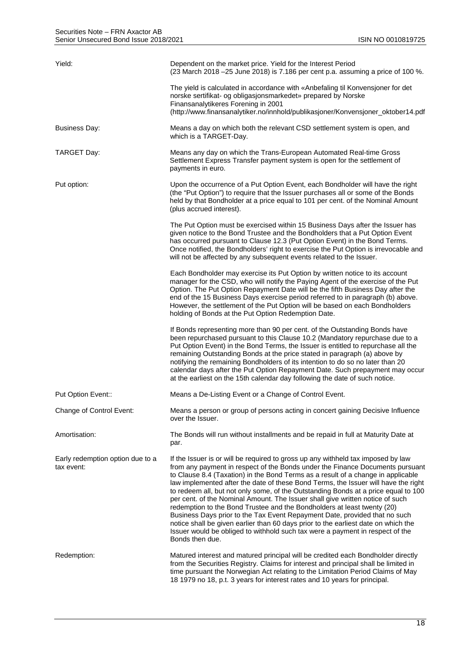| Yield:                                         | Dependent on the market price. Yield for the Interest Period<br>(23 March 2018 - 25 June 2018) is 7.186 per cent p.a. assuming a price of 100 %.                                                                                                                                                                                                                                                                                                                                                                                                                                                                                                                                                                                                                                                                                                                      |
|------------------------------------------------|-----------------------------------------------------------------------------------------------------------------------------------------------------------------------------------------------------------------------------------------------------------------------------------------------------------------------------------------------------------------------------------------------------------------------------------------------------------------------------------------------------------------------------------------------------------------------------------------------------------------------------------------------------------------------------------------------------------------------------------------------------------------------------------------------------------------------------------------------------------------------|
|                                                | The yield is calculated in accordance with «Anbefaling til Konvensjoner for det<br>norske sertifikat- og obligasjonsmarkedet» prepared by Norske<br>Finansanalytikeres Forening in 2001<br>(http://www.finansanalytiker.no/innhold/publikasjoner/Konvensjoner_oktober14.pdf                                                                                                                                                                                                                                                                                                                                                                                                                                                                                                                                                                                           |
| Business Day:                                  | Means a day on which both the relevant CSD settlement system is open, and<br>which is a TARGET-Day.                                                                                                                                                                                                                                                                                                                                                                                                                                                                                                                                                                                                                                                                                                                                                                   |
| TARGET Day:                                    | Means any day on which the Trans-European Automated Real-time Gross<br>Settlement Express Transfer payment system is open for the settlement of<br>payments in euro.                                                                                                                                                                                                                                                                                                                                                                                                                                                                                                                                                                                                                                                                                                  |
| Put option:                                    | Upon the occurrence of a Put Option Event, each Bondholder will have the right<br>(the "Put Option") to require that the Issuer purchases all or some of the Bonds<br>held by that Bondholder at a price equal to 101 per cent. of the Nominal Amount<br>(plus accrued interest).                                                                                                                                                                                                                                                                                                                                                                                                                                                                                                                                                                                     |
|                                                | The Put Option must be exercised within 15 Business Days after the Issuer has<br>given notice to the Bond Trustee and the Bondholders that a Put Option Event<br>has occurred pursuant to Clause 12.3 (Put Option Event) in the Bond Terms.<br>Once notified, the Bondholders' right to exercise the Put Option is irrevocable and<br>will not be affected by any subsequent events related to the Issuer.                                                                                                                                                                                                                                                                                                                                                                                                                                                            |
|                                                | Each Bondholder may exercise its Put Option by written notice to its account<br>manager for the CSD, who will notify the Paying Agent of the exercise of the Put<br>Option. The Put Option Repayment Date will be the fifth Business Day after the<br>end of the 15 Business Days exercise period referred to in paragraph (b) above.<br>However, the settlement of the Put Option will be based on each Bondholders<br>holding of Bonds at the Put Option Redemption Date.                                                                                                                                                                                                                                                                                                                                                                                           |
|                                                | If Bonds representing more than 90 per cent. of the Outstanding Bonds have<br>been repurchased pursuant to this Clause 10.2 (Mandatory repurchase due to a<br>Put Option Event) in the Bond Terms, the Issuer is entitled to repurchase all the<br>remaining Outstanding Bonds at the price stated in paragraph (a) above by<br>notifying the remaining Bondholders of its intention to do so no later than 20<br>calendar days after the Put Option Repayment Date. Such prepayment may occur<br>at the earliest on the 15th calendar day following the date of such notice.                                                                                                                                                                                                                                                                                         |
| Put Option Event::                             | Means a De-Listing Event or a Change of Control Event.                                                                                                                                                                                                                                                                                                                                                                                                                                                                                                                                                                                                                                                                                                                                                                                                                |
| Change of Control Event:                       | Means a person or group of persons acting in concert gaining Decisive Influence<br>over the Issuer.                                                                                                                                                                                                                                                                                                                                                                                                                                                                                                                                                                                                                                                                                                                                                                   |
| Amortisation:                                  | The Bonds will run without installments and be repaid in full at Maturity Date at<br>par.                                                                                                                                                                                                                                                                                                                                                                                                                                                                                                                                                                                                                                                                                                                                                                             |
| Early redemption option due to a<br>tax event: | If the Issuer is or will be required to gross up any withheld tax imposed by law<br>from any payment in respect of the Bonds under the Finance Documents pursuant<br>to Clause 8.4 (Taxation) in the Bond Terms as a result of a change in applicable<br>law implemented after the date of these Bond Terms, the Issuer will have the right<br>to redeem all, but not only some, of the Outstanding Bonds at a price equal to 100<br>per cent. of the Nominal Amount. The Issuer shall give written notice of such<br>redemption to the Bond Trustee and the Bondholders at least twenty (20)<br>Business Days prior to the Tax Event Repayment Date, provided that no such<br>notice shall be given earlier than 60 days prior to the earliest date on which the<br>Issuer would be obliged to withhold such tax were a payment in respect of the<br>Bonds then due. |
| Redemption:                                    | Matured interest and matured principal will be credited each Bondholder directly<br>from the Securities Registry. Claims for interest and principal shall be limited in<br>time pursuant the Norwegian Act relating to the Limitation Period Claims of May<br>18 1979 no 18, p.t. 3 years for interest rates and 10 years for principal.                                                                                                                                                                                                                                                                                                                                                                                                                                                                                                                              |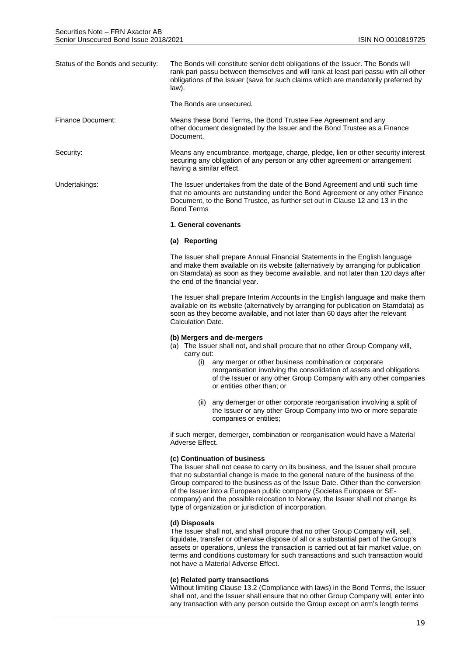| Status of the Bonds and security: | The Bonds will constitute senior debt obligations of the Issuer. The Bonds will<br>rank pari passu between themselves and will rank at least pari passu with all other<br>obligations of the Issuer (save for such claims which are mandatorily preferred by<br>law).<br>The Bonds are unsecured. |
|-----------------------------------|---------------------------------------------------------------------------------------------------------------------------------------------------------------------------------------------------------------------------------------------------------------------------------------------------|
|                                   |                                                                                                                                                                                                                                                                                                   |
| Finance Document:                 | Means these Bond Terms, the Bond Trustee Fee Agreement and any<br>other document designated by the Issuer and the Bond Trustee as a Finance<br>Document.                                                                                                                                          |
| Security:                         | Means any encumbrance, mortgage, charge, pledge, lien or other security interest<br>securing any obligation of any person or any other agreement or arrangement<br>having a similar effect.                                                                                                       |
| Undertakings:                     | The Issuer undertakes from the date of the Bond Agreement and until such time<br>that no amounts are outstanding under the Bond Agreement or any other Finance<br>Document, to the Bond Trustee, as further set out in Clause 12 and 13 in the<br><b>Bond Terms</b>                               |
|                                   | 1. General covenants                                                                                                                                                                                                                                                                              |
|                                   | (a) Reporting                                                                                                                                                                                                                                                                                     |
|                                   | The Issuer shall prepare Annual Financial Statements in the English language<br>and make them available on its website (alternatively by arranging for publication<br>on Stamdata) as soon as they become available, and not later than 120 days after<br>the end of the financial year.          |
|                                   | The Issuer shall prepare Interim Accounts in the English language and make them                                                                                                                                                                                                                   |

The Issuer shall prepare Interim Accounts in the English language and make them available on its website (alternatively by arranging for publication on Stamdata) as soon as they become available, and not later than 60 days after the relevant Calculation Date.

#### **(b) Mergers and de-mergers**

- (a) The Issuer shall not, and shall procure that no other Group Company will, carry out:
	- (i) any merger or other business combination or corporate reorganisation involving the consolidation of assets and obligations of the Issuer or any other Group Company with any other companies or entities other than; or
	- (ii) any demerger or other corporate reorganisation involving a split of the Issuer or any other Group Company into two or more separate companies or entities;

if such merger, demerger, combination or reorganisation would have a Material Adverse Effect.

#### **(c) Continuation of business**

The Issuer shall not cease to carry on its business, and the Issuer shall procure that no substantial change is made to the general nature of the business of the Group compared to the business as of the Issue Date. Other than the conversion of the Issuer into a European public company (Societas Europaea or SEcompany) and the possible relocation to Norway, the Issuer shall not change its type of organization or jurisdiction of incorporation.

#### **(d) Disposals**

The Issuer shall not, and shall procure that no other Group Company will, sell, liquidate, transfer or otherwise dispose of all or a substantial part of the Group's assets or operations, unless the transaction is carried out at fair market value, on terms and conditions customary for such transactions and such transaction would not have a Material Adverse Effect.

#### **(e) Related party transactions**

Without limiting Clause 13.2 (Compliance with laws) in the Bond Terms, the Issuer shall not, and the Issuer shall ensure that no other Group Company will, enter into any transaction with any person outside the Group except on arm's length terms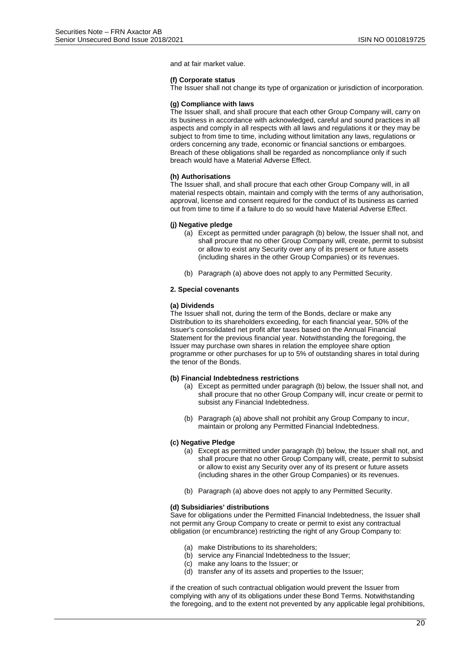and at fair market value.

#### **(f) Corporate status**

The Issuer shall not change its type of organization or jurisdiction of incorporation.

#### **(g) Compliance with laws**

The Issuer shall, and shall procure that each other Group Company will, carry on its business in accordance with acknowledged, careful and sound practices in all aspects and comply in all respects with all laws and regulations it or they may be subject to from time to time, including without limitation any laws, regulations or orders concerning any trade, economic or financial sanctions or embargoes. Breach of these obligations shall be regarded as noncompliance only if such breach would have a Material Adverse Effect.

#### **(h) Authorisations**

The Issuer shall, and shall procure that each other Group Company will, in all material respects obtain, maintain and comply with the terms of any authorisation, approval, license and consent required for the conduct of its business as carried out from time to time if a failure to do so would have Material Adverse Effect.

#### **(j) Negative pledge**

- (a) Except as permitted under paragraph (b) below, the Issuer shall not, and shall procure that no other Group Company will, create, permit to subsist or allow to exist any Security over any of its present or future assets (including shares in the other Group Companies) or its revenues.
- (b) Paragraph (a) above does not apply to any Permitted Security.

#### **2. Special covenants**

#### **(a) Dividends**

The Issuer shall not, during the term of the Bonds, declare or make any Distribution to its shareholders exceeding, for each financial year, 50% of the Issuer's consolidated net profit after taxes based on the Annual Financial Statement for the previous financial year. Notwithstanding the foregoing, the Issuer may purchase own shares in relation the employee share option programme or other purchases for up to 5% of outstanding shares in total during the tenor of the Bonds.

#### **(b) Financial Indebtedness restrictions**

- (a) Except as permitted under paragraph (b) below, the Issuer shall not, and shall procure that no other Group Company will, incur create or permit to subsist any Financial Indebtedness.
- (b) Paragraph (a) above shall not prohibit any Group Company to incur, maintain or prolong any Permitted Financial Indebtedness.

#### **(c) Negative Pledge**

- (a) Except as permitted under paragraph (b) below, the Issuer shall not, and shall procure that no other Group Company will, create, permit to subsist or allow to exist any Security over any of its present or future assets (including shares in the other Group Companies) or its revenues.
- (b) Paragraph (a) above does not apply to any Permitted Security.

#### **(d) Subsidiaries' distributions**

Save for obligations under the Permitted Financial Indebtedness, the Issuer shall not permit any Group Company to create or permit to exist any contractual obligation (or encumbrance) restricting the right of any Group Company to:

- (a) make Distributions to its shareholders;
- (b) service any Financial Indebtedness to the Issuer;
- (c) make any loans to the Issuer; or
- (d) transfer any of its assets and properties to the Issuer;

if the creation of such contractual obligation would prevent the Issuer from complying with any of its obligations under these Bond Terms. Notwithstanding the foregoing, and to the extent not prevented by any applicable legal prohibitions,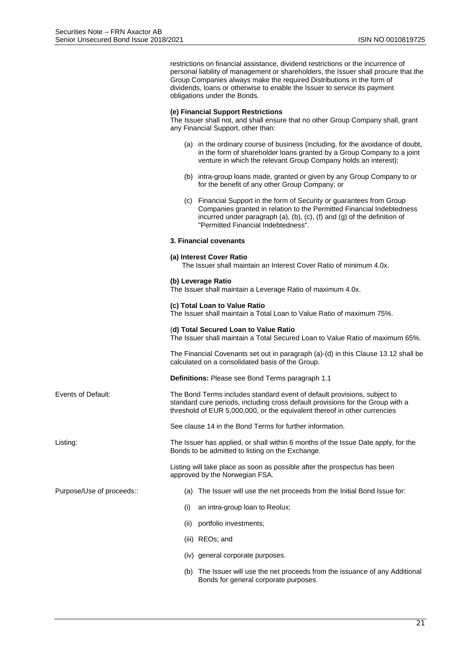restrictions on financial assistance, dividend restrictions or the incurrence of personal liability of management or shareholders, the Issuer shall procure that the Group Companies always make the required Distributions in the form of dividends, loans or otherwise to enable the Issuer to service its payment obligations under the Bonds.

#### **(e) Financial Support Restrictions**

The Issuer shall not, and shall ensure that no other Group Company shall, grant any Financial Support, other than:

- (a) in the ordinary course of business (including, for the avoidance of doubt, in the form of shareholder loans granted by a Group Company to a joint venture in which the relevant Group Company holds an interest);
- (b) intra-group loans made, granted or given by any Group Company to or for the benefit of any other Group Company; or
- (c) Financial Support in the form of Security or guarantees from Group Companies granted in relation to the Permitted Financial Indebtedness incurred under paragraph (a), (b), (c), (f) and (g) of the definition of "Permitted Financial Indebtedness".

#### **3. Financial covenants**

#### **(a) Interest Cover Ratio**

The Issuer shall maintain an Interest Cover Ratio of minimum 4.0x.

#### **(b) Leverage Ratio**

The Issuer shall maintain a Leverage Ratio of maximum 4.0x.

#### **(c) Total Loan to Value Ratio**

The Issuer shall maintain a Total Loan to Value Ratio of maximum 75%.

#### (**d) Total Secured Loan to Value Ratio**

The Issuer shall maintain a Total Secured Loan to Value Ratio of maximum 65%.

The Financial Covenants set out in paragraph (a)-(d) in this Clause 13.12 shall be calculated on a consolidated basis of the Group.

**Definitions:** Please see Bond Terms paragraph 1.1

Events of Default: The Bond Terms includes standard event of default provisions, subject to standard cure periods, including cross default provisions for the Group with a threshold of EUR 5,000,000, or the equivalent thereof in other currencies

See clause 14 in the Bond Terms for further information.

Listing: The Issuer has applied, or shall within 6 months of the Issue Date apply, for the Bonds to be admitted to listing on the Exchange.

> Listing will take place as soon as possible after the prospectus has been approved by the Norwegian FSA.

Purpose/Use of proceeds:: (a) The Issuer will use the net proceeds from the Initial Bond Issue for:

- (i) an intra-group loan to Reolux;
- (ii) portfolio investments;
- (iii) REOs; and
- (iv) general corporate purposes.
- (b) The Issuer will use the net proceeds from the issuance of any Additional Bonds for general corporate purposes.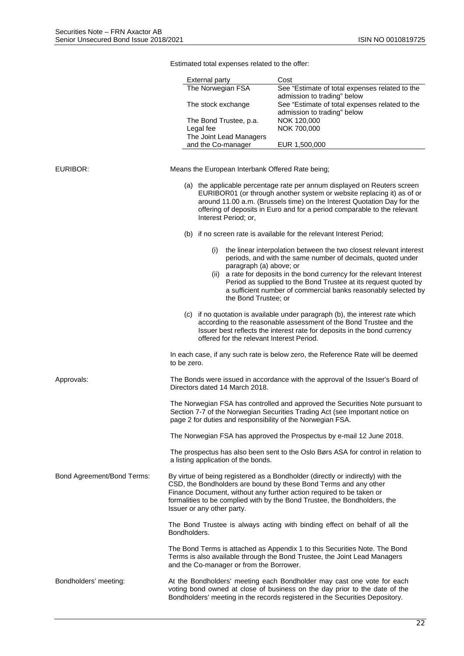|                            | <b>External party</b>                                      | Cost                                                                                                                                                                                                                                                                                                      |
|----------------------------|------------------------------------------------------------|-----------------------------------------------------------------------------------------------------------------------------------------------------------------------------------------------------------------------------------------------------------------------------------------------------------|
|                            | The Norwegian FSA                                          | See "Estimate of total expenses related to the<br>admission to trading" below                                                                                                                                                                                                                             |
|                            | The stock exchange                                         | See "Estimate of total expenses related to the<br>admission to trading" below                                                                                                                                                                                                                             |
|                            | The Bond Trustee, p.a.                                     | NOK 120,000                                                                                                                                                                                                                                                                                               |
|                            | Legal fee<br>The Joint Lead Managers                       | NOK 700,000                                                                                                                                                                                                                                                                                               |
|                            | and the Co-manager                                         | EUR 1,500,000                                                                                                                                                                                                                                                                                             |
|                            |                                                            |                                                                                                                                                                                                                                                                                                           |
| EURIBOR:                   | Means the European Interbank Offered Rate being;           |                                                                                                                                                                                                                                                                                                           |
|                            | Interest Period; or,                                       | (a) the applicable percentage rate per annum displayed on Reuters screen<br>EURIBOR01 (or through another system or website replacing it) as of or<br>around 11.00 a.m. (Brussels time) on the Interest Quotation Day for the<br>offering of deposits in Euro and for a period comparable to the relevant |
|                            |                                                            | (b) if no screen rate is available for the relevant Interest Period;                                                                                                                                                                                                                                      |
|                            | (i)<br>paragraph (a) above; or                             | the linear interpolation between the two closest relevant interest<br>periods, and with the same number of decimals, quoted under                                                                                                                                                                         |
|                            | (11)<br>the Bond Trustee; or                               | a rate for deposits in the bond currency for the relevant Interest<br>Period as supplied to the Bond Trustee at its request quoted by<br>a sufficient number of commercial banks reasonably selected by                                                                                                   |
|                            | offered for the relevant Interest Period.                  | (c) if no quotation is available under paragraph (b), the interest rate which<br>according to the reasonable assessment of the Bond Trustee and the<br>Issuer best reflects the interest rate for deposits in the bond currency                                                                           |
|                            | to be zero.                                                | In each case, if any such rate is below zero, the Reference Rate will be deemed                                                                                                                                                                                                                           |
| Approvals:                 | Directors dated 14 March 2018.                             | The Bonds were issued in accordance with the approval of the Issuer's Board of                                                                                                                                                                                                                            |
|                            | page 2 for duties and responsibility of the Norwegian FSA. | The Norwegian FSA has controlled and approved the Securities Note pursuant to<br>Section 7-7 of the Norwegian Securities Trading Act (see Important notice on                                                                                                                                             |
|                            |                                                            | The Norwegian FSA has approved the Prospectus by e-mail 12 June 2018.                                                                                                                                                                                                                                     |
|                            | a listing application of the bonds.                        | The prospectus has also been sent to the Oslo Børs ASA for control in relation to                                                                                                                                                                                                                         |
| Bond Agreement/Bond Terms: | Issuer or any other party.                                 | By virtue of being registered as a Bondholder (directly or indirectly) with the<br>CSD, the Bondholders are bound by these Bond Terms and any other<br>Finance Document, without any further action required to be taken or<br>formalities to be complied with by the Bond Trustee, the Bondholders, the  |
|                            | Bondholders.                                               | The Bond Trustee is always acting with binding effect on behalf of all the                                                                                                                                                                                                                                |
|                            | and the Co-manager or from the Borrower.                   | The Bond Terms is attached as Appendix 1 to this Securities Note. The Bond<br>Terms is also available through the Bond Trustee, the Joint Lead Managers                                                                                                                                                   |
| Bondholders' meeting:      |                                                            | At the Bondholders' meeting each Bondholder may cast one vote for each<br>voting bond owned at close of business on the day prior to the date of the<br>Bondholders' meeting in the records registered in the Securities Depository.                                                                      |

Estimated total expenses related to the offer: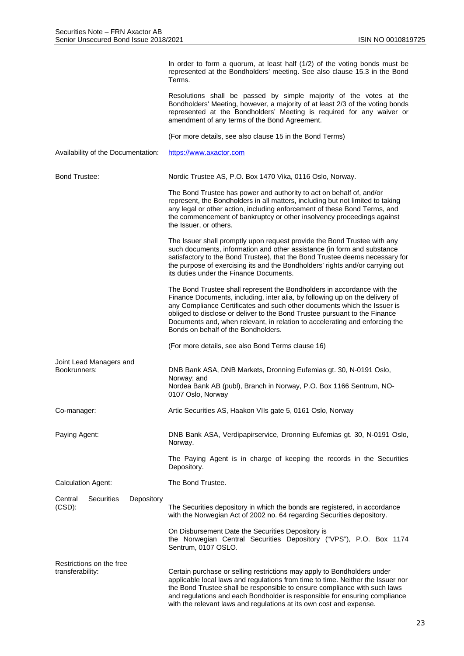|                                                         | In order to form a quorum, at least half (1/2) of the voting bonds must be<br>represented at the Bondholders' meeting. See also clause 15.3 in the Bond<br>Terms.                                                                                                                                                                                                                                                                       |
|---------------------------------------------------------|-----------------------------------------------------------------------------------------------------------------------------------------------------------------------------------------------------------------------------------------------------------------------------------------------------------------------------------------------------------------------------------------------------------------------------------------|
|                                                         | Resolutions shall be passed by simple majority of the votes at the<br>Bondholders' Meeting, however, a majority of at least 2/3 of the voting bonds<br>represented at the Bondholders' Meeting is required for any waiver or<br>amendment of any terms of the Bond Agreement.                                                                                                                                                           |
|                                                         | (For more details, see also clause 15 in the Bond Terms)                                                                                                                                                                                                                                                                                                                                                                                |
| Availability of the Documentation:                      | https://www.axactor.com                                                                                                                                                                                                                                                                                                                                                                                                                 |
| <b>Bond Trustee:</b>                                    | Nordic Trustee AS, P.O. Box 1470 Vika, 0116 Oslo, Norway.                                                                                                                                                                                                                                                                                                                                                                               |
|                                                         | The Bond Trustee has power and authority to act on behalf of, and/or<br>represent, the Bondholders in all matters, including but not limited to taking<br>any legal or other action, including enforcement of these Bond Terms, and<br>the commencement of bankruptcy or other insolvency proceedings against<br>the Issuer, or others.                                                                                                 |
|                                                         | The Issuer shall promptly upon request provide the Bond Trustee with any<br>such documents, information and other assistance (in form and substance<br>satisfactory to the Bond Trustee), that the Bond Trustee deems necessary for<br>the purpose of exercising its and the Bondholders' rights and/or carrying out<br>its duties under the Finance Documents.                                                                         |
|                                                         | The Bond Trustee shall represent the Bondholders in accordance with the<br>Finance Documents, including, inter alia, by following up on the delivery of<br>any Compliance Certificates and such other documents which the Issuer is<br>obliged to disclose or deliver to the Bond Trustee pursuant to the Finance<br>Documents and, when relevant, in relation to accelerating and enforcing the<br>Bonds on behalf of the Bondholders. |
|                                                         | (For more details, see also Bond Terms clause 16)                                                                                                                                                                                                                                                                                                                                                                                       |
| Joint Lead Managers and<br>Bookrunners:                 | DNB Bank ASA, DNB Markets, Dronning Eufemias gt. 30, N-0191 Oslo,<br>Norway; and<br>Nordea Bank AB (publ), Branch in Norway, P.O. Box 1166 Sentrum, NO-<br>0107 Oslo, Norway                                                                                                                                                                                                                                                            |
| Co-manager:                                             | Artic Securities AS, Haakon VIIs gate 5, 0161 Oslo, Norway                                                                                                                                                                                                                                                                                                                                                                              |
| Paying Agent:                                           | DNB Bank ASA, Verdipapirservice, Dronning Eufemias gt. 30, N-0191 Oslo,<br>Norway.                                                                                                                                                                                                                                                                                                                                                      |
|                                                         | The Paying Agent is in charge of keeping the records in the Securities<br>Depository.                                                                                                                                                                                                                                                                                                                                                   |
| <b>Calculation Agent:</b>                               | The Bond Trustee.                                                                                                                                                                                                                                                                                                                                                                                                                       |
| <b>Securities</b><br>Depository<br>Central<br>$(CSD)$ : | The Securities depository in which the bonds are registered, in accordance<br>with the Norwegian Act of 2002 no. 64 regarding Securities depository.                                                                                                                                                                                                                                                                                    |
|                                                         | On Disbursement Date the Securities Depository is<br>the Norwegian Central Securities Depository ("VPS"), P.O. Box 1174<br>Sentrum, 0107 OSLO.                                                                                                                                                                                                                                                                                          |
| Restrictions on the free<br>transferability:            | Certain purchase or selling restrictions may apply to Bondholders under<br>applicable local laws and regulations from time to time. Neither the Issuer nor<br>the Bond Trustee shall be responsible to ensure compliance with such laws<br>and regulations and each Bondholder is responsible for ensuring compliance<br>with the relevant laws and regulations at its own cost and expense.                                            |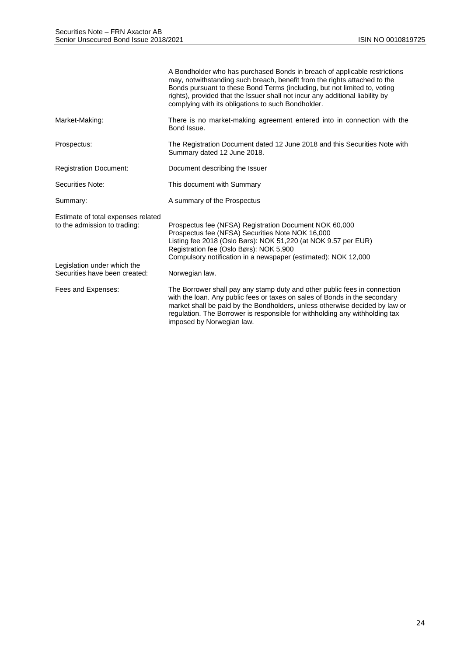|                                                                    | A Bondholder who has purchased Bonds in breach of applicable restrictions<br>may, notwithstanding such breach, benefit from the rights attached to the<br>Bonds pursuant to these Bond Terms (including, but not limited to, voting<br>rights), provided that the Issuer shall not incur any additional liability by<br>complying with its obligations to such Bondholder. |
|--------------------------------------------------------------------|----------------------------------------------------------------------------------------------------------------------------------------------------------------------------------------------------------------------------------------------------------------------------------------------------------------------------------------------------------------------------|
| Market-Making:                                                     | There is no market-making agreement entered into in connection with the<br>Bond Issue.                                                                                                                                                                                                                                                                                     |
| Prospectus:                                                        | The Registration Document dated 12 June 2018 and this Securities Note with<br>Summary dated 12 June 2018.                                                                                                                                                                                                                                                                  |
| <b>Registration Document:</b>                                      | Document describing the Issuer                                                                                                                                                                                                                                                                                                                                             |
| Securities Note:                                                   | This document with Summary                                                                                                                                                                                                                                                                                                                                                 |
| Summary:                                                           | A summary of the Prospectus                                                                                                                                                                                                                                                                                                                                                |
| Estimate of total expenses related<br>to the admission to trading: | Prospectus fee (NFSA) Registration Document NOK 60,000<br>Prospectus fee (NFSA) Securities Note NOK 16,000<br>Listing fee 2018 (Oslo Børs): NOK 51,220 (at NOK 9.57 per EUR)<br>Registration fee (Oslo Børs): NOK 5,900<br>Compulsory notification in a newspaper (estimated): NOK 12,000                                                                                  |
| Legislation under which the<br>Securities have been created:       | Norwegian law.                                                                                                                                                                                                                                                                                                                                                             |
| Fees and Expenses:                                                 | The Borrower shall pay any stamp duty and other public fees in connection<br>with the loan. Any public fees or taxes on sales of Bonds in the secondary<br>market shall be paid by the Bondholders, unless otherwise decided by law or<br>regulation. The Borrower is responsible for withholding any withholding tax<br>imposed by Norwegian law.                         |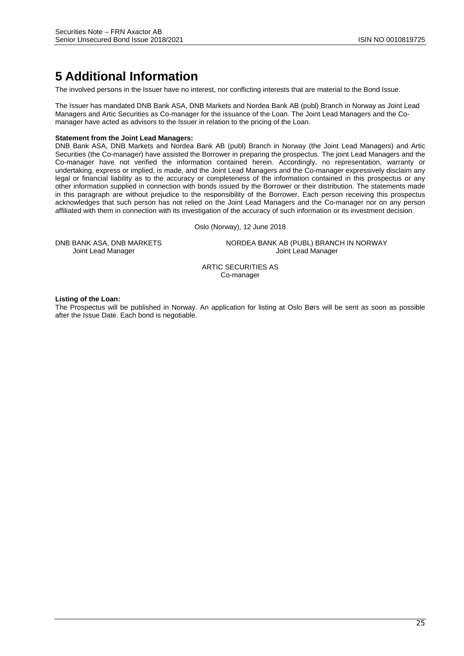# **5 Additional Information**

The involved persons in the Issuer have no interest, nor conflicting interests that are material to the Bond Issue.

The Issuer has mandated DNB Bank ASA, DNB Markets and Nordea Bank AB (publ) Branch in Norway as Joint Lead Managers and Artic Securities as Co-manager for the issuance of the Loan. The Joint Lead Managers and the Comanager have acted as advisors to the Issuer in relation to the pricing of the Loan.

#### **Statement from the Joint Lead Managers:**

DNB Bank ASA, DNB Markets and Nordea Bank AB (publ) Branch in Norway (the Joint Lead Managers) and Artic Securities (the Co-manager) have assisted the Borrower in preparing the prospectus. The joint Lead Managers and the Co-manager have not verified the information contained herein. Accordingly, no representation, warranty or undertaking, express or implied, is made, and the Joint Lead Managers and the Co-manager expressively disclaim any legal or financial liability as to the accuracy or completeness of the information contained in this prospectus or any other information supplied in connection with bonds issued by the Borrower or their distribution. The statements made in this paragraph are without prejudice to the responsibility of the Borrower. Each person receiving this prospectus acknowledges that such person has not relied on the Joint Lead Managers and the Co-manager nor on any person affiliated with them in connection with its investigation of the accuracy of such information or its investment decision.

Oslo (Norway), 12 June 2018

DNB BANK ASA, DNB MARKETS NORDEA BANK AB (PUBL) BRANCH IN NORWAY Joint Lead Manager Joint Lead Manager

> ARTIC SECURITIES AS Co-manager

**Listing of the Loan:** 

The Prospectus will be published in Norway. An application for listing at Oslo Børs will be sent as soon as possible after the Issue Date. Each bond is negotiable.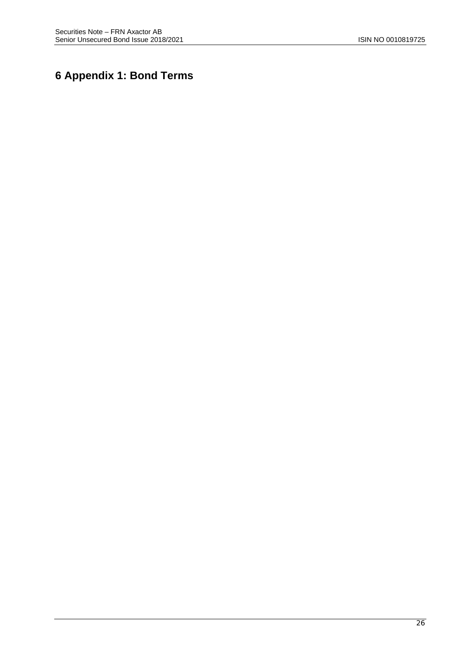# **6 Appendix 1: Bond Terms**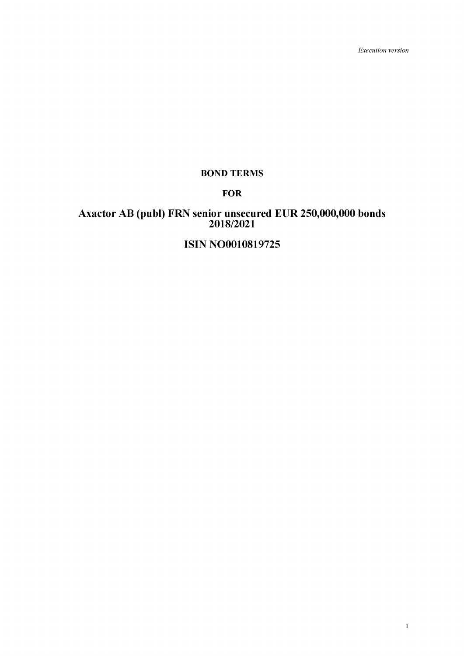*Execution version*

# **BOND TERMS**

# **FOR**

# **Axactor AB (publ) FRN senior unsecured EUR 250,000,000 bonds 2018/2021**

# **ISIN NO0010819725**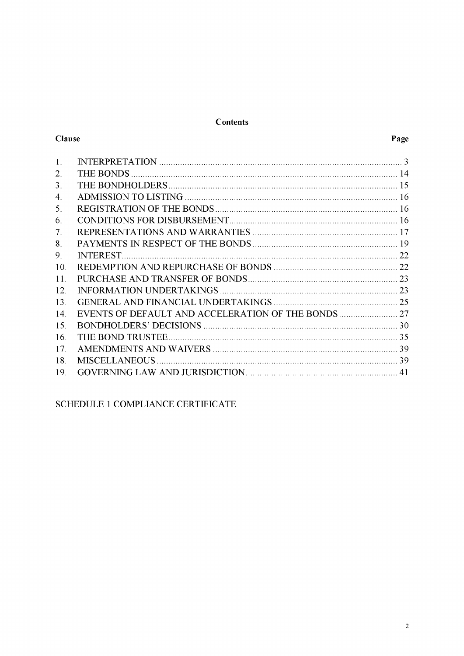# **Contents**

# Clause

| 1.          |    |
|-------------|----|
| 2.          |    |
| 3.          |    |
| 4.          |    |
| 5.          |    |
| 6.          |    |
| $7_{\cdot}$ |    |
| 8.          |    |
| 9.          |    |
| 10.         |    |
| 11.         |    |
| 12          |    |
| 13          |    |
| 14          |    |
| 15.         |    |
| 16          |    |
| 17.         |    |
| 18          |    |
| 19          | 41 |

# SCHEDULE 1 COMPLIANCE CERTIFICATE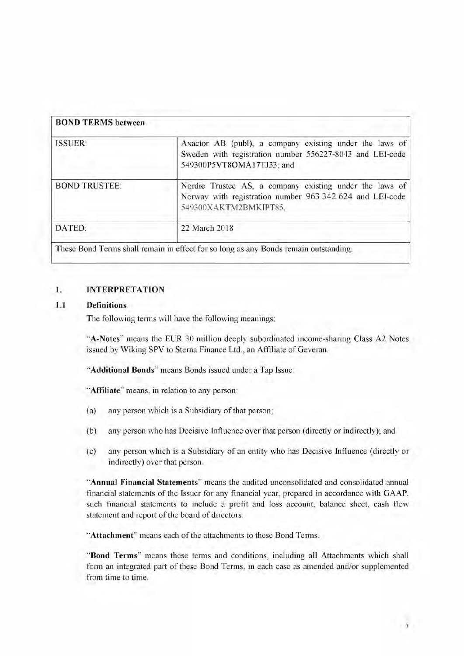| <b>ISSUER:</b>       | Axactor AB (publ), a company existing under the laws of<br>Sweden with registration number 556227-8043 and LEI-code<br>549300P5VT8OMA17TJ33; and |
|----------------------|--------------------------------------------------------------------------------------------------------------------------------------------------|
| <b>BOND TRUSTEE:</b> | Nordic Trustee AS, a company existing under the laws of<br>Norway with registration number 963 342 624 and LEI-code<br>549300XAKTM2BMKIPT85.     |
| DATED:               | 22 March 2018                                                                                                                                    |

#### <span id="page-28-0"></span>**1. INTERPRETATION**

#### **1.1 Definitions**

The following terms will have the following meanings:

"**A-Notes**" means the EUR 30 million deeply subordinated income-sharing Class A2 Notes issued by Wiking SPV to Sterna Finance Ltd., an Affiliate of Geveran.

"**Additional Bonds**" means Bonds issued under a Tap Issue.

"**Affiliate**" means, in relation to any person:

- (a) any person which is a Subsidiary of that person;
- (b) any person who has Decisive Influence over that person (directly or indirectly); and
- (c) any person which is a Subsidiary of an entity who has Decisive Influence (directly or indirectly) over that person.

"**Annual Financial Statements**" means the audited unconsolidated and consolidated annual financial statements of the Issuer for any financial year, prepared in accordance with GAAP, such financial statements to include a profit and loss account, balance sheet, cash flow statement and report of the board of directors.

"**Attachment**" means each of the attachments to these Bond Terms.

"**Bond Terms**" means these terms and conditions, including all Attachments which shall form an integrated part of these Bond Terms, in each case as amended and/or supplemented from time to time.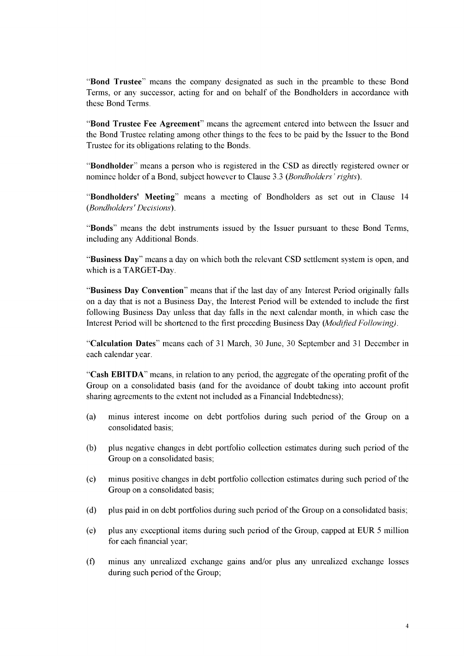"**Bond Trustee**" means the company designated as such in the preamble to these Bond Terms, or any successor, acting for and on behalf of the Bondholders in accordance with these Bond Terms.

"**Bond Trustee Fee Agreement**" means the agreement entered into between the Issuer and the Bond Trustee relating among other things to the fees to be paid by the Issuer to the Bond Trustee for its obligations relating to the Bonds.

"**Bondholder**" means a person who is registered in the CSD as directly registered owner or nominee holder of a Bond, subject however to Clause [3.3](#page-40-1) *(Bondholders ' rights).*

"**Bondholders' Meeting**" means a meeting of Bondholders as set out in Claus[e 14](#page-52-0) *(Bondholders' Decisions*).

"**Bonds**" means the debt instruments issued by the Issuer pursuant to these Bond Terms, including any Additional Bonds.

"**Business Day**" means a day on which both the relevant CSD settlement system is open, and which is a TARGET-Day.

"**Business Day Convention**" means that if the last day of any Interest Period originally falls on a day that is not a Business Day, the Interest Period will be extended to include the first following Business Day unless that day falls in the next calendar month, in which case the Interest Period will be shortened to the first preceding Business Day *(Modified Following).*

"**Calculation Dates**" means each of 31 March, 30 June, 30 September and 31 December in each calendar year.

"**Cash EBITDA**" means, in relation to any period, the aggregate of the operating profit of the Group on a consolidated basis (and for the avoidance of doubt taking into account profit sharing agreements to the extent not included as a Financial Indebtedness);

- (a) minus interest income on debt portfolios during such period of the Group on a consolidated basis;
- (b) plus negative changes in debt portfolio collection estimates during such period of the Group on a consolidated basis;
- (c) minus positive changes in debt portfolio collection estimates during such period of the Group on a consolidated basis;
- (d) plus paid in on debt portfolios during such period of the Group on a consolidated basis;
- (e) plus any exceptional items during such period of the Group, capped at EUR 5 million for each financial year;
- (f) minus any unrealized exchange gains and/or plus any unrealized exchange losses during such period of the Group;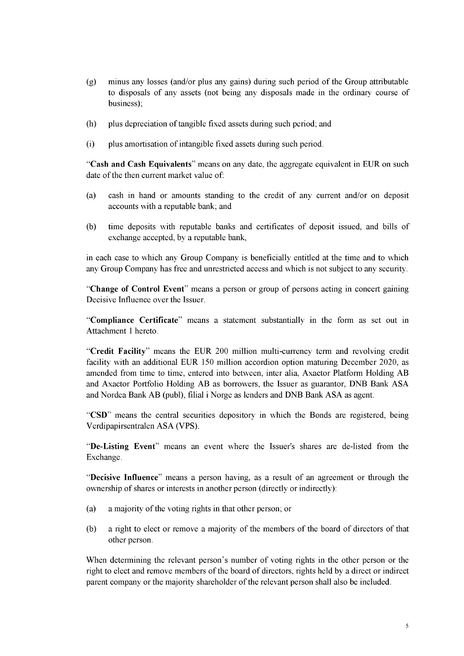- (g) minus any losses (and/or plus any gains) during such period of the Group attributable to disposals of any assets (not being any disposals made in the ordinary course of business);
- (h) plus depreciation of tangible fixed assets during such period; and
- (i) plus amortisation of intangible fixed assets during such period.

"**Cash and Cash Equivalents**" means on any date, the aggregate equivalent in EUR on such date of the then current market value of:

- (a) cash in hand or amounts standing to the credit of any current and/or on deposit accounts with a reputable bank; and
- (b) time deposits with reputable banks and certificates of deposit issued, and bills of exchange accepted, by a reputable bank,

in each case to which any Group Company is beneficially entitled at the time and to which any Group Company has free and unrestricted access and which is not subject to any security.

"**Change of Control Event**" means a person or group of persons acting in concert gaining Decisive Influence over the Issuer.

"**Compliance Certificate**" means a statement substantially in the form as set out in Attachment 1 hereto.

"**Credit Facility**" means the EUR 200 million multi-currency term and revolving credit facility with an additional EUR 150 million accordion option maturing December 2020, as amended from time to time, entered into between, inter alia, Axactor Platform Holding AB and Axactor Portfolio Holding AB as borrowers, the Issuer as guarantor, DNB Bank ASA and Nordea Bank AB (publ), filial i Norge as lenders and DNB Bank ASA as agent.

"**CSD**" means the central securities depository in which the Bonds are registered, being Verdipapirsentralen ASA (VPS).

"**De-Listing Event**" means an event where the Issuer's shares are de-listed from the Exchange.

"**Decisive Influence**" means a person having, as a result of an agreement or through the ownership of shares or interests in another person (directly or indirectly):

- (a) a majority of the voting rights in that other person; or
- (b) a right to elect or remove a majority of the members of the board of directors of that other person.

When determining the relevant person's number of voting rights in the other person or the right to elect and remove members of the board of directors, rights held by a direct or indirect parent company or the majority shareholder of the relevant person shall also be included.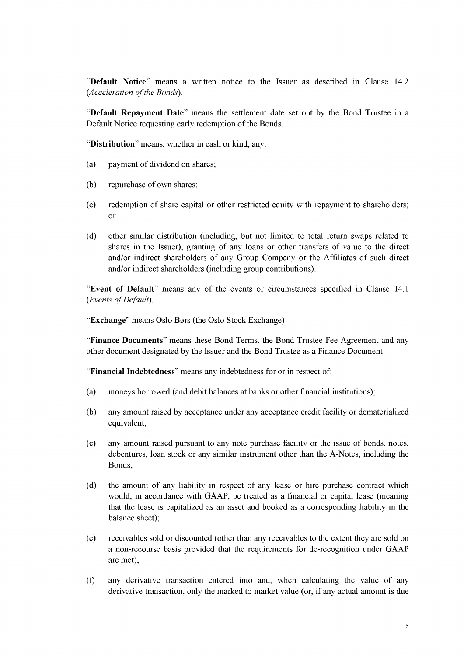"**Default Notice**" means a written notice to the Issuer as described in Claus[e 14.2](#page-54-0) *(Acceleration of the Bonds).*

"**Default Repayment Date**" means the settlement date set out by the Bond Trustee in a Default Notice requesting early redemption of the Bonds.

"**Distribution**" means, whether in cash or kind, any:

- (a) payment of dividend on shares;
- (b) repurchase of own shares;
- (c) redemption of share capital or other restricted equity with repayment to shareholders; or
- (d) other similar distribution (including, but not limited to total return swaps related to shares in the Issuer), granting of any loans or other transfers of value to the direct and/or indirect shareholders of any Group Company or the Affiliates of such direct and/or indirect shareholders (including group contributions).

"**Event of Default**" means any of the events or circumstances specified in Clause [14.1](#page-52-0) *(Events of Default).*

"**Exchange**" means Oslo Børs (the Oslo Stock Exchange).

"**Finance Documents**" means these Bond Terms, the Bond Trustee Fee Agreement and any other document designated by the Issuer and the Bond Trustee as a Finance Document.

"**Financial Indebtedness**" means any indebtedness for or in respect of:

- (a) moneys borrowed (and debit balances at banks or other financial institutions);
- (b) any amount raised by acceptance under any acceptance credit facility or dematerialized equivalent;
- (c) any amount raised pursuant to any note purchase facility or the issue of bonds, notes, debentures, loan stock or any similar instrument other than the A-Notes, including the Bonds;
- (d) the amount of any liability in respect of any lease or hire purchase contract which would, in accordance with GAAP, be treated as a financial or capital lease (meaning that the lease is capitalized as an asset and booked as a corresponding liability in the balance sheet);
- (e) receivables sold or discounted (other than any receivables to the extent they are sold on a non-recourse basis provided that the requirements for de-recognition under GAAP are met);
- (f) any derivative transaction entered into and, when calculating the value of any derivative transaction, only the marked to market value (or, if any actual amount is due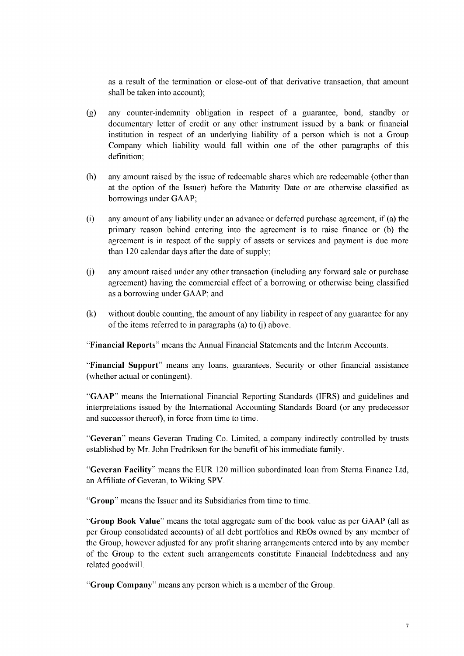as a result of the termination or close-out of that derivative transaction, that amount shall be taken into account);

- (g) any counter-indemnity obligation in respect of a guarantee, bond, standby or documentary letter of credit or any other instrument issued by a bank or financial institution in respect of an underlying liability of a person which is not a Group Company which liability would fall within one of the other paragraphs of this definition;
- (h) any amount raised by the issue of redeemable shares which are redeemable (other than at the option of the Issuer) before the Maturity Date or are otherwise classified as borrowings under GAAP;
- (i) any amount of any liability under an advance or deferred purchase agreement, if (a) the primary reason behind entering into the agreement is to raise finance or (b) the agreement is in respect of the supply of assets or services and payment is due more than 120 calendar days after the date of supply;
- (j) any amount raised under any other transaction (including any forward sale or purchase agreement) having the commercial effect of a borrowing or otherwise being classified as a borrowing under GAAP; and
- (k) without double counting, the amount of any liability in respect of any guarantee for any of the items referred to in paragraphs (a) to (j) above.

"**Financial Reports**" means the Annual Financial Statements and the Interim Accounts.

"**Financial Support**" means any loans, guarantees, Security or other financial assistance (whether actual or contingent).

"**GAAP**" means the International Financial Reporting Standards (IFRS) and guidelines and interpretations issued by the International Accounting Standards Board (or any predecessor and successor thereof), in force from time to time.

"**Geveran**" means Geveran Trading Co. Limited, a company indirectly controlled by trusts established by Mr. John Fredriksen for the benefit of his immediate family.

"**Geveran Facility**" means the EUR 120 million subordinated loan from Sterna Finance Ltd, an Affiliate of Geveran, to Wiking SPV.

"**Group**" means the Issuer and its Subsidiaries from time to time.

"**Group Book Value**" means the total aggregate sum of the book value as per GAAP (all as per Group consolidated accounts) of all debt portfolios and REOs owned by any member of the Group, however adjusted for any profit sharing arrangements entered into by any member of the Group to the extent such arrangements constitute Financial Indebtedness and any related goodwill.

"**Group Company**" means any person which is a member of the Group.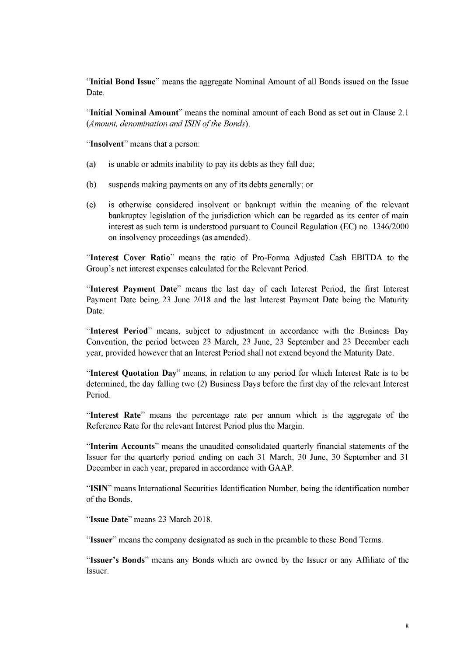"**Initial Bond Issue**" means the aggregate Nominal Amount of all Bonds issued on the Issue Date.

"**Initial Nominal Amount**" means the nominal amount of each Bond as set out in Claus[e 2.1](#page-39-0) (*Amount, denomination and ISIN of the Bonds).*

"**Insolvent**" means that a person:

- (a) is unable or admits inability to pay its debts as they fall due;
- (b) suspends making payments on any of its debts generally; or
- (c) is otherwise considered insolvent or bankrupt within the meaning of the relevant bankruptcy legislation of the jurisdiction which can be regarded as its center of main interest as such term is understood pursuant to Council Regulation (EC) no. 1346/2000 on insolvency proceedings (as amended).

"**Interest Cover Ratio**" means the ratio of Pro-Forma Adjusted Cash EBITDA to the Group's net interest expenses calculated for the Relevant Period.

"**Interest Payment Date**" means the last day of each Interest Period, the first Interest Payment Date being 23 June 2018 and the last Interest Payment Date being the Maturity Date.

"**Interest Period**" means, subject to adjustment in accordance with the Business Day Convention, the period between 23 March, 23 June, 23 September and 23 December each year, provided however that an Interest Period shall not extend beyond the Maturity Date.

"**Interest Quotation Day**" means, in relation to any period for which Interest Rate is to be determined, the day falling two (2) Business Days before the first day of the relevant Interest Period.

"**Interest Rate**" means the percentage rate per annum which is the aggregate of the Reference Rate for the relevant Interest Period plus the Margin.

"**Interim Accounts**" means the unaudited consolidated quarterly financial statements of the Issuer for the quarterly period ending on each 31 March, 30 June, 30 September and 31 December in each year, prepared in accordance with GAAP.

"**ISIN**" means International Securities Identification Number, being the identification number of the Bonds.

"**Issue Date**" means 23 March 2018.

"**Issuer**" means the company designated as such in the preamble to these Bond Terms.

"**Issuer's Bonds**" means any Bonds which are owned by the Issuer or any Affiliate of the Issuer.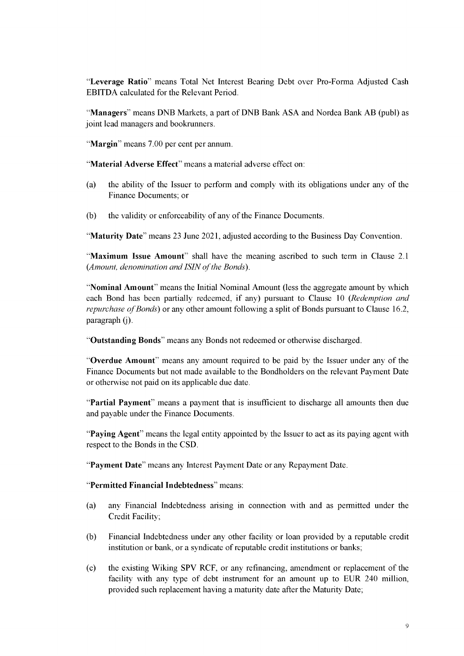"**Leverage Ratio**" means Total Net Interest Bearing Debt over Pro-Forma Adjusted Cash EBITDA calculated for the Relevant Period.

"**Managers**" means DNB Markets, a part of DNB Bank ASA and Nordea Bank AB (publ) as joint lead managers and bookrunners.

"**Margin**" means 7.00 per cent per annum.

"**Material Adverse Effect**" means a material adverse effect on:

- (a) the ability of the Issuer to perform and comply with its obligations under any of the Finance Documents; or
- (b) the validity or enforceability of any of the Finance Documents.

"**Maturity Date**" means 23 June 2021, adjusted according to the Business Day Convention.

"**Maximum Issue Amount**" shall have the meaning ascribed to such term in Clause [2.1](#page-39-0) *(Amount, denomination and ISIN of the Bonds).*

"**Nominal Amount**" means the Initial Nominal Amount (less the aggregate amount by which each Bond has been partially redeemed, if any) pursuant to Claus[e 10](#page-47-1) *(Redemption and repurchase of Bonds*) or any other amount following a split of Bonds pursuant to Clause 16.2, paragraph (j).

"**Outstanding Bonds**" means any Bonds not redeemed or otherwise discharged.

"**Overdue Amount**" means any amount required to be paid by the Issuer under any of the Finance Documents but not made available to the Bondholders on the relevant Payment Date or otherwise not paid on its applicable due date.

"**Partial Payment**" means a payment that is insufficient to discharge all amounts then due and payable under the Finance Documents.

"**Paying Agent**" means the legal entity appointed by the Issuer to act as its paying agent with respect to the Bonds in the CSD.

"**Payment Date**" means any Interest Payment Date or any Repayment Date.

"**Permitted Financial Indebtedness**" means:

- (a) any Financial Indebtedness arising in connection with and as permitted under the Credit Facility;
- (b) Financial Indebtedness under any other facility or loan provided by a reputable credit institution or bank, or a syndicate of reputable credit institutions or banks;
- (c) the existing Wiking SPV RCF, or any refinancing, amendment or replacement of the facility with any type of debt instrument for an amount up to EUR 240 million, provided such replacement having a maturity date after the Maturity Date;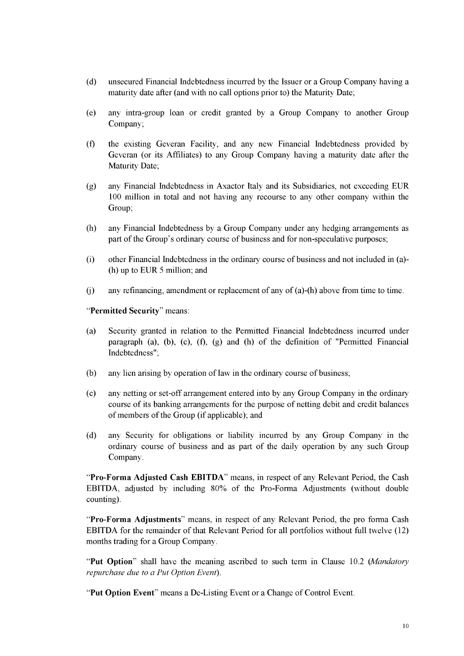- (d) unsecured Financial Indebtedness incurred by the Issuer or a Group Company having a maturity date after (and with no call options prior to) the Maturity Date;
- (e) any intra-group loan or credit granted by a Group Company to another Group Company;
- (f) the existing Geveran Facility, and any new Financial Indebtedness provided by Geveran (or its Affiliates) to any Group Company having a maturity date after the Maturity Date;
- (g) any Financial Indebtedness in Axactor Italy and its Subsidiaries, not exceeding EUR 100 million in total and not having any recourse to any other company within the Group;
- (h) any Financial Indebtedness by a Group Company under any hedging arrangements as part of the Group's ordinary course of business and for non-speculative purposes;
- (i) other Financial Indebtedness in the ordinary course of business and not included in (a)- (h) up to EUR 5 million; and
- (j) any refinancing, amendment or replacement of any of (a)-(h) above from time to time.

"**Permitted Security**" means:

- (a) Security granted in relation to the Permitted Financial Indebtedness incurred under paragraph (a), (b), (c), (f), (g) and (h) of the definition of "Permitted Financial Indebtedness";
- (b) any lien arising by operation of law in the ordinary course of business;
- (c) any netting or set-off arrangement entered into by any Group Company in the ordinary course of its banking arrangements for the purpose of netting debit and credit balances of members of the Group (if applicable); and
- (d) any Security for obligations or liability incurred by any Group Company in the ordinary course of business and as part of the daily operation by any such Group Company.

"**Pro-Forma Adjusted Cash EBITDA**" means, in respect of any Relevant Period, the Cash EBITDA, adjusted by including 80% of the Pro-Forma Adjustments (without double counting).

"**Pro-Forma Adjustments**" means, in respect of any Relevant Period, the pro forma Cash EBITDA for the remainder of that Relevant Period for all portfolios without full twelve (12) months trading for a Group Company.

"**Put Option**" shall have the meaning ascribed to such term in Claus[e 10.2](#page-47-2) *(Mandatory repurchase due to a Put Option Event).*

"**Put Option Event**" means a De-Listing Event or a Change of Control Event.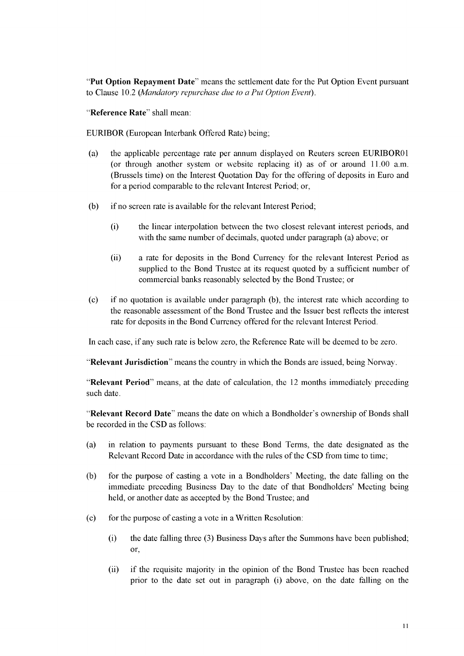"**Put Option Repayment Date**" means the settlement date for the Put Option Event pursuant to Clause [10.2](#page-47-2) *(Mandatory repurchase due to a Put Option Event).*

"**Reference Rate**" shall mean:

EURIBOR (European Interbank Offered Rate) being;

- (a) the applicable percentage rate per annum displayed on Reuters screen EURIBOR01 (or through another system or website replacing it) as of or around 11.00 a.m. (Brussels time) on the Interest Quotation Day for the offering of deposits in Euro and for a period comparable to the relevant Interest Period; or,
- (b) if no screen rate is available for the relevant Interest Period;
	- (i) the linear interpolation between the two closest relevant interest periods, and with the same number of decimals, quoted under paragraph (a) above; or
	- (ii) a rate for deposits in the Bond Currency for the relevant Interest Period as supplied to the Bond Trustee at its request quoted by a sufficient number of commercial banks reasonably selected by the Bond Trustee; or
- (c) if no quotation is available under paragraph (b), the interest rate which according to the reasonable assessment of the Bond Trustee and the Issuer best reflects the interest rate for deposits in the Bond Currency offered for the relevant Interest Period.

In each case, if any such rate is below zero, the Reference Rate will be deemed to be zero.

"**Relevant Jurisdiction**" means the country in which the Bonds are issued, being Norway.

"**Relevant Period**" means, at the date of calculation, the 12 months immediately preceding such date.

"**Relevant Record Date**" means the date on which a Bondholder's ownership of Bonds shall be recorded in the CSD as follows:

- (a) in relation to payments pursuant to these Bond Terms, the date designated as the Relevant Record Date in accordance with the rules of the CSD from time to time;
- (b) for the purpose of casting a vote in a Bondholders' Meeting, the date falling on the immediate preceding Business Day to the date of that Bondholders' Meeting being held, or another date as accepted by the Bond Trustee; and
- (c) for the purpose of casting a vote in a Written Resolution:
	- (i) the date falling three (3) Business Days after the Summons have been published; or,
	- (ii) if the requisite majority in the opinion of the Bond Trustee has been reached prior to the date set out in paragraph (i) above, on the date falling on the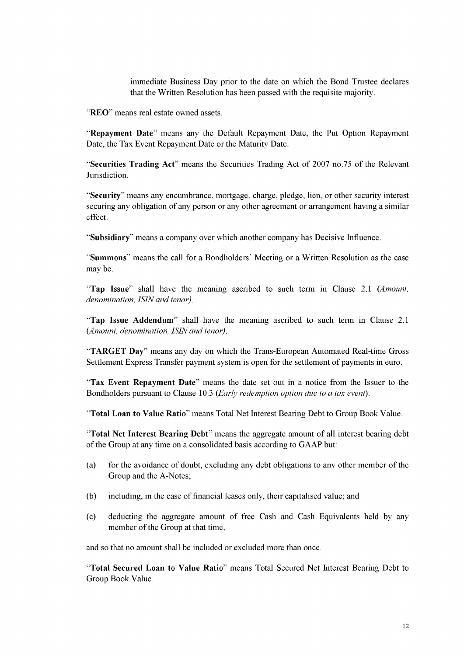immediate Business Day prior to the date on which the Bond Trustee declares that the Written Resolution has been passed with the requisite majority.

"**REO**" means real estate owned assets.

"**Repayment Date**" means any the Default Repayment Date, the Put Option Repayment Date, the Tax Event Repayment Date or the Maturity Date.

"**Securities Trading Act**" means the Securities Trading Act of 2007 no.75 of the Relevant Jurisdiction.

"**Security**" means any encumbrance, mortgage, charge, pledge, lien, or other security interest securing any obligation of any person or any other agreement or arrangement having a similar effect.

"**Subsidiary**" means a company over which another company has Decisive Influence.

"**Summons**" means the call for a Bondholders' Meeting or a Written Resolution as the case may be.

"**Tap Issue**" shall have the meaning ascribed to such term in Claus[e 2.1](#page-39-0) *(Amount, denomination, ISINand tenor).*

"**Tap Issue Addendum**" shall have the meaning ascribed to such term in Claus[e 2.1](#page-39-0) *(Amount, denomination, ISIN and tenor).*

"**TARGET Day**" means any day on which the Trans-European Automated Real-time Gross Settlement Express Transfer payment system is open for the settlement of payments in euro.

"**Tax Event Repayment Date**" means the date set out in a notice from the Issuer to the Bondholders pursuant to Claus[e 10.3](#page-48-2) *(Early redemption option due to a tax event).*

"**Total Loan to Value Ratio**" means Total Net Interest Bearing Debt to Group Book Value.

"**Total Net Interest Bearing Debt**" means the aggregate amount of all interest bearing debt of the Group at any time on a consolidated basis according to GAAP but:

- (a) for the avoidance of doubt, excluding any debt obligations to any other member of the Group and the A-Notes;
- (b) including, in the case of financial leases only, their capitalised value; and
- (c) deducting the aggregate amount of free Cash and Cash Equivalents held by any member of the Group at that time,

and so that no amount shall be included or excluded more than once.

"**Total Secured Loan to Value Ratio**" means Total Secured Net Interest Bearing Debt to Group Book Value.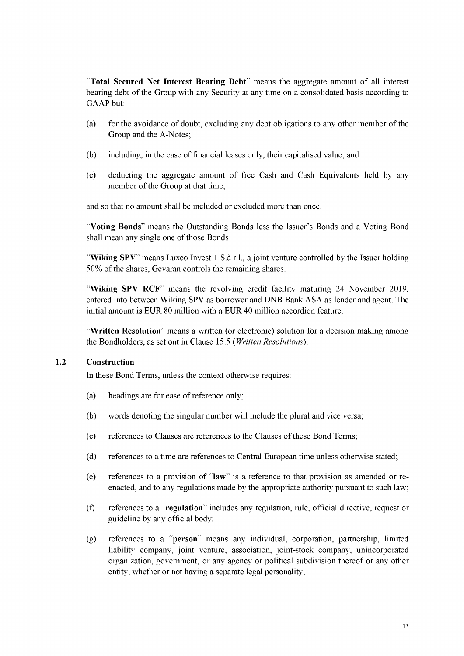"**Total Secured Net Interest Bearing Debt**" means the aggregate amount of all interest bearing debt of the Group with any Security at any time on a consolidated basis according to GAAP but:

- (a) for the avoidance of doubt, excluding any debt obligations to any other member of the Group and the A-Notes;
- (b) including, in the case of financial leases only, their capitalised value; and
- (c) deducting the aggregate amount of free Cash and Cash Equivalents held by any member of the Group at that time,

and so that no amount shall be included or excluded more than once.

"**Voting Bonds**" means the Outstanding Bonds less the Issuer's Bonds and a Voting Bond shall mean any single one of those Bonds.

"**Wiking SPV**" means Luxco Invest 1 S.a r.l., a joint venture controlled by the Issuer holding 50% of the shares, Gevaran controls the remaining shares.

"**Wiking SPV RCF**" means the revolving credit facility maturing 24 November 2019, entered into between Wiking SPV as borrower and DNB Bank ASA as lender and agent. The initial amount is EUR 80 million with a EUR 40 million accordion feature.

"**Written Resolution**" means a written (or electronic) solution for a decision making among the Bondholders, as set out in Claus[e 15.5](#page-58-0) *(Written Resolutions).*

# **1.2 Construction**

In these Bond Terms, unless the context otherwise requires:

- (a) headings are for ease of reference only;
- (b) words denoting the singular number will include the plural and vice versa;
- (c) references to Clauses are references to the Clauses of these Bond Terms;
- (d) references to a time are references to Central European time unless otherwise stated;
- (e) references to a provision of "**law**" is a reference to that provision as amended or reenacted, and to any regulations made by the appropriate authority pursuant to such law;
- (f) references to a "**regulation**" includes any regulation, rule, official directive, request or guideline by any official body;
- (g) references to a "**person**" means any individual, corporation, partnership, limited liability company, joint venture, association, joint-stock company, unincorporated organization, government, or any agency or political subdivision thereof or any other entity, whether or not having a separate legal personality;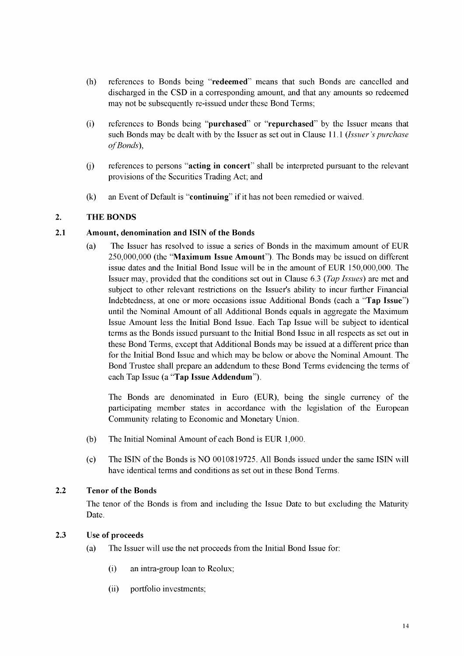- (h) references to Bonds being "**redeemed**" means that such Bonds are cancelled and discharged in the CSD in a corresponding amount, and that any amounts so redeemed may not be subsequently re-issued under these Bond Terms;
- (i) references to Bonds being "**purchased**" or "**repurchased**" by the Issuer means that such Bonds may be dealt with by the Issuer as set out in Clause [11.1](#page-48-0) *(Issuer's purchase*  $of Bonds$ ).
- (j) references to persons "**acting in concert**" shall be interpreted pursuant to the relevant provisions of the Securities Trading Act; and
- (k) an Event of Default is "**continuing**" if it has not been remedied or waived.

# <span id="page-39-0"></span>**2. THE BONDS**

#### **2.1 Amount, denomination and ISIN of the Bonds**

(a) The Issuer has resolved to issue a series of Bonds in the maximum amount of EUR 250,000,000 (the "**Maximum Issue Amount**"). The Bonds may be issued on different issue dates and the Initial Bond Issue will be in the amount of EUR 150,000,000. The Issuer may, provided that the conditions set out in Clause [6.3](#page-42-1) *(Tap Issues)* are met and subject to other relevant restrictions on the Issuer's ability to incur further Financial Indebtedness, at one or more occasions issue Additional Bonds (each a "**Tap Issue**") until the Nominal Amount of all Additional Bonds equals in aggregate the Maximum Issue Amount less the Initial Bond Issue. Each Tap Issue will be subject to identical terms as the Bonds issued pursuant to the Initial Bond Issue in all respects as set out in these Bond Terms, except that Additional Bonds may be issued at a different price than for the Initial Bond Issue and which may be below or above the Nominal Amount. The Bond Trustee shall prepare an addendum to these Bond Terms evidencing the terms of each Tap Issue (a "**Tap Issue Addendum**").

The Bonds are denominated in Euro (EUR), being the single currency of the participating member states in accordance with the legislation of the European Community relating to Economic and Monetary Union.

- (b) The Initial Nominal Amount of each Bond is EUR 1,000.
- (c) The ISIN of the Bonds is NO 0010819725. All Bonds issued under the same ISIN will have identical terms and conditions as set out in these Bond Terms.

#### **2.2 Tenor of the Bonds**

The tenor of the Bonds is from and including the Issue Date to but excluding the Maturity Date.

#### **2.3 Use of proceeds**

(a) The Issuer will use the net proceeds from the Initial Bond Issue for:

- (i) an intra-group loan to Reolux;
- (ii) portfolio investments;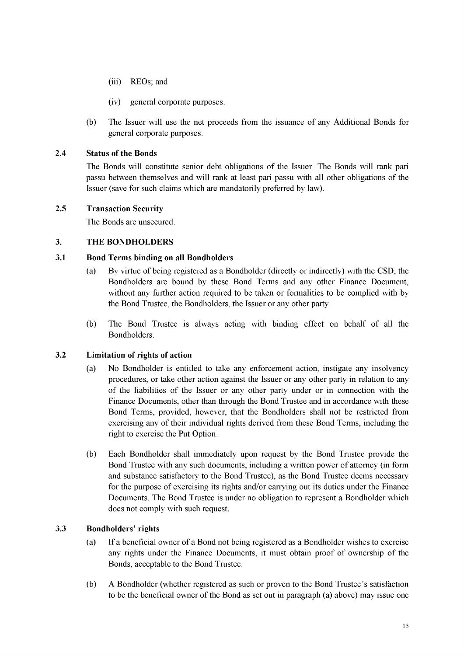- (iii) REOs; and
- (iv) general corporate purposes.
- (b) The Issuer will use the net proceeds from the issuance of any Additional Bonds for general corporate purposes.

# **2.4 Status of the Bonds**

The Bonds will constitute senior debt obligations of the Issuer. The Bonds will rank pari passu between themselves and will rank at least pari passu with all other obligations of the Issuer (save for such claims which are mandatorily preferred by law).

# **2.5 Transaction Security**

The Bonds are unsecured.

# <span id="page-40-0"></span>**3. THE BONDHOLDERS**

# **3.1 Bond Terms binding on all Bondholders**

- (a) By virtue of being registered as a Bondholder (directly or indirectly) with the CSD, the Bondholders are bound by these Bond Terms and any other Finance Document, without any further action required to be taken or formalities to be complied with by the Bond Trustee, the Bondholders, the Issuer or any other party.
- (b) The Bond Trustee is always acting with binding effect on behalf of all the Bondholders.

# **3.2 Limitation of rights of action**

- (a) No Bondholder is entitled to take any enforcement action, instigate any insolvency procedures, or take other action against the Issuer or any other party in relation to any of the liabilities of the Issuer or any other party under or in connection with the Finance Documents, other than through the Bond Trustee and in accordance with these Bond Terms, provided, however, that the Bondholders shall not be restricted from exercising any of their individual rights derived from these Bond Terms, including the right to exercise the Put Option.
- (b) Each Bondholder shall immediately upon request by the Bond Trustee provide the Bond Trustee with any such documents, including a written power of attorney (in form and substance satisfactory to the Bond Trustee), as the Bond Trustee deems necessary for the purpose of exercising its rights and/or carrying out its duties under the Finance Documents. The Bond Trustee is under no obligation to represent a Bondholder which does not comply with such request.

# <span id="page-40-1"></span>**3.3 Bondholders' rights**

- (a) If a beneficial owner of a Bond not being registered as a Bondholder wishes to exercise any rights under the Finance Documents, it must obtain proof of ownership of the Bonds, acceptable to the Bond Trustee.
- (b) A Bondholder (whether registered as such or proven to the Bond Trustee's satisfaction to be the beneficial owner of the Bond as set out in paragrap[h \(a\)](#page-40-1) above) may issue one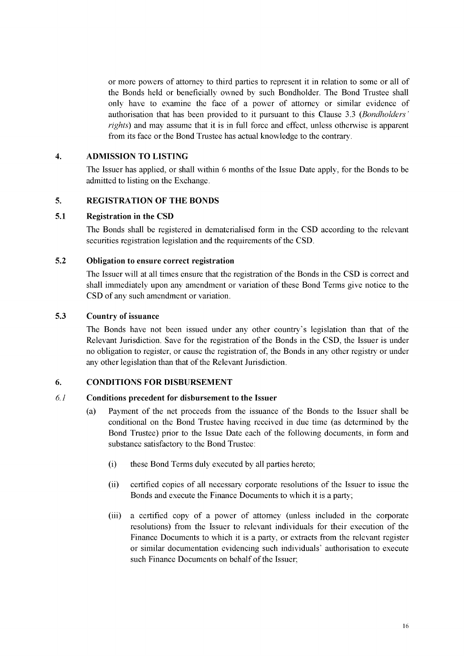or more powers of attorney to third parties to represent it in relation to some or all of the Bonds held or beneficially owned by such Bondholder. The Bond Trustee shall only have to examine the face of a power of attorney or similar evidence of authorisation that has been provided to it pursuant to this Claus[e 3.3](#page-40-1) (*Bondholders' rights)* and may assume that it is in full force and effect, unless otherwise is apparent from its face or the Bond Trustee has actual knowledge to the contrary.

# <span id="page-41-0"></span>**4. ADMISSION TO LISTING**

The Issuer has applied, or shall within 6 months of the Issue Date apply, for the Bonds to be admitted to listing on the Exchange.

#### <span id="page-41-1"></span>**5. REGISTRATION OF THE BONDS**

#### **5.1 Registration in the CSD**

The Bonds shall be registered in dematerialised form in the CSD according to the relevant securities registration legislation and the requirements of the CSD.

#### **5.2 Obligation to ensure correct registration**

The Issuer will at all times ensure that the registration of the Bonds in the CSD is correct and shall immediately upon any amendment or variation of these Bond Terms give notice to the CSD of any such amendment or variation.

#### **5.3 Country of issuance**

The Bonds have not been issued under any other country's legislation than that of the Relevant Jurisdiction. Save for the registration of the Bonds in the CSD, the Issuer is under no obligation to register, or cause the registration of, the Bonds in any other registry or under any other legislation than that of the Relevant Jurisdiction.

#### <span id="page-41-2"></span>**6. CONDITIONS FOR DISBURSEMENT**

#### *6.1* **Conditions precedent for disbursement to the Issuer**

- (a) Payment of the net proceeds from the issuance of the Bonds to the Issuer shall be conditional on the Bond Trustee having received in due time (as determined by the Bond Trustee) prior to the Issue Date each of the following documents, in form and substance satisfactory to the Bond Trustee:
	- (i) these Bond Terms duly executed by all parties hereto;
	- (ii) certified copies of all necessary corporate resolutions of the Issuer to issue the Bonds and execute the Finance Documents to which it is a party;
	- (iii) a certified copy of a power of attorney (unless included in the corporate resolutions) from the Issuer to relevant individuals for their execution of the Finance Documents to which it is a party, or extracts from the relevant register or similar documentation evidencing such individuals' authorisation to execute such Finance Documents on behalf of the Issuer;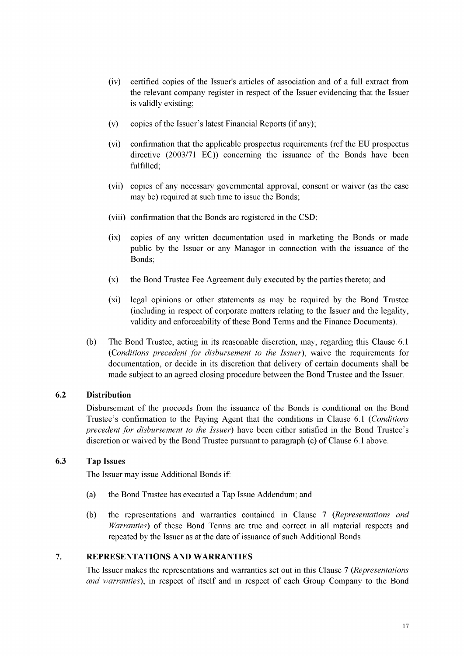- (iv) certified copies of the Issuer's articles of association and of a full extract from the relevant company register in respect of the Issuer evidencing that the Issuer is validly existing;
- (v) copies of the Issuer's latest Financial Reports (if any);
- (vi) confirmation that the applicable prospectus requirements (ref the EU prospectus directive (2003/71 EC)) concerning the issuance of the Bonds have been fulfilled;
- (vii) copies of any necessary governmental approval, consent or waiver (as the case may be) required at such time to issue the Bonds;
- (viii) confirmation that the Bonds are registered in the CSD;
- (ix) copies of any written documentation used in marketing the Bonds or made public by the Issuer or any Manager in connection with the issuance of the Bonds;
- (x) the Bond Trustee Fee Agreement duly executed by the parties thereto; and
- (xi) legal opinions or other statements as may be required by the Bond Trustee (including in respect of corporate matters relating to the Issuer and the legality, validity and enforceability of these Bond Terms and the Finance Documents).
- (b) The Bond Trustee, acting in its reasonable discretion, may, regarding this Clause 6.1 *(Conditions precedent for disbursement to the Issuer),* waive the requirements for documentation, or decide in its discretion that delivery of certain documents shall be made subject to an agreed closing procedure between the Bond Trustee and the Issuer.

# **6.2 Distribution**

Disbursement of the proceeds from the issuance of the Bonds is conditional on the Bond Trustee's confirmation to the Paying Agent that the conditions in Clause 6.1 *(Conditions precedent for disbursement to the Issuer*) have been either satisfied in the Bond Trustee's discretion or waived by the Bond Trustee pursuant to paragraph (c) of Clause 6.1 above.

# <span id="page-42-1"></span>**6.3 Tap Issues**

The Issuer may issue Additional Bonds if:

- (a) the Bond Trustee has executed a Tap Issue Addendum; and
- (b) the representations and warranties contained in Clause [7 \(](#page-42-0)*Representations and Warranties*) of these Bond Terms are true and correct in all material respects and repeated by the Issuer as at the date of issuance of such Additional Bonds.

#### <span id="page-42-0"></span>**7. REPRESENTATIONS AND WARRANTIES**

The Issuer makes the representations and warranties set out in this Claus[e 7](#page-42-0) (*Representations and warranties),* in respect of itself and in respect of each Group Company to the Bond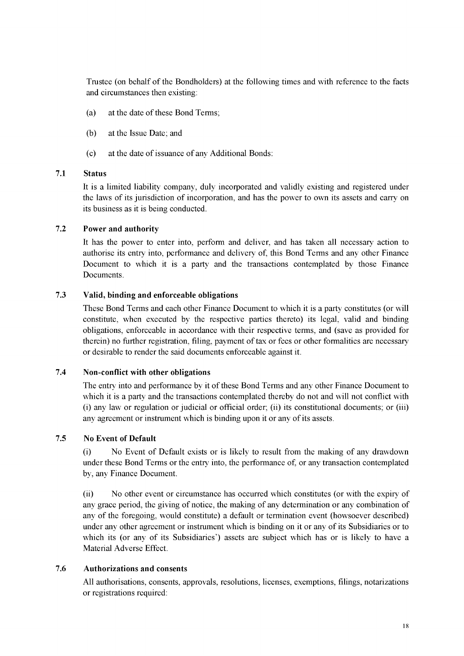Trustee (on behalf of the Bondholders) at the following times and with reference to the facts and circumstances then existing:

- (a) at the date of these Bond Terms;
- (b) at the Issue Date; and
- (c) at the date of issuance of any Additional Bonds:

#### **7.1 Status**

It is a limited liability company, duly incorporated and validly existing and registered under the laws of its jurisdiction of incorporation, and has the power to own its assets and carry on its business as it is being conducted.

#### **7.2 Power and authority**

It has the power to enter into, perform and deliver, and has taken all necessary action to authorise its entry into, performance and delivery of, this Bond Terms and any other Finance Document to which it is a party and the transactions contemplated by those Finance Documents.

#### **7.3 Valid, binding and enforceable obligations**

These Bond Terms and each other Finance Document to which it is a party constitutes (or will constitute, when executed by the respective parties thereto) its legal, valid and binding obligations, enforceable in accordance with their respective terms, and (save as provided for therein) no further registration, filing, payment of tax or fees or other formalities are necessary or desirable to render the said documents enforceable against it.

#### **7.4 Non-conflict with other obligations**

The entry into and performance by it of these Bond Terms and any other Finance Document to which it is a party and the transactions contemplated thereby do not and will not conflict with (i) any law or regulation or judicial or official order; (ii) its constitutional documents; or (iii) any agreement or instrument which is binding upon it or any of its assets.

#### **7.5 No Event of Default**

(i) No Event of Default exists or is likely to result from the making of any drawdown under these Bond Terms or the entry into, the performance of, or any transaction contemplated by, any Finance Document.

(ii) No other event or circumstance has occurred which constitutes (or with the expiry of any grace period, the giving of notice, the making of any determination or any combination of any of the foregoing, would constitute) a default or termination event (howsoever described) under any other agreement or instrument which is binding on it or any of its Subsidiaries or to which its (or any of its Subsidiaries') assets are subject which has or is likely to have a Material Adverse Effect.

# **7.6 Authorizations and consents**

All authorisations, consents, approvals, resolutions, licenses, exemptions, filings, notarizations or registrations required: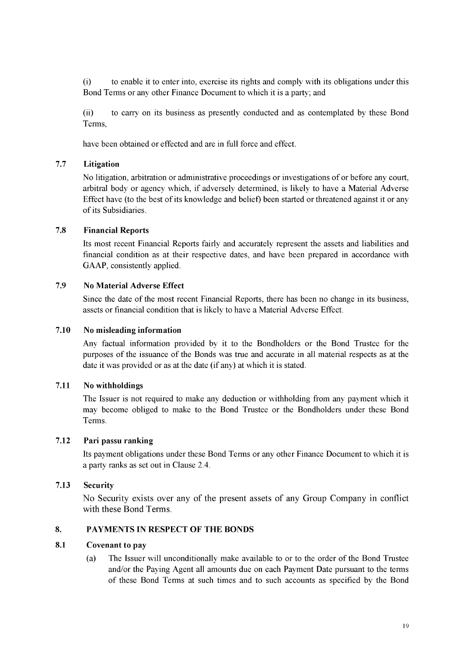(i) to enable it to enter into, exercise its rights and comply with its obligations under this Bond Terms or any other Finance Document to which it is a party; and

(ii) to carry on its business as presently conducted and as contemplated by these Bond Terms,

have been obtained or effected and are in full force and effect.

#### **7.7 Litigation**

No litigation, arbitration or administrative proceedings or investigations of or before any court, arbitral body or agency which, if adversely determined, is likely to have a Material Adverse Effect have (to the best of its knowledge and belief) been started or threatened against it or any of its Subsidiaries.

#### **7.8 Financial Reports**

Its most recent Financial Reports fairly and accurately represent the assets and liabilities and financial condition as at their respective dates, and have been prepared in accordance with GAAP, consistently applied.

#### **7.9 No Material Adverse Effect**

Since the date of the most recent Financial Reports, there has been no change in its business, assets or financial condition that is likely to have a Material Adverse Effect.

#### **7.10 No misleading information**

Any factual information provided by it to the Bondholders or the Bond Trustee for the purposes of the issuance of the Bonds was true and accurate in all material respects as at the date it was provided or as at the date (if any) at which it is stated.

#### **7.11 No withholdings**

The Issuer is not required to make any deduction or withholding from any payment which it may become obliged to make to the Bond Trustee or the Bondholders under these Bond Terms.

#### **7.12 Pari passu ranking**

Its payment obligations under these Bond Terms or any other Finance Document to which it is a party ranks as set out in Clause 2.4.

#### **7.13 Security**

No Security exists over any of the present assets of any Group Company in conflict with these Bond Terms.

#### <span id="page-44-0"></span>**8. PAYMENTS IN RESPECT OF THE BONDS**

#### **8.1 Covenant to pay**

(a) The Issuer will unconditionally make available to or to the order of the Bond Trustee and/or the Paying Agent all amounts due on each Payment Date pursuant to the terms of these Bond Terms at such times and to such accounts as specified by the Bond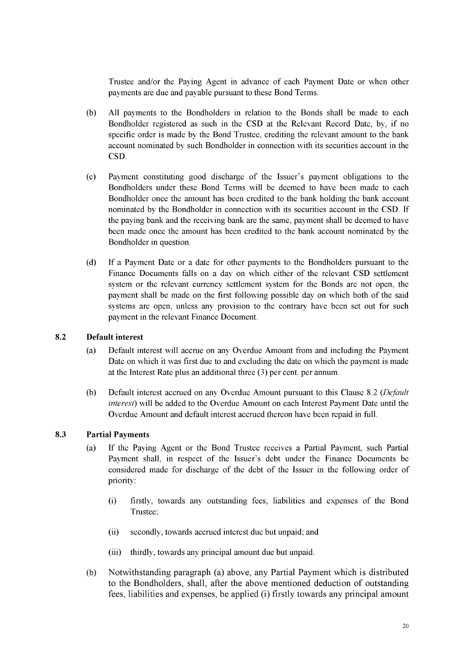Trustee and/or the Paying Agent in advance of each Payment Date or when other payments are due and payable pursuant to these Bond Terms.

- All payments to the Bondholders in relation to the Bonds shall be made to each Bondholder registered as such in the CSD at the Relevant Record Date, by, if no specific order is made by the Bond Trustee, crediting the relevant amount to the bank account nominated by such Bondholder in connection with its securities account in the CSD. (b)
- Payment constituting good discharge of the Issuer's payment obligations to the Bondholders under these Bond Terms will be deemed to have been made to each Bondholder once the amount has been credited to the bank holding the bank account nominated by the Bondholder in connection with its securities account in the CSD. If the paying bank and the receiving bank are the same, payment shall be deemed to have been made once the amount has been credited to the bank account nominated by the Bondholder in question.  $(c)$
- If a Payment Date or a date for other payments to the Bondholders pursuant to the Finance Documents falls on a day on which either of the relevant CSD settlement system or the relevant currency settlement system for the Bonds are not open, the payment shall be made on the first following possible day on which both of the said systems are open, unless any provision to the contrary have been set out for such payment in the relevant Finance Document. (d)

# <span id="page-45-0"></span>**8.2 Default interest**

- (a) Default interest will accrue on any Overdue Amount from and including the Payment Date on which it was first due to and excluding the date on which the payment is made at the Interest Rate plus an additional three (3) per cent. per annum.
- (b) Default interest accrued on any Overdue Amount pursuant to this Clause [8.2](#page-45-0) *(Default interest)* will be added to the Overdue Amount on each Interest Payment Date until the Overdue Amount and default interest accrued thereon have been repaid in full.

# **8.3 Partial Payments**

- (a) If the Paying Agent or the Bond Trustee receives a Partial Payment, such Partial Payment shall, in respect of the Issuer's debt under the Finance Documents be considered made for discharge of the debt of the Issuer in the following order of priority:
	- (i) firstly, towards any outstanding fees, liabilities and expenses of the Bond Trustee;
	- (ii) secondly, towards accrued interest due but unpaid; and
	- (iii) thirdly, towards any principal amount due but unpaid.
- (b) Notwithstanding paragraph (a) above, any Partial Payment which is distributed to the Bondholders, shall, after the above mentioned deduction of outstanding fees, liabilities and expenses, be applied (i) firstly towards any principal amount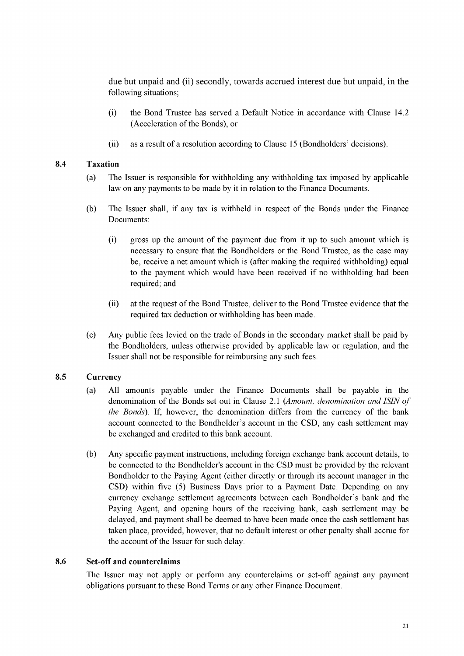due but unpaid and (ii) secondly, towards accrued interest due but unpaid, in the following situations;

- (i) the Bond Trustee has served a Default Notice in accordance with Clause 14.2 (Acceleration of the Bonds), or
- (ii) as a result of a resolution according to Clause 15 (Bondholders' decisions).

#### <span id="page-46-0"></span>**8.4 Taxation**

- (a) The Issuer is responsible for withholding any withholding tax imposed by applicable law on any payments to be made by it in relation to the Finance Documents.
- (b) The Issuer shall, if any tax is withheld in respect of the Bonds under the Finance Documents:
	- (i) gross up the amount of the payment due from it up to such amount which is necessary to ensure that the Bondholders or the Bond Trustee, as the case may be, receive a net amount which is (after making the required withholding) equal to the payment which would have been received if no withholding had been required; and
	- (ii) at the request of the Bond Trustee, deliver to the Bond Trustee evidence that the required tax deduction or withholding has been made.
- (c) Any public fees levied on the trade of Bonds in the secondary market shall be paid by the Bondholders, unless otherwise provided by applicable law or regulation, and the Issuer shall not be responsible for reimbursing any such fees.

# **8.5 Currency**

- (a) All amounts payable under the Finance Documents shall be payable in the denomination of the Bonds set out in Claus[e 2.1](#page-39-0) *(Amount, denomination and ISIN of the Bonds).* If, however, the denomination differs from the currency of the bank account connected to the Bondholder's account in the CSD, any cash settlement may be exchanged and credited to this bank account.
- (b) Any specific payment instructions, including foreign exchange bank account details, to be connected to the Bondholder's account in the CSD must be provided by the relevant Bondholder to the Paying Agent (either directly or through its account manager in the CSD) within five (5) Business Days prior to a Payment Date. Depending on any currency exchange settlement agreements between each Bondholder's bank and the Paying Agent, and opening hours of the receiving bank, cash settlement may be delayed, and payment shall be deemed to have been made once the cash settlement has taken place, provided, however, that no default interest or other penalty shall accrue for the account of the Issuer for such delay.

# **8.6 Set-off and counterclaims**

The Issuer may not apply or perform any counterclaims or set-off against any payment obligations pursuant to these Bond Terms or any other Finance Document.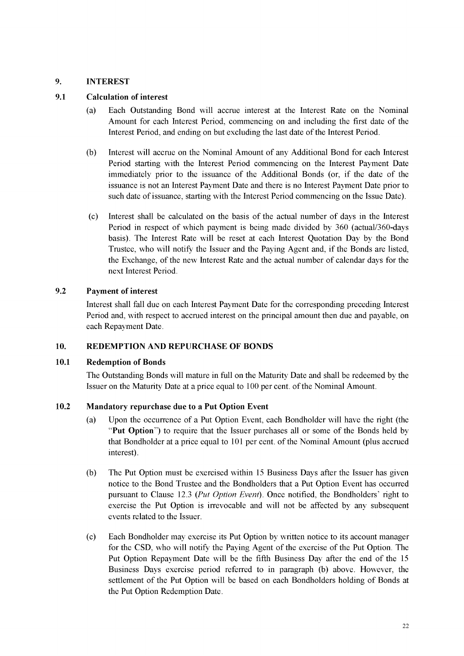# <span id="page-47-0"></span>**9. INTEREST**

# **9.1 Calculation of interest**

- (a) Each Outstanding Bond will accrue interest at the Interest Rate on the Nominal Amount for each Interest Period, commencing on and including the first date of the Interest Period, and ending on but excluding the last date of the Interest Period.
- (b) Interest will accrue on the Nominal Amount of any Additional Bond for each Interest Period starting with the Interest Period commencing on the Interest Payment Date immediately prior to the issuance of the Additional Bonds (or, if the date of the issuance is not an Interest Payment Date and there is no Interest Payment Date prior to such date of issuance, starting with the Interest Period commencing on the Issue Date).
- (c) Interest shall be calculated on the basis of the actual number of days in the Interest Period in respect of which payment is being made divided by 360 (actual/360-days basis). The Interest Rate will be reset at each Interest Quotation Day by the Bond Trustee, who will notify the Issuer and the Paying Agent and, if the Bonds are listed, the Exchange, of the new Interest Rate and the actual number of calendar days for the next Interest Period.

# **9.2 Payment of interest**

Interest shall fall due on each Interest Payment Date for the corresponding preceding Interest Period and, with respect to accrued interest on the principal amount then due and payable, on each Repayment Date.

# <span id="page-47-1"></span>**10. REDEMPTION AND REPURCHASE OF BONDS**

# **10.1 Redemption of Bonds**

The Outstanding Bonds will mature in full on the Maturity Date and shall be redeemed by the Issuer on the Maturity Date at a price equal to 100 per cent. of the Nominal Amount.

# <span id="page-47-2"></span>**10.2 Mandatory repurchase due to a Put Option Event**

- (a) Upon the occurrence of a Put Option Event, each Bondholder will have the right (the "**Put Option**") to require that the Issuer purchases all or some of the Bonds held by that Bondholder at a price equal to 101 per cent. of the Nominal Amount (plus accrued interest).
- (b) The Put Option must be exercised within 15 Business Days after the Issuer has given notice to the Bond Trustee and the Bondholders that a Put Option Event has occurred pursuant to Clause [12.3](#page-49-0) *(Put Option Event).* Once notified, the Bondholders' right to exercise the Put Option is irrevocable and will not be affected by any subsequent events related to the Issuer.
- (c) Each Bondholder may exercise its Put Option by written notice to its account manager for the CSD, who will notify the Paying Agent of the exercise of the Put Option. The Put Option Repayment Date will be the fifth Business Day after the end of the 15 Business Days exercise period referred to in paragraph (b) above. However, the settlement of the Put Option will be based on each Bondholders holding of Bonds at the Put Option Redemption Date.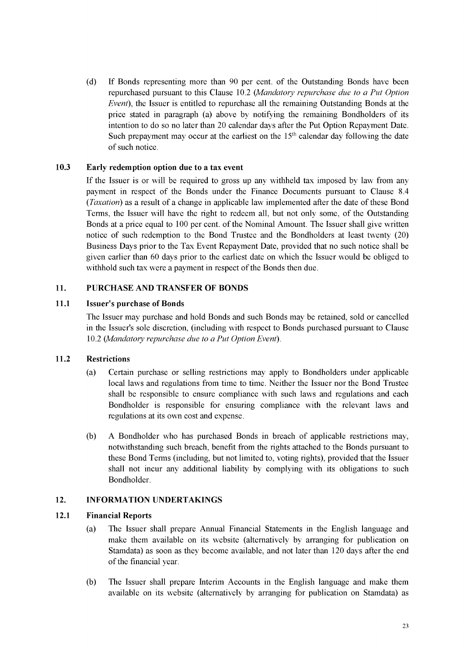(d) If Bonds representing more than 90 per cent. of the Outstanding Bonds have been repurchased pursuant to this Clause [10.2](#page-47-2) *(Mandatory repurchase due to a Put Option Event*), the Issuer is entitled to repurchase all the remaining Outstanding Bonds at the price stated in paragraph (a) above by notifying the remaining Bondholders of its intention to do so no later than 20 calendar days after the Put Option Repayment Date. Such prepayment may occur at the earliest on the  $15<sup>th</sup>$  calendar day following the date of such notice.

# <span id="page-48-2"></span>**10.3 Early redemption option due to a tax event**

If the Issuer is or will be required to gross up any withheld tax imposed by law from any payment in respect of the Bonds under the Finance Documents pursuant to Claus[e 8.4](#page-46-0) (*Taxation*) as a result of a change in applicable law implemented after the date of these Bond Terms, the Issuer will have the right to redeem all, but not only some, of the Outstanding Bonds at a price equal to 100 per cent. of the Nominal Amount. The Issuer shall give written notice of such redemption to the Bond Trustee and the Bondholders at least twenty (20) Business Days prior to the Tax Event Repayment Date, provided that no such notice shall be given earlier than 60 days prior to the earliest date on which the Issuer would be obliged to withhold such tax were a payment in respect of the Bonds then due.

# <span id="page-48-0"></span>**11. PURCHASE AND TRANSFER OF BONDS**

# **11.1 Issuer's purchase of Bonds**

The Issuer may purchase and hold Bonds and such Bonds may be retained, sold or cancelled in the Issuer's sole discretion, (including with respect to Bonds purchased pursuant to Clause [10.2](#page-47-2) *(Mandatory repurchase due to a Put Option Event).*

# **11.2 Restrictions**

- (a) Certain purchase or selling restrictions may apply to Bondholders under applicable local laws and regulations from time to time. Neither the Issuer nor the Bond Trustee shall be responsible to ensure compliance with such laws and regulations and each Bondholder is responsible for ensuring compliance with the relevant laws and regulations at its own cost and expense.
- (b) A Bondholder who has purchased Bonds in breach of applicable restrictions may, notwithstanding such breach, benefit from the rights attached to the Bonds pursuant to these Bond Terms (including, but not limited to, voting rights), provided that the Issuer shall not incur any additional liability by complying with its obligations to such Bondholder.

# <span id="page-48-1"></span>**12. INFORMATION UNDERTAKINGS**

# **12.1 Financial Reports**

- (a) The Issuer shall prepare Annual Financial Statements in the English language and make them available on its website (alternatively by arranging for publication on Stamdata) as soon as they become available, and not later than 120 days after the end of the financial year.
- (b) The Issuer shall prepare Interim Accounts in the English language and make them available on its website (alternatively by arranging for publication on Stamdata) as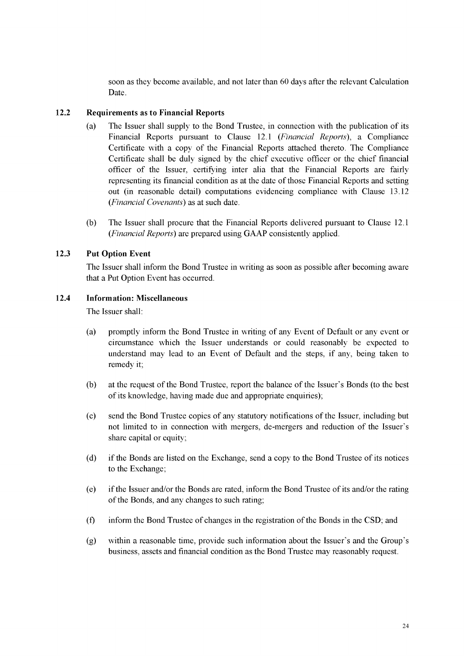soon as they become available, and not later than 60 days after the relevant Calculation Date.

#### <span id="page-49-1"></span>**12.2 Requirements as to Financial Reports**

- (a) The Issuer shall supply to the Bond Trustee, in connection with the publication of its Financial Reports pursuant to Claus[e 12.1](#page-48-1) *(Financial Reports),* a Compliance Certificate with a copy of the Financial Reports attached thereto. The Compliance Certificate shall be duly signed by the chief executive officer or the chief financial officer of the Issuer, certifying inter alia that the Financial Reports are fairly representing its financial condition as at the date of those Financial Reports and setting out (in reasonable detail) computations evidencing compliance with Clause [13.12](#page-52-1) *(Financial Covenants)* as at such date.
- (b) The Issuer shall procure that the Financial Reports delivered pursuant to Claus[e 12.1](#page-48-1) *(Financial Reports)* are prepared using GAAP consistently applied.

# <span id="page-49-0"></span>**12.3 Put Option Event**

The Issuer shall inform the Bond Trustee in writing as soon as possible after becoming aware that a Put Option Event has occurred.

#### <span id="page-49-2"></span>**12.4 Information: Miscellaneous**

The Issuer shall:

- (a) promptly inform the Bond Trustee in writing of any Event of Default or any event or circumstance which the Issuer understands or could reasonably be expected to understand may lead to an Event of Default and the steps, if any, being taken to remedy it;
- (b) at the request of the Bond Trustee, report the balance of the Issuer's Bonds (to the best of its knowledge, having made due and appropriate enquiries);
- (c) send the Bond Trustee copies of any statutory notifications of the Issuer, including but not limited to in connection with mergers, de-mergers and reduction of the Issuer's share capital or equity;
- (d) if the Bonds are listed on the Exchange, send a copy to the Bond Trustee of its notices to the Exchange;
- (e) if the Issuer and/or the Bonds are rated, inform the Bond Trustee of its and/or the rating of the Bonds, and any changes to such rating;
- (f) inform the Bond Trustee of changes in the registration of the Bonds in the CSD; and
- (g) within a reasonable time, provide such information about the Issuer's and the Group's business, assets and financial condition as the Bond Trustee may reasonably request.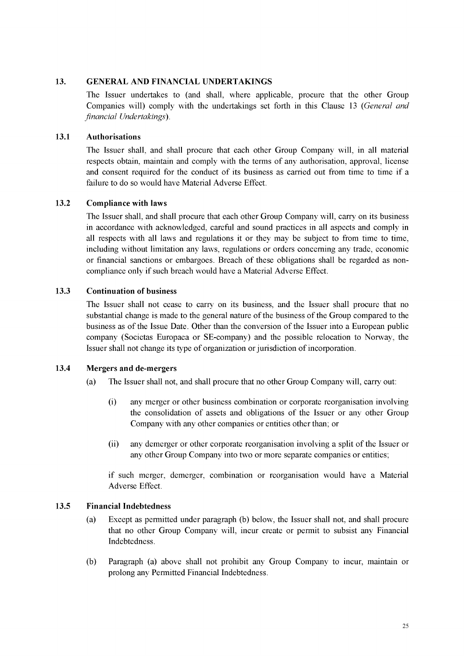#### <span id="page-50-1"></span>**13. GENERAL AND FINANCIAL UNDERTAKINGS**

<span id="page-50-0"></span>The Issuer undertakes to (and shall, where applicable, procure that the other Group Companies will) comply with the undertakings set forth in this Clause [13](#page-50-1) *(General and financial Undertakings).*

#### **13.1 Authorisations**

The Issuer shall, and shall procure that each other Group Company will, in all material respects obtain, maintain and comply with the terms of any authorisation, approval, license and consent required for the conduct of its business as carried out from time to time if a failure to do so would have Material Adverse Effect.

#### <span id="page-50-2"></span>**13.2 Compliance with laws**

The Issuer shall, and shall procure that each other Group Company will, carry on its business in accordance with acknowledged, careful and sound practices in all aspects and comply in all respects with all laws and regulations it or they may be subject to from time to time, including without limitation any laws, regulations or orders concerning any trade, economic or financial sanctions or embargoes. Breach of these obligations shall be regarded as noncompliance only if such breach would have a Material Adverse Effect.

#### **13.3 Continuation of business**

The Issuer shall not cease to carry on its business, and the Issuer shall procure that no substantial change is made to the general nature of the business of the Group compared to the business as of the Issue Date. Other than the conversion of the Issuer into a European public company (Societas Europaea or SE-company) and the possible relocation to Norway, the Issuer shall not change its type of organization or jurisdiction of incorporation.

#### **13.4 Mergers and de-mergers**

- (a) The Issuer shall not, and shall procure that no other Group Company will, carry out:
	- (i) any merger or other business combination or corporate reorganisation involving the consolidation of assets and obligations of the Issuer or any other Group Company with any other companies or entities other than; or
	- (ii) any demerger or other corporate reorganisation involving a split of the Issuer or any other Group Company into two or more separate companies or entities;

if such merger, demerger, combination or reorganisation would have a Material Adverse Effect.

#### **13.5 Financial Indebtedness**

- (a) Except as permitted under paragraph (b) below, the Issuer shall not, and shall procure that no other Group Company will, incur create or permit to subsist any Financial Indebtedness.
- (b) Paragraph (a) above shall not prohibit any Group Company to incur, maintain or prolong any Permitted Financial Indebtedness.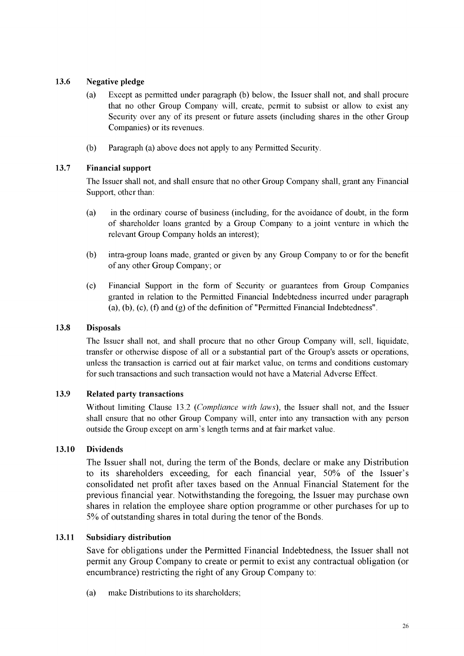# **13.6 Negative pledge**

- (a) Except as permitted under paragraph (b) below, the Issuer shall not, and shall procure that no other Group Company will, create, permit to subsist or allow to exist any Security over any of its present or future assets (including shares in the other Group Companies) or its revenues.
- (b) Paragraph (a) above does not apply to any Permitted Security.

# **13.7 Financial support**

The Issuer shall not, and shall ensure that no other Group Company shall, grant any Financial Support, other than:

- (a) in the ordinary course of business (including, for the avoidance of doubt, in the form of shareholder loans granted by a Group Company to a joint venture in which the relevant Group Company holds an interest);
- (b) intra-group loans made, granted or given by any Group Company to or for the benefit of any other Group Company; or
- (c) Financial Support in the form of Security or guarantees from Group Companies granted in relation to the Permitted Financial Indebtedness incurred under paragraph (a), (b), (c), (f) and (g) of the definition of "Permitted Financial Indebtedness".

# **13.8 Disposals**

The Issuer shall not, and shall procure that no other Group Company will, sell, liquidate, transfer or otherwise dispose of all or a substantial part of the Group's assets or operations, unless the transaction is carried out at fair market value, on terms and conditions customary for such transactions and such transaction would not have a Material Adverse Effect.

# **13.9 Related party transactions**

Without limiting Claus[e 13.2](#page-50-2) *(Compliance with laws),* the Issuer shall not, and the Issuer shall ensure that no other Group Company will, enter into any transaction with any person outside the Group except on arm's length terms and at fair market value.

# **13.10 Dividends**

The Issuer shall not, during the term of the Bonds, declare or make any Distribution to its shareholders exceeding, for each financial year, 50% of the Issuer's consolidated net profit after taxes based on the Annual Financial Statement for the previous financial year. Notwithstanding the foregoing, the Issuer may purchase own shares in relation the employee share option programme or other purchases for up to 5% of outstanding shares in total during the tenor of the Bonds.

# **13.11 Subsidiary distribution**

Save for obligations under the Permitted Financial Indebtedness, the Issuer shall not permit any Group Company to create or permit to exist any contractual obligation (or encumbrance) restricting the right of any Group Company to:

(a) make Distributions to its shareholders;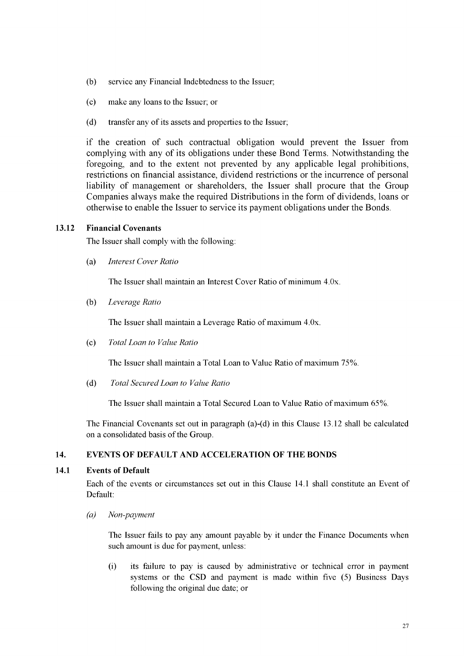- (b) service any Financial Indebtedness to the Issuer;
- (c) make any loans to the Issuer; or
- (d) transfer any of its assets and properties to the Issuer;

if the creation of such contractual obligation would prevent the Issuer from complying with any of its obligations under these Bond Terms. Notwithstanding the foregoing, and to the extent not prevented by any applicable legal prohibitions, restrictions on financial assistance, dividend restrictions or the incurrence of personal liability of management or shareholders, the Issuer shall procure that the Group Companies always make the required Distributions in the form of dividends, loans or otherwise to enable the Issuer to service its payment obligations under the Bonds.

#### <span id="page-52-1"></span>**13.12 Financial Covenants**

The Issuer shall comply with the following:

(a) *Interest Cover Ratio*

The Issuer shall maintain an Interest Cover Ratio of minimum 4.0x.

(b) *Leverage Ratio*

The Issuer shall maintain a Leverage Ratio of maximum 4.0x.

(c) *Total Loan to Value Ratio*

The Issuer shall maintain a Total Loan to Value Ratio of maximum 75%.

(d) *Total Secured Loan to Value Ratio*

The Issuer shall maintain a Total Secured Loan to Value Ratio of maximum 65%.

The Financial Covenants set out in paragraph (a)-(d) in this Clause 13.12 shall be calculated on a consolidated basis of the Group.

# <span id="page-52-0"></span>**14. EVENTS OF DEFAULT AND ACCELERATION OF THE BONDS**

#### **14.1 Events of Default**

Each of the events or circumstances set out in this Clause 14.1 shall constitute an Event of Default:

*(a) Non-payment*

The Issuer fails to pay any amount payable by it under the Finance Documents when such amount is due for payment, unless:

(i) its failure to pay is caused by administrative or technical error in payment systems or the CSD and payment is made within five (5) Business Days following the original due date; or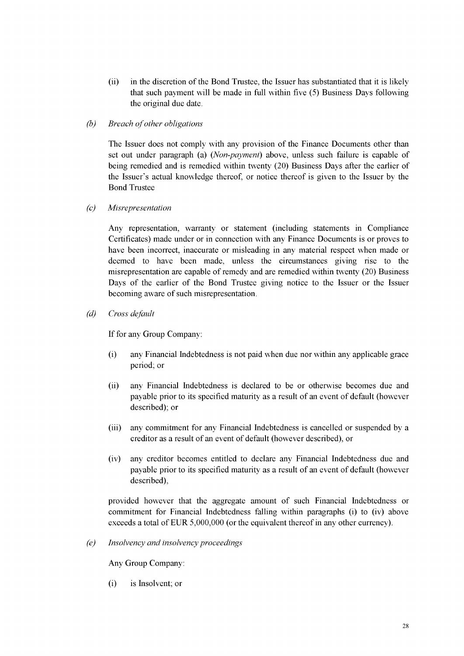- (ii) in the discretion of the Bond Trustee, the Issuer has substantiated that it is likely that such payment will be made in full within five (5) Business Days following the original due date.
- *(b)* Breach of other obligations

The Issuer does not comply with any provision of the Finance Documents other than set out under paragraph (a) (*Non-payment*) above, unless such failure is capable of being remedied and is remedied within twenty (20) Business Days after the earlier of the Issuer's actual knowledge thereof, or notice thereof is given to the Issuer by the Bond Trustee

*(c) Misrepresentation*

Any representation, warranty or statement (including statements in Compliance Certificates) made under or in connection with any Finance Documents is or proves to have been incorrect, inaccurate or misleading in any material respect when made or deemed to have been made, unless the circumstances giving rise to the misrepresentation are capable of remedy and are remedied within twenty (20) Business Days of the earlier of the Bond Trustee giving notice to the Issuer or the Issuer becoming aware of such misrepresentation.

*(d) Cross default*

If for any Group Company:

- (i) any Financial Indebtedness is not paid when due nor within any applicable grace period; or
- (ii) any Financial Indebtedness is declared to be or otherwise becomes due and payable prior to its specified maturity as a result of an event of default (however described); or
- (iii) any commitment for any Financial Indebtedness is cancelled or suspended by a creditor as a result of an event of default (however described), or
- (iv) any creditor becomes entitled to declare any Financial Indebtedness due and payable prior to its specified maturity as a result of an event of default (however described),

provided however that the aggregate amount of such Financial Indebtedness or commitment for Financial Indebtedness falling within paragraphs (i) to (iv) above exceeds a total of EUR 5,000,000 (or the equivalent thereof in any other currency).

*(e) Insolvency and insolvency proceedings*

Any Group Company:

(i) is Insolvent; or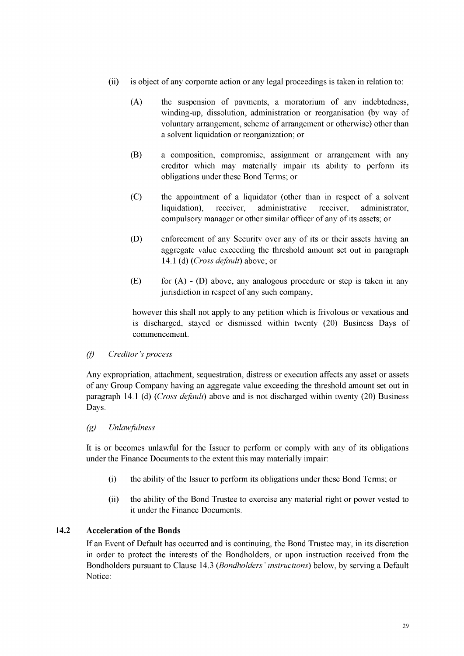- (ii) is object of any corporate action or any legal proceedings is taken in relation to:
	- (A) the suspension of payments, a moratorium of any indebtedness, winding-up, dissolution, administration or reorganisation (by way of voluntary arrangement, scheme of arrangement or otherwise) other than a solvent liquidation or reorganization; or
	- (B) a composition, compromise, assignment or arrangement with any creditor which may materially impair its ability to perform its obligations under these Bond Terms; or
	- (C) the appointment of a liquidator (other than in respect of a solvent liquidation), receiver, administrative receiver, administrator, compulsory manager or other similar officer of any of its assets; or
	- (D) enforcement of any Security over any of its or their assets having an aggregate value exceeding the threshold amount set out in paragraph [14.1 \(](#page-52-0)d) *(Cross default)* above; or
	- (E) for  $(A)$   $(D)$  above, any analogous procedure or step is taken in any jurisdiction in respect of any such company,

however this shall not apply to any petition which is frivolous or vexatious and is discharged, stayed or dismissed within twenty (20) Business Days of commencement.

# *(f) Creditor's process*

Any expropriation, attachment, sequestration, distress or execution affects any asset or assets of any Group Company having an aggregate value exceeding the threshold amount set out in paragraph [14.1 \(](#page-52-0)d) *(Cross default)* above and is not discharged within twenty (20) Business Days.

#### *(g) Unlawfulness*

It is or becomes unlawful for the Issuer to perform or comply with any of its obligations under the Finance Documents to the extent this may materially impair:

- (i) the ability of the Issuer to perform its obligations under these Bond Terms; or
- (ii) the ability of the Bond Trustee to exercise any material right or power vested to it under the Finance Documents.

# <span id="page-54-0"></span>**14.2 Acceleration of the Bonds**

If an Event of Default has occurred and is continuing, the Bond Trustee may, in its discretion in order to protect the interests of the Bondholders, or upon instruction received from the Bondholders pursuant to Clause [14.3](#page-55-0) *(Bondholders ' instructions)* below, by serving a Default Notice: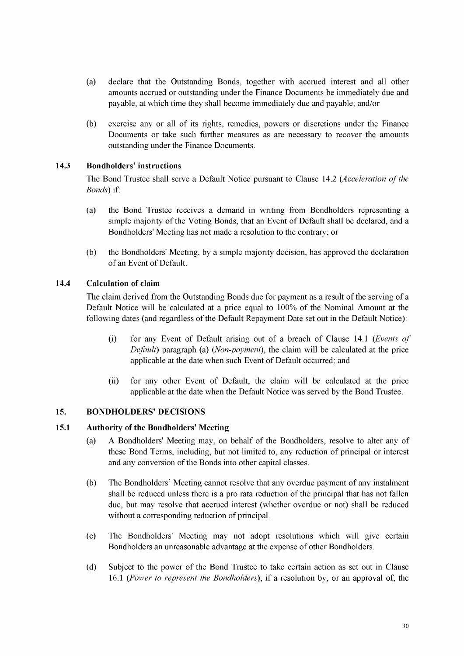- (a) declare that the Outstanding Bonds, together with accrued interest and all other amounts accrued or outstanding under the Finance Documents be immediately due and payable, at which time they shall become immediately due and payable; and/or
- (b) exercise any or all of its rights, remedies, powers or discretions under the Finance Documents or take such further measures as are necessary to recover the amounts outstanding under the Finance Documents.

## <span id="page-55-0"></span>**14.3 Bondholders' instructions**

The Bond Trustee shall serve a Default Notice pursuant to Claus[e 14.2](#page-54-0) *(Acceleration of the Bonds)* if:

- (a) the Bond Trustee receives a demand in writing from Bondholders representing a simple majority of the Voting Bonds, that an Event of Default shall be declared, and a Bondholders' Meeting has not made a resolution to the contrary; or
- (b) the Bondholders' Meeting, by a simple majority decision, has approved the declaration of an Event of Default.

# **14.4 Calculation of claim**

The claim derived from the Outstanding Bonds due for payment as a result of the serving of a Default Notice will be calculated at a price equal to 100% of the Nominal Amount at the following dates (and regardless of the Default Repayment Date set out in the Default Notice):

- (i) for any Event of Default arising out of a breach of Clause [14.1](#page-52-0) *(Events of Default*) paragraph (a) (*Non-payment*), the claim will be calculated at the price applicable at the date when such Event of Default occurred; and
- (ii) for any other Event of Default, the claim will be calculated at the price applicable at the date when the Default Notice was served by the Bond Trustee.

#### <span id="page-55-1"></span>**15. BONDHOLDERS' DECISIONS**

#### **15.1 Authority of the Bondholders' Meeting**

- (a) A Bondholders' Meeting may, on behalf of the Bondholders, resolve to alter any of these Bond Terms, including, but not limited to, any reduction of principal or interest and any conversion of the Bonds into other capital classes.
- (b) The Bondholders' Meeting cannot resolve that any overdue payment of any instalment shall be reduced unless there is a pro rata reduction of the principal that has not fallen due, but may resolve that accrued interest (whether overdue or not) shall be reduced without a corresponding reduction of principal.
- (c) The Bondholders' Meeting may not adopt resolutions which will give certain Bondholders an unreasonable advantage at the expense of other Bondholders.
- (d) Subject to the power of the Bond Trustee to take certain action as set out in Clause [16.1](#page-60-0) *(Power to represent the Bondholders),* if a resolution by, or an approval of, the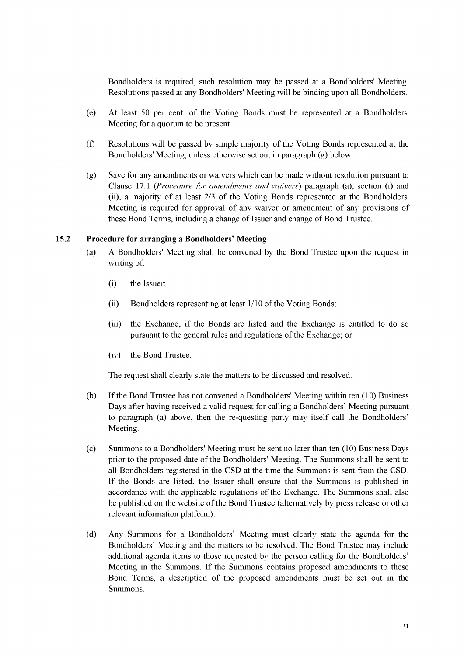Bondholders is required, such resolution may be passed at a Bondholders' Meeting. Resolutions passed at any Bondholders' Meeting will be binding upon all Bondholders.

- (e) At least 50 per cent. of the Voting Bonds must be represented at a Bondholders' Meeting for a quorum to be present.
- (f) Resolutions will be passed by simple majority of the Voting Bonds represented at the Bondholders' Meeting, unless otherwise set out in paragraph [\(g\)](#page-56-0) below.
- <span id="page-56-0"></span>(g) Save for any amendments or waivers which can be made without resolution pursuant to Clause [17.1](#page-64-0) *(Procedure for amendments and waivers)* paragraph (a), section (i) and (ii), a majority of at least 2/3 of the Voting Bonds represented at the Bondholders' Meeting is required for approval of any waiver or amendment of any provisions of these Bond Terms, including a change of Issuer and change of Bond Trustee.

#### <span id="page-56-1"></span>**15.2 Procedure for arranging a Bondholders' Meeting**

- (a) A Bondholders' Meeting shall be convened by the Bond Trustee upon the request in writing of:
	- (i) the Issuer;
	- (ii) Bondholders representing at least 1/10 of the Voting Bonds;
	- (iii) the Exchange, if the Bonds are listed and the Exchange is entitled to do so pursuant to the general rules and regulations of the Exchange; or
	- (iv) the Bond Trustee.

The request shall clearly state the matters to be discussed and resolved.

- (b) If the Bond Trustee has not convened a Bondholders' Meeting within ten (10) Business Days after having received a valid request for calling a Bondholders' Meeting pursuant to paragrap[h \(a\)](#page-56-1) above, then the re-questing party may itself call the Bondholders' Meeting.
- (c) Summons to a Bondholders' Meeting must be sent no later than ten (10) Business Days prior to the proposed date of the Bondholders' Meeting. The Summons shall be sent to all Bondholders registered in the CSD at the time the Summons is sent from the CSD. If the Bonds are listed, the Issuer shall ensure that the Summons is published in accordance with the applicable regulations of the Exchange. The Summons shall also be published on the website of the Bond Trustee (alternatively by press release or other relevant information platform).
- (d) Any Summons for a Bondholders' Meeting must clearly state the agenda for the Bondholders' Meeting and the matters to be resolved. The Bond Trustee may include additional agenda items to those requested by the person calling for the Bondholders' Meeting in the Summons. If the Summons contains proposed amendments to these Bond Terms, a description of the proposed amendments must be set out in the Summons.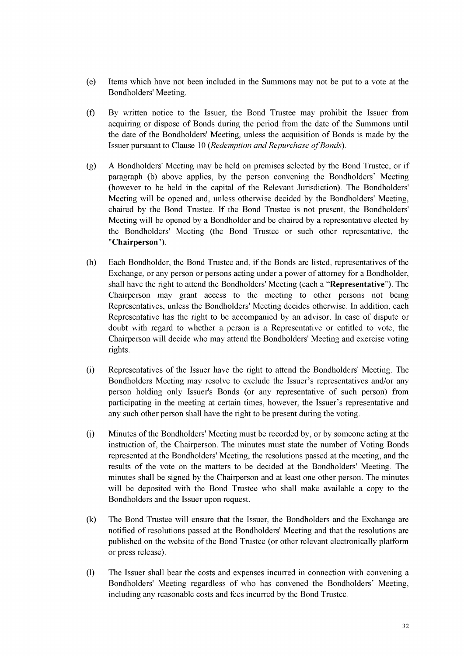- (e) Items which have not been included in the Summons may not be put to a vote at the Bondholders' Meeting.
- (f) By written notice to the Issuer, the Bond Trustee may prohibit the Issuer from acquiring or dispose of Bonds during the period from the date of the Summons until the date of the Bondholders' Meeting, unless the acquisition of Bonds is made by the Issuer pursuant to Clause [10](#page-47-1) (*Redemption and Repurchase of Bonds*).
- (g) A Bondholders' Meeting may be held on premises selected by the Bond Trustee, or if paragraph (b) above applies, by the person convening the Bondholders' Meeting (however to be held in the capital of the Relevant Jurisdiction). The Bondholders' Meeting will be opened and, unless otherwise decided by the Bondholders' Meeting, chaired by the Bond Trustee. If the Bond Trustee is not present, the Bondholders' Meeting will be opened by a Bondholder and be chaired by a representative elected by the Bondholders' Meeting (the Bond Trustee or such other representative, the "**Chairperson**").
- (h) Each Bondholder, the Bond Trustee and, if the Bonds are listed, representatives of the Exchange, or any person or persons acting under a power of attorney for a Bondholder, shall have the right to attend the Bondholders' Meeting (each a "**Representative**"). The Chairperson may grant access to the meeting to other persons not being Representatives, unless the Bondholders' Meeting decides otherwise. In addition, each Representative has the right to be accompanied by an advisor. In case of dispute or doubt with regard to whether a person is a Representative or entitled to vote, the Chairperson will decide who may attend the Bondholders' Meeting and exercise voting rights.
- (i) Representatives of the Issuer have the right to attend the Bondholders' Meeting. The Bondholders Meeting may resolve to exclude the Issuer's representatives and/or any person holding only Issuer's Bonds (or any representative of such person) from participating in the meeting at certain times, however, the Issuer's representative and any such other person shall have the right to be present during the voting.
- (j) Minutes of the Bondholders' Meeting must be recorded by, or by someone acting at the instruction of, the Chairperson. The minutes must state the number of Voting Bonds represented at the Bondholders' Meeting, the resolutions passed at the meeting, and the results of the vote on the matters to be decided at the Bondholders' Meeting. The minutes shall be signed by the Chairperson and at least one other person. The minutes will be deposited with the Bond Trustee who shall make available a copy to the Bondholders and the Issuer upon request.
- (k) The Bond Trustee will ensure that the Issuer, the Bondholders and the Exchange are notified of resolutions passed at the Bondholders' Meeting and that the resolutions are published on the website of the Bond Trustee (or other relevant electronically platform or press release).
- (l) The Issuer shall bear the costs and expenses incurred in connection with convening a Bondholders' Meeting regardless of who has convened the Bondholders' Meeting, including any reasonable costs and fees incurred by the Bond Trustee.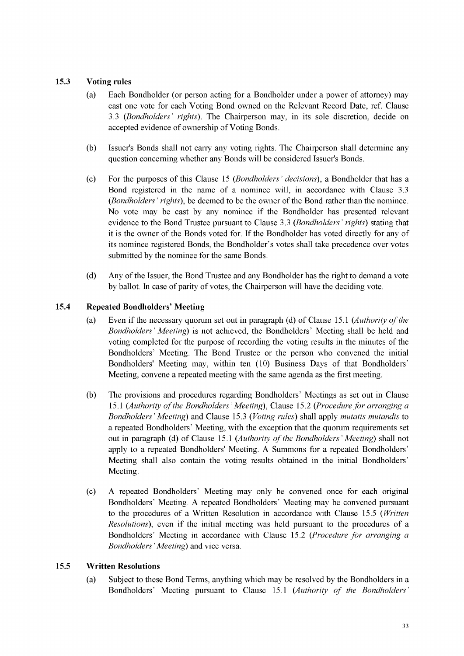# <span id="page-58-1"></span>**15.3 Voting rules**

- (a) Each Bondholder (or person acting for a Bondholder under a power of attorney) may cast one vote for each Voting Bond owned on the Relevant Record Date, ref. Clause [3.3](#page-40-1) *(Bondholders' rights).* The Chairperson may, in its sole discretion, decide on accepted evidence of ownership of Voting Bonds.
- (b) Issuer's Bonds shall not carry any voting rights. The Chairperson shall determine any question concerning whether any Bonds will be considered Issuer's Bonds.
- (c) For the purposes of this Claus[e 15](#page-55-1) *(Bondholders ' decisions),* a Bondholder that has a Bond registered in the name of a nominee will, in accordance with Claus[e 3.3](#page-40-1) *(Bondholders ' rights),* be deemed to be the owner of the Bond rather than the nominee. No vote may be cast by any nominee if the Bondholder has presented relevant evidence to the Bond Trustee pursuant to Clause [3.3](#page-40-1) *(Bondholders ' rights)* stating that it is the owner of the Bonds voted for. If the Bondholder has voted directly for any of its nominee registered Bonds, the Bondholder's votes shall take precedence over votes submitted by the nominee for the same Bonds.
- (d) Any of the Issuer, the Bond Trustee and any Bondholder has the right to demand a vote by ballot. In case of parity of votes, the Chairperson will have the deciding vote.

# <span id="page-58-2"></span>**15.4 Repeated Bondholders' Meeting**

- (a) Even if the necessary quorum set out in paragraph (d) of Clause [15.1](#page-55-1) *(Authority of the Bondholders' Meeting)* is not achieved, the Bondholders' Meeting shall be held and voting completed for the purpose of recording the voting results in the minutes of the Bondholders' Meeting. The Bond Trustee or the person who convened the initial Bondholders' Meeting may, within ten (10) Business Days of that Bondholders' Meeting, convene a repeated meeting with the same agenda as the first meeting.
- (b) The provisions and procedures regarding Bondholders' Meetings as set out in Clause [15.1](#page-55-1) *(Authority o f the Bondholders' Meeting),* Claus[e 15.2](#page-56-1) *(Procedure for arranging a Bondholders' Meeting)* and Clause [15.3](#page-58-1) *(Voting rules)* shall apply *mutatis mutandis* to a repeated Bondholders' Meeting, with the exception that the quorum requirements set out in paragraph (d) of Clause [15.1](#page-55-1) *(Authority of the Bondholders' Meeting)* shall not apply to a repeated Bondholders' Meeting. A Summons for a repeated Bondholders' Meeting shall also contain the voting results obtained in the initial Bondholders' Meeting.
- (c) A repeated Bondholders' Meeting may only be convened once for each original Bondholders' Meeting. A repeated Bondholders' Meeting may be convened pursuant to the procedures of a Written Resolution in accordance with Clause [15.5](#page-58-0) *(Written Resolutions),* even if the initial meeting was held pursuant to the procedures of a Bondholders' Meeting in accordance with Claus[e 15.2](#page-56-1) *(Procedure for arranging a Bondholders ' Meeting)* and vice versa.

# <span id="page-58-0"></span>**15.5 Written Resolutions**

(a) Subject to these Bond Terms, anything which may be resolved by the Bondholders in a Bondholders' Meeting pursuant to Claus[e 15.1](#page-55-1) *(Authority of the Bondholders'*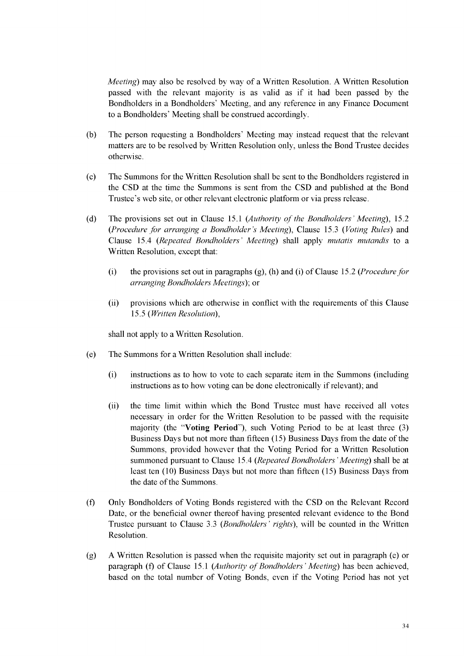*Meeting)* may also be resolved by way of a Written Resolution. A Written Resolution passed with the relevant majority is as valid as if it had been passed by the Bondholders in a Bondholders' Meeting, and any reference in any Finance Document to a Bondholders' Meeting shall be construed accordingly.

- (b) The person requesting a Bondholders' Meeting may instead request that the relevant matters are to be resolved by Written Resolution only, unless the Bond Trustee decides otherwise.
- (c) The Summons for the Written Resolution shall be sent to the Bondholders registered in the CSD at the time the Summons is sent from the CSD and published at the Bond Trustee's web site, or other relevant electronic platform or via press release.
- (d) The provisions set out in Claus[e 15.1](#page-55-1) *(Authority o f the Bondholders' Meeting),* [15.2](#page-56-1) *(Procedure for arranging a Bondholder's Meeting),* Claus[e 15.3](#page-58-1) *(Voting Rules)* and Clause [15.4](#page-58-2) *(Repeated Bondholders' Meeting)* shall apply *mutatis mutandis* to a Written Resolution, except that:
	- (i) the provisions set out in paragraphs (g), (h) and (i) of Clause [15.2](#page-56-1) *(Procedure for arranging Bondholders Meetings);* or
	- (ii) provisions which are otherwise in conflict with the requirements of this Clause [15.5](#page-58-0) *(Written Resolution),*

shall not apply to a Written Resolution.

- (e) The Summons for a Written Resolution shall include:
	- (i) instructions as to how to vote to each separate item in the Summons (including instructions as to how voting can be done electronically if relevant); and
	- (ii) the time limit within which the Bond Trustee must have received all votes necessary in order for the Written Resolution to be passed with the requisite majority (the "**Voting Period**"), such Voting Period to be at least three (3) Business Days but not more than fifteen (15) Business Days from the date of the Summons, provided however that the Voting Period for a Written Resolution summoned pursuant to Clause [15.4](#page-58-2) *(Repeated Bondholders' Meeting)* shall be at least ten (10) Business Days but not more than fifteen (15) Business Days from the date of the Summons.
- (f) Only Bondholders of Voting Bonds registered with the CSD on the Relevant Record Date, or the beneficial owner thereof having presented relevant evidence to the Bond Trustee pursuant to Claus[e 3.3](#page-40-1) *(Bondholders' rights),* will be counted in the Written Resolution.
- (g) A Written Resolution is passed when the requisite majority set out in paragraph (e) or paragraph (f) of Claus[e 15.1](#page-55-1) *(Authority of Bondholders' Meeting*) has been achieved, based on the total number of Voting Bonds, even if the Voting Period has not yet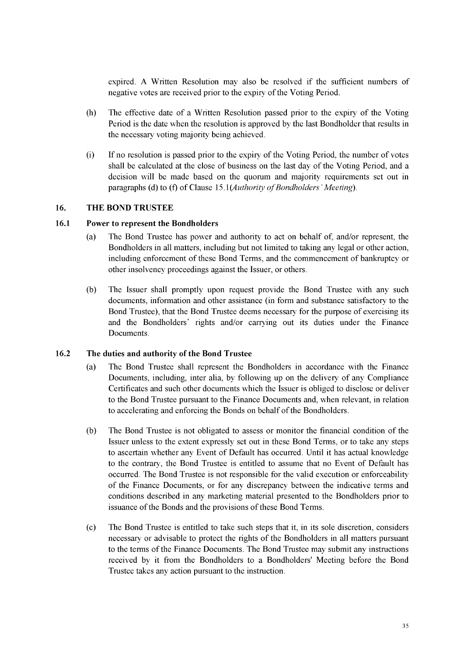expired. A Written Resolution may also be resolved if the sufficient numbers of negative votes are received prior to the expiry of the Voting Period.

- (h) The effective date of a Written Resolution passed prior to the expiry of the Voting Period is the date when the resolution is approved by the last Bondholder that results in the necessary voting majority being achieved.
- (i) If no resolution is passed prior to the expiry of the Voting Period, the number of votes shall be calculated at the close of business on the last day of the Voting Period, and a decision will be made based on the quorum and majority requirements set out in paragraphs (d) to (f) of Clause 15.1(*Authority of Bondholders' Meeting*).

#### <span id="page-60-0"></span>**16. THE BOND TRUSTEE**

#### **16.1 Power to represent the Bondholders**

- (a) The Bond Trustee has power and authority to act on behalf of, and/or represent, the Bondholders in all matters, including but not limited to taking any legal or other action, including enforcement of these Bond Terms, and the commencement of bankruptcy or other insolvency proceedings against the Issuer, or others.
- (b) The Issuer shall promptly upon request provide the Bond Trustee with any such documents, information and other assistance (in form and substance satisfactory to the Bond Trustee), that the Bond Trustee deems necessary for the purpose of exercising its and the Bondholders' rights and/or carrying out its duties under the Finance Documents.

#### **16.2 The duties and authority of the Bond Trustee**

- (a) The Bond Trustee shall represent the Bondholders in accordance with the Finance Documents, including, inter alia, by following up on the delivery of any Compliance Certificates and such other documents which the Issuer is obliged to disclose or deliver to the Bond Trustee pursuant to the Finance Documents and, when relevant, in relation to accelerating and enforcing the Bonds on behalf of the Bondholders.
- (b) The Bond Trustee is not obligated to assess or monitor the financial condition of the Issuer unless to the extent expressly set out in these Bond Terms, or to take any steps to ascertain whether any Event of Default has occurred. Until it has actual knowledge to the contrary, the Bond Trustee is entitled to assume that no Event of Default has occurred. The Bond Trustee is not responsible for the valid execution or enforceability of the Finance Documents, or for any discrepancy between the indicative terms and conditions described in any marketing material presented to the Bondholders prior to issuance of the Bonds and the provisions of these Bond Terms.
- (c) The Bond Trustee is entitled to take such steps that it, in its sole discretion, considers necessary or advisable to protect the rights of the Bondholders in all matters pursuant to the terms of the Finance Documents. The Bond Trustee may submit any instructions received by it from the Bondholders to a Bondholders' Meeting before the Bond Trustee takes any action pursuant to the instruction.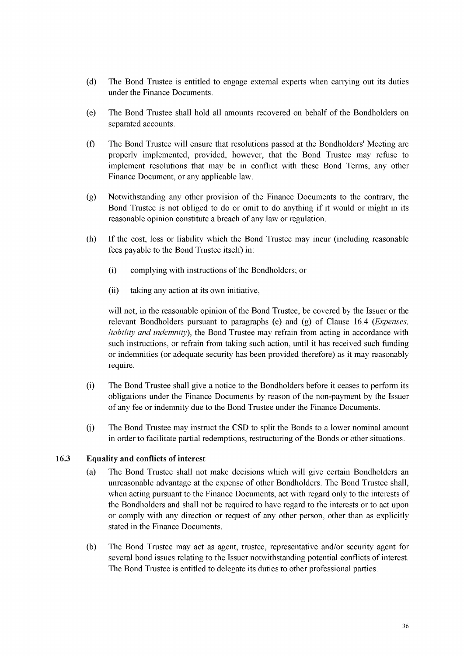- (d) The Bond Trustee is entitled to engage external experts when carrying out its duties under the Finance Documents.
- (e) The Bond Trustee shall hold all amounts recovered on behalf of the Bondholders on separated accounts.
- (f) The Bond Trustee will ensure that resolutions passed at the Bondholders' Meeting are properly implemented, provided, however, that the Bond Trustee may refuse to implement resolutions that may be in conflict with these Bond Terms, any other Finance Document, or any applicable law.
- (g) Notwithstanding any other provision of the Finance Documents to the contrary, the Bond Trustee is not obliged to do or omit to do anything if it would or might in its reasonable opinion constitute a breach of any law or regulation.
- (h) If the cost, loss or liability which the Bond Trustee may incur (including reasonable fees payable to the Bond Trustee itself) in:
	- (i) complying with instructions of the Bondholders; or
	- (ii) taking any action at its own initiative,

will not, in the reasonable opinion of the Bond Trustee, be covered by the Issuer or the relevant Bondholders pursuant to paragraphs (e) and (g) of Claus[e 16.4](#page-62-0) *(Expenses, liability and indemnity*), the Bond Trustee may refrain from acting in accordance with such instructions, or refrain from taking such action, until it has received such funding or indemnities (or adequate security has been provided therefore) as it may reasonably require.

- (i) The Bond Trustee shall give a notice to the Bondholders before it ceases to perform its obligations under the Finance Documents by reason of the non-payment by the Issuer of any fee or indemnity due to the Bond Trustee under the Finance Documents.
- (j) The Bond Trustee may instruct the CSD to split the Bonds to a lower nominal amount in order to facilitate partial redemptions, restructuring of the Bonds or other situations.

#### **16.3 Equality and conflicts of interest**

- (a) The Bond Trustee shall not make decisions which will give certain Bondholders an unreasonable advantage at the expense of other Bondholders. The Bond Trustee shall, when acting pursuant to the Finance Documents, act with regard only to the interests of the Bondholders and shall not be required to have regard to the interests or to act upon or comply with any direction or request of any other person, other than as explicitly stated in the Finance Documents.
- (b) The Bond Trustee may act as agent, trustee, representative and/or security agent for several bond issues relating to the Issuer notwithstanding potential conflicts of interest. The Bond Trustee is entitled to delegate its duties to other professional parties.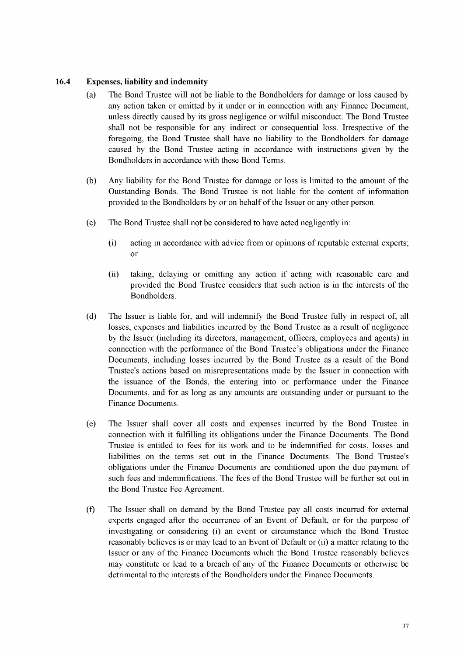#### <span id="page-62-0"></span>**16.4 Expenses, liability and indemnity**

- (a) The Bond Trustee will not be liable to the Bondholders for damage or loss caused by any action taken or omitted by it under or in connection with any Finance Document, unless directly caused by its gross negligence or wilful misconduct. The Bond Trustee shall not be responsible for any indirect or consequential loss. Irrespective of the foregoing, the Bond Trustee shall have no liability to the Bondholders for damage caused by the Bond Trustee acting in accordance with instructions given by the Bondholders in accordance with these Bond Terms.
- (b) Any liability for the Bond Trustee for damage or loss is limited to the amount of the Outstanding Bonds. The Bond Trustee is not liable for the content of information provided to the Bondholders by or on behalf of the Issuer or any other person.
- (c) The Bond Trustee shall not be considered to have acted negligently in:
	- (i) acting in accordance with advice from or opinions of reputable external experts; or
	- (ii) taking, delaying or omitting any action if acting with reasonable care and provided the Bond Trustee considers that such action is in the interests of the Bondholders.
- (d) The Issuer is liable for, and will indemnify the Bond Trustee fully in respect of, all losses, expenses and liabilities incurred by the Bond Trustee as a result of negligence by the Issuer (including its directors, management, officers, employees and agents) in connection with the performance of the Bond Trustee's obligations under the Finance Documents, including losses incurred by the Bond Trustee as a result of the Bond Trustee's actions based on misrepresentations made by the Issuer in connection with the issuance of the Bonds, the entering into or performance under the Finance Documents, and for as long as any amounts are outstanding under or pursuant to the Finance Documents.
- (e) The Issuer shall cover all costs and expenses incurred by the Bond Trustee in connection with it fulfilling its obligations under the Finance Documents. The Bond Trustee is entitled to fees for its work and to be indemnified for costs, losses and liabilities on the terms set out in the Finance Documents. The Bond Trustee's obligations under the Finance Documents are conditioned upon the due payment of such fees and indemnifications. The fees of the Bond Trustee will be further set out in the Bond Trustee Fee Agreement.
- (f) The Issuer shall on demand by the Bond Trustee pay all costs incurred for external experts engaged after the occurrence of an Event of Default, or for the purpose of investigating or considering (i) an event or circumstance which the Bond Trustee reasonably believes is or may lead to an Event of Default or (ii) a matter relating to the Issuer or any of the Finance Documents which the Bond Trustee reasonably believes may constitute or lead to a breach of any of the Finance Documents or otherwise be detrimental to the interests of the Bondholders under the Finance Documents.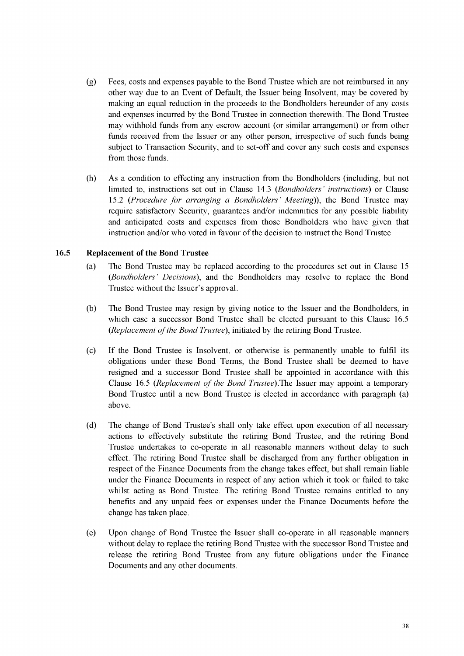- (g) Fees, costs and expenses payable to the Bond Trustee which are not reimbursed in any other way due to an Event of Default, the Issuer being Insolvent, may be covered by making an equal reduction in the proceeds to the Bondholders hereunder of any costs and expenses incurred by the Bond Trustee in connection therewith. The Bond Trustee may withhold funds from any escrow account (or similar arrangement) or from other funds received from the Issuer or any other person, irrespective of such funds being subject to Transaction Security, and to set-off and cover any such costs and expenses from those funds.
- (h) As a condition to effecting any instruction from the Bondholders (including, but not limited to, instructions set out in Claus[e 14.3](#page-55-0) *(Bondholders ' instructions)* or Clause [15.2](#page-56-1) *(Procedure for arranging a Bondholders' Meeting)),* the Bond Trustee may require satisfactory Security, guarantees and/or indemnities for any possible liability and anticipated costs and expenses from those Bondholders who have given that instruction and/or who voted in favour of the decision to instruct the Bond Trustee.

#### <span id="page-63-0"></span>**16.5 Replacement of the Bond Trustee**

- (a) The Bond Trustee may be replaced according to the procedures set out in Claus[e 15](#page-55-1) *(Bondholders ' Decisions),* and the Bondholders may resolve to replace the Bond Trustee without the Issuer's approval.
- (b) The Bond Trustee may resign by giving notice to the Issuer and the Bondholders, in which case a successor Bond Trustee shall be elected pursuant to this Claus[e 16.5](#page-63-0) *(Replacement of the Bond Trustee), initiated by the retiring Bond Trustee.*
- (c) If the Bond Trustee is Insolvent, or otherwise is permanently unable to fulfil its obligations under these Bond Terms, the Bond Trustee shall be deemed to have resigned and a successor Bond Trustee shall be appointed in accordance with this Clause [16.5](#page-63-0) *(Replacement of the Bond Trustee)*. The Issuer may appoint a temporary Bond Trustee until a new Bond Trustee is elected in accordance with paragraph [\(a\)](#page-63-0) above.
- (d) The change of Bond Trustee's shall only take effect upon execution of all necessary actions to effectively substitute the retiring Bond Trustee, and the retiring Bond Trustee undertakes to co-operate in all reasonable manners without delay to such effect. The retiring Bond Trustee shall be discharged from any further obligation in respect of the Finance Documents from the change takes effect, but shall remain liable under the Finance Documents in respect of any action which it took or failed to take whilst acting as Bond Trustee. The retiring Bond Trustee remains entitled to any benefits and any unpaid fees or expenses under the Finance Documents before the change has taken place.
- (e) Upon change of Bond Trustee the Issuer shall co-operate in all reasonable manners without delay to replace the retiring Bond Trustee with the successor Bond Trustee and release the retiring Bond Trustee from any future obligations under the Finance Documents and any other documents.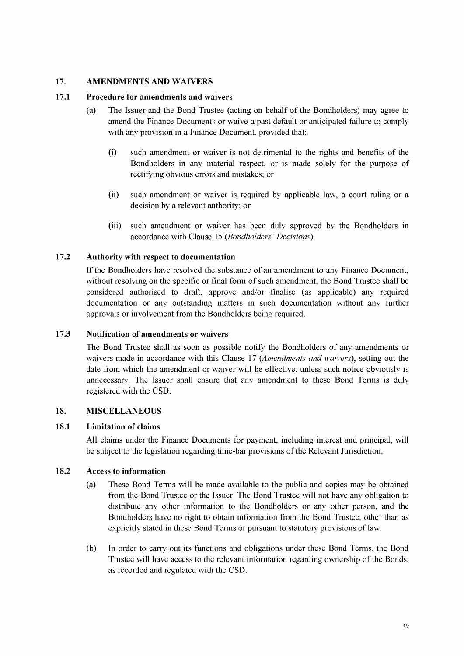#### <span id="page-64-0"></span>**17. AMENDMENTS AND WAIVERS**

#### **17.1 Procedure for amendments and waivers**

- (a) The Issuer and the Bond Trustee (acting on behalf of the Bondholders) may agree to amend the Finance Documents or waive a past default or anticipated failure to comply with any provision in a Finance Document, provided that:
	- (i) such amendment or waiver is not detrimental to the rights and benefits of the Bondholders in any material respect, or is made solely for the purpose of rectifying obvious errors and mistakes; or
	- (ii) such amendment or waiver is required by applicable law, a court ruling or a decision by a relevant authority; or
	- (iii) such amendment or waiver has been duly approved by the Bondholders in accordance with Claus[e 15](#page-55-1) *(Bondholders ' Decisions).*

# **17.2 Authority with respect to documentation**

If the Bondholders have resolved the substance of an amendment to any Finance Document, without resolving on the specific or final form of such amendment, the Bond Trustee shall be considered authorised to draft, approve and/or finalise (as applicable) any required documentation or any outstanding matters in such documentation without any further approvals or involvement from the Bondholders being required.

#### **17.3 Notification of amendments or waivers**

The Bond Trustee shall as soon as possible notify the Bondholders of any amendments or waivers made in accordance with this Clause [17](#page-64-0) *(Amendments and waivers),* setting out the date from which the amendment or waiver will be effective, unless such notice obviously is unnecessary. The Issuer shall ensure that any amendment to these Bond Terms is duly registered with the CSD.

#### <span id="page-64-1"></span>**18. MISCELLANEOUS**

#### **18.1 Limitation of claims**

All claims under the Finance Documents for payment, including interest and principal, will be subject to the legislation regarding time-bar provisions of the Relevant Jurisdiction.

#### **18.2 Access to information**

- (a) These Bond Terms will be made available to the public and copies may be obtained from the Bond Trustee or the Issuer. The Bond Trustee will not have any obligation to distribute any other information to the Bondholders or any other person, and the Bondholders have no right to obtain information from the Bond Trustee, other than as explicitly stated in these Bond Terms or pursuant to statutory provisions of law.
- (b) In order to carry out its functions and obligations under these Bond Terms, the Bond Trustee will have access to the relevant information regarding ownership of the Bonds, as recorded and regulated with the CSD.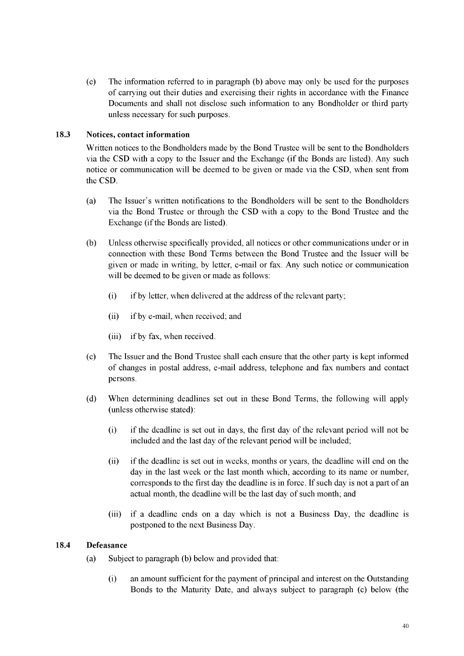(c) The information referred to in paragraph (b) above may only be used for the purposes of carrying out their duties and exercising their rights in accordance with the Finance Documents and shall not disclose such information to any Bondholder or third party unless necessary for such purposes.

#### **18.3 Notices, contact information**

Written notices to the Bondholders made by the Bond Trustee will be sent to the Bondholders via the CSD with a copy to the Issuer and the Exchange (if the Bonds are listed). Any such notice or communication will be deemed to be given or made via the CSD, when sent from the CSD.

- (a) The Issuer's written notifications to the Bondholders will be sent to the Bondholders via the Bond Trustee or through the CSD with a copy to the Bond Trustee and the Exchange (if the Bonds are listed).
- (b) Unless otherwise specifically provided, all notices or other communications under or in connection with these Bond Terms between the Bond Trustee and the Issuer will be given or made in writing, by letter, e-mail or fax. Any such notice or communication will be deemed to be given or made as follows:
	- (i) if by letter, when delivered at the address of the relevant party;
	- (ii) if by e-mail, when received; and
	- (iii) if by fax, when received.
- (c) The Issuer and the Bond Trustee shall each ensure that the other party is kept informed of changes in postal address, e-mail address, telephone and fax numbers and contact persons.
- (d) When determining deadlines set out in these Bond Terms, the following will apply (unless otherwise stated):
	- (i) if the deadline is set out in days, the first day of the relevant period will not be included and the last day of the relevant period will be included;
	- (ii) if the deadline is set out in weeks, months or years, the deadline will end on the day in the last week or the last month which, according to its name or number, corresponds to the first day the deadline is in force. If such day is not a part of an actual month, the deadline will be the last day of such month; and
	- (iii) if a deadline ends on a day which is not a Business Day, the deadline is postponed to the next Business Day.

#### **18.4 Defeasance**

- (a) Subject to paragraph (b) below and provided that:
	- (i) an amount sufficient for the payment of principal and interest on the Outstanding Bonds to the Maturity Date, and always subject to paragraph (c) below (the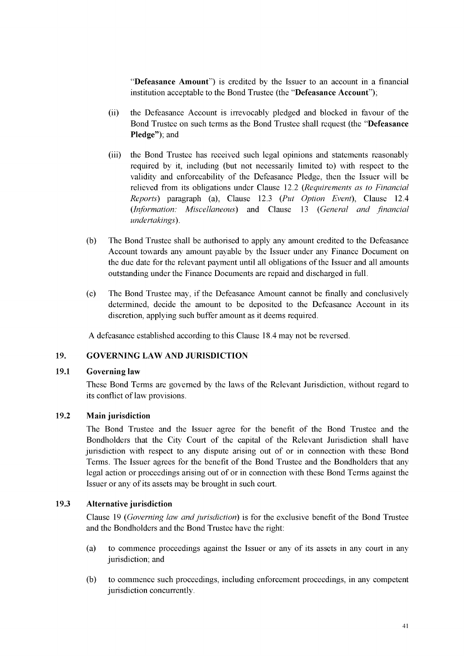"**Defeasance Amount**") is credited by the Issuer to an account in a financial institution acceptable to the Bond Trustee (the "**Defeasance Account**");

- the Defeasance Account is irrevocably pledged and blocked in favour of the Bond Trustee on such terms as the Bond Trustee shall request (the "**Defeasance Pledge"**); and (ii)
- the Bond Trustee has received such legal opinions and statements reasonably required by it, including (but not necessarily limited to) with respect to the validity and enforceability of the Defeasance Pledge, then the Issuer will be relieved from its obligations under Clause [12.2](#page-49-1) *(Requirements as to Financial Reports)* paragraph (a), Clause [12.3](#page-49-0) *(Put Option Event),* Claus[e 12.4](#page-49-2) (*Information: Miscellaneous*) and Claus[e 13](#page-50-1) (*General and financial undertakings*). (iii)
- (b) The Bond Trustee shall be authorised to apply any amount credited to the Defeasance Account towards any amount payable by the Issuer under any Finance Document on the due date for the relevant payment until all obligations of the Issuer and all amounts outstanding under the Finance Documents are repaid and discharged in full.
- (c) The Bond Trustee may, if the Defeasance Amount cannot be finally and conclusively determined, decide the amount to be deposited to the Defeasance Account in its discretion, applying such buffer amount as it deems required.

A defeasance established according to this Clause 18.4 may not be reversed.

#### <span id="page-66-0"></span>**19. GOVERNING LAW AND JURISDICTION**

#### **19.1 Governing law**

These Bond Terms are governed by the laws of the Relevant Jurisdiction, without regard to its conflict of law provisions.

#### **19.2 Main jurisdiction**

The Bond Trustee and the Issuer agree for the benefit of the Bond Trustee and the Bondholders that the City Court of the capital of the Relevant Jurisdiction shall have jurisdiction with respect to any dispute arising out of or in connection with these Bond Terms. The Issuer agrees for the benefit of the Bond Trustee and the Bondholders that any legal action or proceedings arising out of or in connection with these Bond Terms against the Issuer or any of its assets may be brought in such court.

#### **19.3 Alternative jurisdiction**

Claus[e 19](#page-66-0) *(Governing law and jurisdiction)* is for the exclusive benefit of the Bond Trustee and the Bondholders and the Bond Trustee have the right:

- (a) to commence proceedings against the Issuer or any of its assets in any court in any jurisdiction; and
- (b) to commence such proceedings, including enforcement proceedings, in any competent jurisdiction concurrently.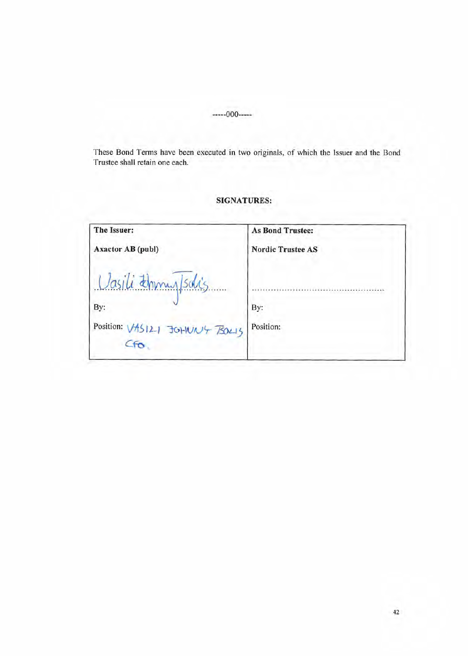-----000-----

These Bond Terms have been executed in two originals, of which the Issuer and the Bond Trustee shall retain one each.

# **SIGNATURES:**

| The Issuer:                                                   | <b>As Bond Trustee:</b>  |
|---------------------------------------------------------------|--------------------------|
| <b>Axactor AB (publ)</b>                                      | <b>Nordic Trustee AS</b> |
| Vasili thomas Isolis<br>By:<br>Position: VASI21 JOHUN'T BOLLS | By:<br>Position:         |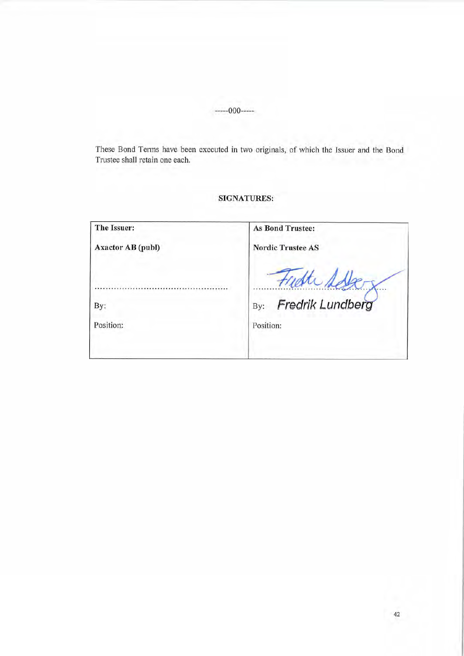-----000-----

These Bond Terms have been executed in two originals, of which the Issuer and the Bond Trustee shall retain one each.

# SIGNATURES:

| The Issuer:              | <b>As Bond Trustee:</b>  |
|--------------------------|--------------------------|
| <b>Axactor AB (publ)</b> | <b>Nordic Trustee AS</b> |
|                          |                          |
| By:                      | Fredrik Lundberg<br>By:  |
| Position:                | Position:                |
|                          |                          |